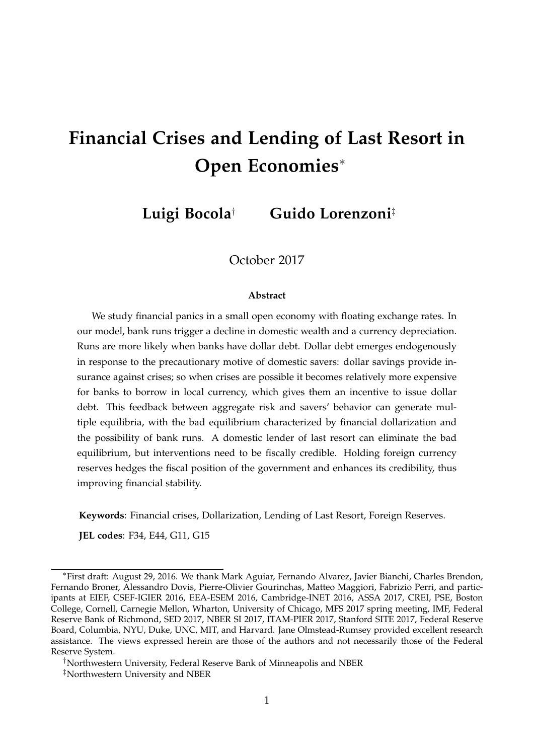# **Financial Crises and Lending of Last Resort in Open Economies**<sup>∗</sup>

**Luigi Bocola**† **Guido Lorenzoni**‡

October 2017

#### **Abstract**

We study financial panics in a small open economy with floating exchange rates. In our model, bank runs trigger a decline in domestic wealth and a currency depreciation. Runs are more likely when banks have dollar debt. Dollar debt emerges endogenously in response to the precautionary motive of domestic savers: dollar savings provide insurance against crises; so when crises are possible it becomes relatively more expensive for banks to borrow in local currency, which gives them an incentive to issue dollar debt. This feedback between aggregate risk and savers' behavior can generate multiple equilibria, with the bad equilibrium characterized by financial dollarization and the possibility of bank runs. A domestic lender of last resort can eliminate the bad equilibrium, but interventions need to be fiscally credible. Holding foreign currency reserves hedges the fiscal position of the government and enhances its credibility, thus improving financial stability.

**Keywords**: Financial crises, Dollarization, Lending of Last Resort, Foreign Reserves.

**JEL codes**: F34, E44, G11, G15

<sup>∗</sup>First draft: August 29, 2016. We thank Mark Aguiar, Fernando Alvarez, Javier Bianchi, Charles Brendon, Fernando Broner, Alessandro Dovis, Pierre-Olivier Gourinchas, Matteo Maggiori, Fabrizio Perri, and participants at EIEF, CSEF-IGIER 2016, EEA-ESEM 2016, Cambridge-INET 2016, ASSA 2017, CREI, PSE, Boston College, Cornell, Carnegie Mellon, Wharton, University of Chicago, MFS 2017 spring meeting, IMF, Federal Reserve Bank of Richmond, SED 2017, NBER SI 2017, ITAM-PIER 2017, Stanford SITE 2017, Federal Reserve Board, Columbia, NYU, Duke, UNC, MIT, and Harvard. Jane Olmstead-Rumsey provided excellent research assistance. The views expressed herein are those of the authors and not necessarily those of the Federal Reserve System.

<sup>†</sup>Northwestern University, Federal Reserve Bank of Minneapolis and NBER

<sup>‡</sup>Northwestern University and NBER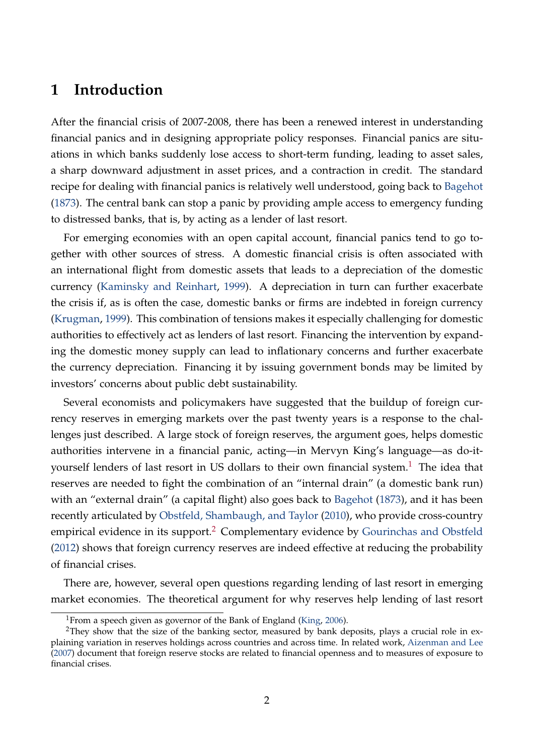## **1 Introduction**

After the financial crisis of 2007-2008, there has been a renewed interest in understanding financial panics and in designing appropriate policy responses. Financial panics are situations in which banks suddenly lose access to short-term funding, leading to asset sales, a sharp downward adjustment in asset prices, and a contraction in credit. The standard recipe for dealing with financial panics is relatively well understood, going back to [Bagehot](#page-39-0) [\(1873\)](#page-39-0). The central bank can stop a panic by providing ample access to emergency funding to distressed banks, that is, by acting as a lender of last resort.

For emerging economies with an open capital account, financial panics tend to go together with other sources of stress. A domestic financial crisis is often associated with an international flight from domestic assets that leads to a depreciation of the domestic currency [\(Kaminsky and Reinhart,](#page-42-0) [1999\)](#page-42-0). A depreciation in turn can further exacerbate the crisis if, as is often the case, domestic banks or firms are indebted in foreign currency [\(Krugman,](#page-42-1) [1999\)](#page-42-1). This combination of tensions makes it especially challenging for domestic authorities to effectively act as lenders of last resort. Financing the intervention by expanding the domestic money supply can lead to inflationary concerns and further exacerbate the currency depreciation. Financing it by issuing government bonds may be limited by investors' concerns about public debt sustainability.

Several economists and policymakers have suggested that the buildup of foreign currency reserves in emerging markets over the past twenty years is a response to the challenges just described. A large stock of foreign reserves, the argument goes, helps domestic authorities intervene in a financial panic, acting—in Mervyn King's language—as do-it-yourself lenders of last resort in US dollars to their own financial system.<sup>[1](#page-1-0)</sup> The idea that reserves are needed to fight the combination of an "internal drain" (a domestic bank run) with an "external drain" (a capital flight) also goes back to [Bagehot](#page-39-0) [\(1873\)](#page-39-0), and it has been recently articulated by [Obstfeld, Shambaugh, and Taylor](#page-42-2) [\(2010\)](#page-42-2), who provide cross-country empirical evidence in its support.<sup>[2](#page-1-1)</sup> Complementary evidence by [Gourinchas and Obstfeld](#page-41-0) [\(2012\)](#page-41-0) shows that foreign currency reserves are indeed effective at reducing the probability of financial crises.

There are, however, several open questions regarding lending of last resort in emerging market economies. The theoretical argument for why reserves help lending of last resort

<span id="page-1-1"></span><span id="page-1-0"></span><sup>&</sup>lt;sup>1</sup>From a speech given as governor of the Bank of England [\(King,](#page-42-3) [2006\)](#page-42-3).

<sup>&</sup>lt;sup>2</sup>They show that the size of the banking sector, measured by bank deposits, plays a crucial role in explaining variation in reserves holdings across countries and across time. In related work, [Aizenman and Lee](#page-39-1) [\(2007\)](#page-39-1) document that foreign reserve stocks are related to financial openness and to measures of exposure to financial crises.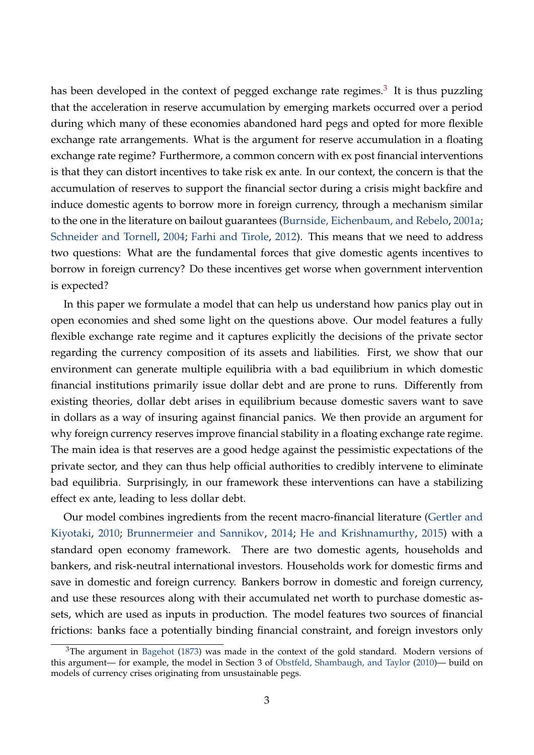has been developed in the context of pegged exchange rate regimes. $^3\,$  $^3\,$  $^3\,$  It is thus puzzling that the acceleration in reserve accumulation by emerging markets occurred over a period during which many of these economies abandoned hard pegs and opted for more flexible exchange rate arrangements. What is the argument for reserve accumulation in a floating exchange rate regime? Furthermore, a common concern with ex post financial interventions is that they can distort incentives to take risk ex ante. In our context, the concern is that the accumulation of reserves to support the financial sector during a crisis might backfire and induce domestic agents to borrow more in foreign currency, through a mechanism similar to the one in the literature on bailout guarantees [\(Burnside, Eichenbaum, and Rebelo,](#page-39-2) [2001a;](#page-39-2) [Schneider and Tornell,](#page-43-0) [2004;](#page-43-0) [Farhi and Tirole,](#page-41-1) [2012\)](#page-41-1). This means that we need to address two questions: What are the fundamental forces that give domestic agents incentives to borrow in foreign currency? Do these incentives get worse when government intervention is expected?

In this paper we formulate a model that can help us understand how panics play out in open economies and shed some light on the questions above. Our model features a fully flexible exchange rate regime and it captures explicitly the decisions of the private sector regarding the currency composition of its assets and liabilities. First, we show that our environment can generate multiple equilibria with a bad equilibrium in which domestic financial institutions primarily issue dollar debt and are prone to runs. Differently from existing theories, dollar debt arises in equilibrium because domestic savers want to save in dollars as a way of insuring against financial panics. We then provide an argument for why foreign currency reserves improve financial stability in a floating exchange rate regime. The main idea is that reserves are a good hedge against the pessimistic expectations of the private sector, and they can thus help official authorities to credibly intervene to eliminate bad equilibria. Surprisingly, in our framework these interventions can have a stabilizing effect ex ante, leading to less dollar debt.

Our model combines ingredients from the recent macro-financial literature [\(Gertler and](#page-41-2) [Kiyotaki,](#page-41-2) [2010;](#page-41-2) [Brunnermeier and Sannikov,](#page-39-3) [2014;](#page-39-3) [He and Krishnamurthy,](#page-41-3) [2015\)](#page-41-3) with a standard open economy framework. There are two domestic agents, households and bankers, and risk-neutral international investors. Households work for domestic firms and save in domestic and foreign currency. Bankers borrow in domestic and foreign currency, and use these resources along with their accumulated net worth to purchase domestic assets, which are used as inputs in production. The model features two sources of financial frictions: banks face a potentially binding financial constraint, and foreign investors only

<span id="page-2-0"></span> $3$ The argument in [Bagehot](#page-39-0) [\(1873\)](#page-39-0) was made in the context of the gold standard. Modern versions of this argument— for example, the model in Section 3 of [Obstfeld, Shambaugh, and Taylor](#page-42-2) [\(2010\)](#page-42-2)— build on models of currency crises originating from unsustainable pegs.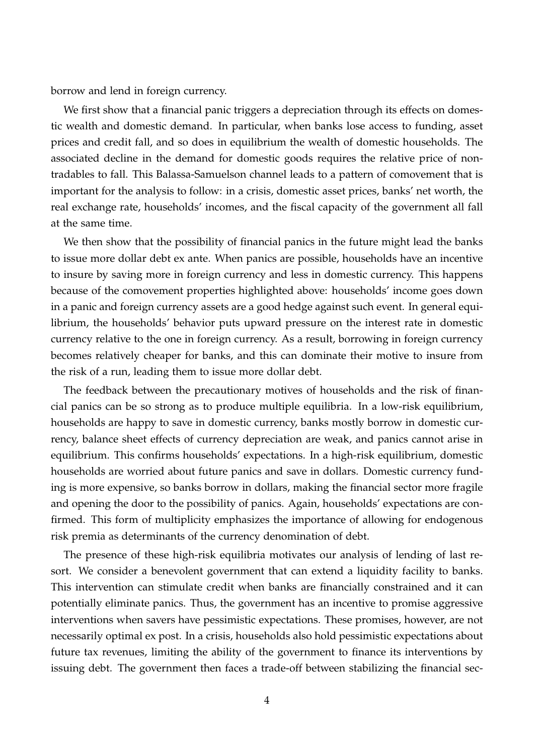borrow and lend in foreign currency.

We first show that a financial panic triggers a depreciation through its effects on domestic wealth and domestic demand. In particular, when banks lose access to funding, asset prices and credit fall, and so does in equilibrium the wealth of domestic households. The associated decline in the demand for domestic goods requires the relative price of nontradables to fall. This Balassa-Samuelson channel leads to a pattern of comovement that is important for the analysis to follow: in a crisis, domestic asset prices, banks' net worth, the real exchange rate, households' incomes, and the fiscal capacity of the government all fall at the same time.

We then show that the possibility of financial panics in the future might lead the banks to issue more dollar debt ex ante. When panics are possible, households have an incentive to insure by saving more in foreign currency and less in domestic currency. This happens because of the comovement properties highlighted above: households' income goes down in a panic and foreign currency assets are a good hedge against such event. In general equilibrium, the households' behavior puts upward pressure on the interest rate in domestic currency relative to the one in foreign currency. As a result, borrowing in foreign currency becomes relatively cheaper for banks, and this can dominate their motive to insure from the risk of a run, leading them to issue more dollar debt.

The feedback between the precautionary motives of households and the risk of financial panics can be so strong as to produce multiple equilibria. In a low-risk equilibrium, households are happy to save in domestic currency, banks mostly borrow in domestic currency, balance sheet effects of currency depreciation are weak, and panics cannot arise in equilibrium. This confirms households' expectations. In a high-risk equilibrium, domestic households are worried about future panics and save in dollars. Domestic currency funding is more expensive, so banks borrow in dollars, making the financial sector more fragile and opening the door to the possibility of panics. Again, households' expectations are confirmed. This form of multiplicity emphasizes the importance of allowing for endogenous risk premia as determinants of the currency denomination of debt.

The presence of these high-risk equilibria motivates our analysis of lending of last resort. We consider a benevolent government that can extend a liquidity facility to banks. This intervention can stimulate credit when banks are financially constrained and it can potentially eliminate panics. Thus, the government has an incentive to promise aggressive interventions when savers have pessimistic expectations. These promises, however, are not necessarily optimal ex post. In a crisis, households also hold pessimistic expectations about future tax revenues, limiting the ability of the government to finance its interventions by issuing debt. The government then faces a trade-off between stabilizing the financial sec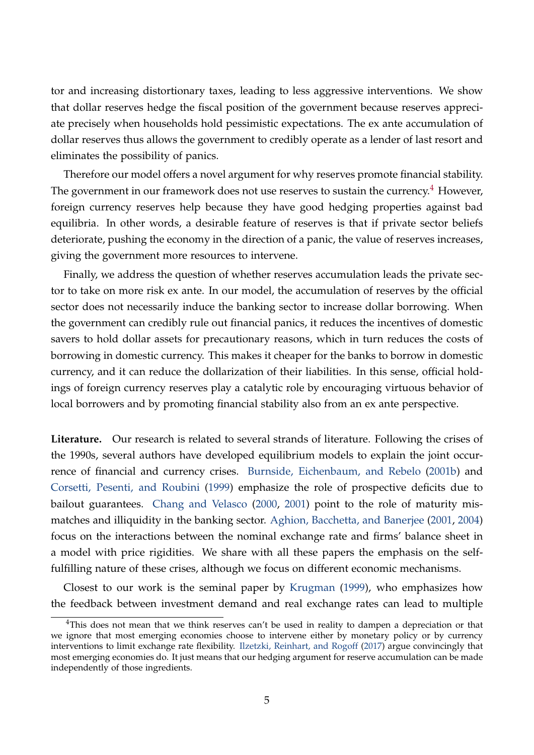tor and increasing distortionary taxes, leading to less aggressive interventions. We show that dollar reserves hedge the fiscal position of the government because reserves appreciate precisely when households hold pessimistic expectations. The ex ante accumulation of dollar reserves thus allows the government to credibly operate as a lender of last resort and eliminates the possibility of panics.

Therefore our model offers a novel argument for why reserves promote financial stability. The government in our framework does not use reserves to sustain the currency.<sup>[4](#page-4-0)</sup> However, foreign currency reserves help because they have good hedging properties against bad equilibria. In other words, a desirable feature of reserves is that if private sector beliefs deteriorate, pushing the economy in the direction of a panic, the value of reserves increases, giving the government more resources to intervene.

Finally, we address the question of whether reserves accumulation leads the private sector to take on more risk ex ante. In our model, the accumulation of reserves by the official sector does not necessarily induce the banking sector to increase dollar borrowing. When the government can credibly rule out financial panics, it reduces the incentives of domestic savers to hold dollar assets for precautionary reasons, which in turn reduces the costs of borrowing in domestic currency. This makes it cheaper for the banks to borrow in domestic currency, and it can reduce the dollarization of their liabilities. In this sense, official holdings of foreign currency reserves play a catalytic role by encouraging virtuous behavior of local borrowers and by promoting financial stability also from an ex ante perspective.

**Literature.** Our research is related to several strands of literature. Following the crises of the 1990s, several authors have developed equilibrium models to explain the joint occurrence of financial and currency crises. [Burnside, Eichenbaum, and Rebelo](#page-40-0) [\(2001b\)](#page-40-0) and [Corsetti, Pesenti, and Roubini](#page-40-1) [\(1999\)](#page-40-1) emphasize the role of prospective deficits due to bailout guarantees. [Chang and Velasco](#page-40-2) [\(2000,](#page-40-2) [2001\)](#page-40-3) point to the role of maturity mismatches and illiquidity in the banking sector. [Aghion, Bacchetta, and Banerjee](#page-39-4) [\(2001,](#page-39-4) [2004\)](#page-39-5) focus on the interactions between the nominal exchange rate and firms' balance sheet in a model with price rigidities. We share with all these papers the emphasis on the selffulfilling nature of these crises, although we focus on different economic mechanisms.

Closest to our work is the seminal paper by [Krugman](#page-42-1) [\(1999\)](#page-42-1), who emphasizes how the feedback between investment demand and real exchange rates can lead to multiple

<span id="page-4-0"></span> $4$ This does not mean that we think reserves can't be used in reality to dampen a depreciation or that we ignore that most emerging economies choose to intervene either by monetary policy or by currency interventions to limit exchange rate flexibility. [Ilzetzki, Reinhart, and Rogoff](#page-41-4) [\(2017\)](#page-41-4) argue convincingly that most emerging economies do. It just means that our hedging argument for reserve accumulation can be made independently of those ingredients.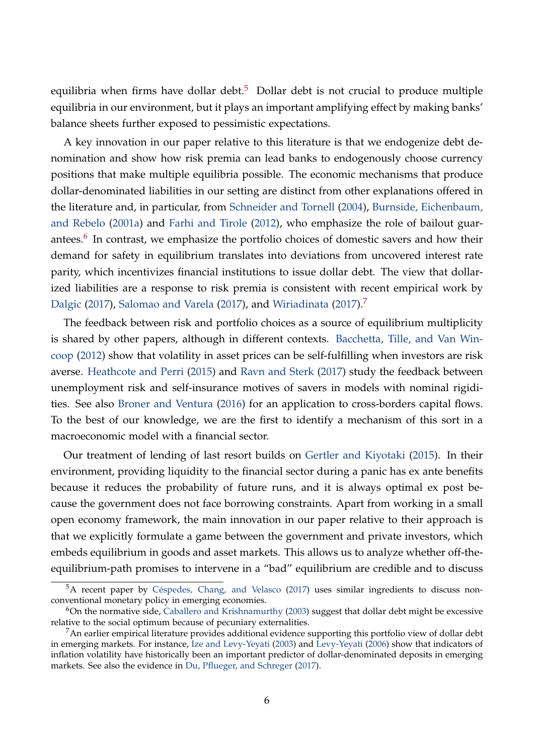equilibria when firms have dollar debt. $5$  Dollar debt is not crucial to produce multiple equilibria in our environment, but it plays an important amplifying effect by making banks' balance sheets further exposed to pessimistic expectations.

A key innovation in our paper relative to this literature is that we endogenize debt denomination and show how risk premia can lead banks to endogenously choose currency positions that make multiple equilibria possible. The economic mechanisms that produce dollar-denominated liabilities in our setting are distinct from other explanations offered in the literature and, in particular, from [Schneider and Tornell](#page-43-0) [\(2004\)](#page-43-0), [Burnside, Eichenbaum,](#page-39-2) [and Rebelo](#page-39-2) [\(2001a\)](#page-39-2) and [Farhi and Tirole](#page-41-1) [\(2012\)](#page-41-1), who emphasize the role of bailout guar-antees.<sup>[6](#page-5-1)</sup> In contrast, we emphasize the portfolio choices of domestic savers and how their demand for safety in equilibrium translates into deviations from uncovered interest rate parity, which incentivizes financial institutions to issue dollar debt. The view that dollarized liabilities are a response to risk premia is consistent with recent empirical work by [Dalgic](#page-40-4) [\(2017\)](#page-43-2), [Salomao and Varela](#page-43-1) (2017), and [Wiriadinata](#page-43-2) (201[7](#page-5-2)).<sup>7</sup>

The feedback between risk and portfolio choices as a source of equilibrium multiplicity is shared by other papers, although in different contexts. [Bacchetta, Tille, and Van Win](#page-39-6)[coop](#page-39-6) [\(2012\)](#page-39-6) show that volatility in asset prices can be self-fulfilling when investors are risk averse. [Heathcote and Perri](#page-41-5) [\(2015\)](#page-41-5) and [Ravn and Sterk](#page-43-3) [\(2017\)](#page-43-3) study the feedback between unemployment risk and self-insurance motives of savers in models with nominal rigidities. See also [Broner and Ventura](#page-39-7) [\(2016\)](#page-39-7) for an application to cross-borders capital flows. To the best of our knowledge, we are the first to identify a mechanism of this sort in a macroeconomic model with a financial sector.

Our treatment of lending of last resort builds on [Gertler and Kiyotaki](#page-41-6) [\(2015\)](#page-41-6). In their environment, providing liquidity to the financial sector during a panic has ex ante benefits because it reduces the probability of future runs, and it is always optimal ex post because the government does not face borrowing constraints. Apart from working in a small open economy framework, the main innovation in our paper relative to their approach is that we explicitly formulate a game between the government and private investors, which embeds equilibrium in goods and asset markets. This allows us to analyze whether off-theequilibrium-path promises to intervene in a "bad" equilibrium are credible and to discuss

<span id="page-5-0"></span><sup>&</sup>lt;sup>5</sup>A recent paper by [Céspedes, Chang, and Velasco](#page-40-5) [\(2017\)](#page-40-5) uses similar ingredients to discuss nonconventional monetary policy in emerging economies.

<span id="page-5-1"></span> $6$ On the normative side, [Caballero and Krishnamurthy](#page-40-6) [\(2003\)](#page-40-6) suggest that dollar debt might be excessive relative to the social optimum because of pecuniary externalities.

<span id="page-5-2"></span><sup>&</sup>lt;sup>7</sup>An earlier empirical literature provides additional evidence supporting this portfolio view of dollar debt in emerging markets. For instance, [Ize and Levy-Yeyati](#page-42-4) [\(2003\)](#page-42-4) and [Levy-Yeyati](#page-42-5) [\(2006\)](#page-42-5) show that indicators of inflation volatility have historically been an important predictor of dollar-denominated deposits in emerging markets. See also the evidence in [Du, Pflueger, and Schreger](#page-40-7) [\(2017\)](#page-40-7).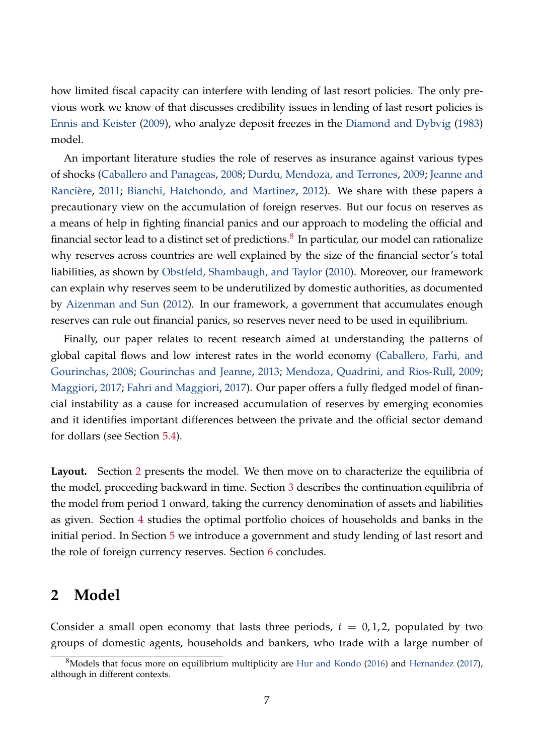how limited fiscal capacity can interfere with lending of last resort policies. The only previous work we know of that discusses credibility issues in lending of last resort policies is [Ennis and Keister](#page-41-7) [\(2009\)](#page-41-7), who analyze deposit freezes in the [Diamond and Dybvig](#page-40-8) [\(1983\)](#page-40-8) model.

An important literature studies the role of reserves as insurance against various types of shocks [\(Caballero and Panageas,](#page-40-9) [2008;](#page-40-9) [Durdu, Mendoza, and Terrones,](#page-40-10) [2009;](#page-40-10) [Jeanne and](#page-42-6) [Rancière,](#page-42-6) [2011;](#page-42-6) [Bianchi, Hatchondo, and Martinez,](#page-39-8) [2012\)](#page-39-8). We share with these papers a precautionary view on the accumulation of foreign reserves. But our focus on reserves as a means of help in fighting financial panics and our approach to modeling the official and financial sector lead to a distinct set of predictions. $^8$  $^8$  In particular, our model can rationalize why reserves across countries are well explained by the size of the financial sector's total liabilities, as shown by [Obstfeld, Shambaugh, and Taylor](#page-42-2) [\(2010\)](#page-42-2). Moreover, our framework can explain why reserves seem to be underutilized by domestic authorities, as documented by [Aizenman and Sun](#page-39-9) [\(2012\)](#page-39-9). In our framework, a government that accumulates enough reserves can rule out financial panics, so reserves never need to be used in equilibrium.

Finally, our paper relates to recent research aimed at understanding the patterns of global capital flows and low interest rates in the world economy [\(Caballero, Farhi, and](#page-40-11) [Gourinchas,](#page-40-11) [2008;](#page-40-11) [Gourinchas and Jeanne,](#page-41-8) [2013;](#page-41-8) [Mendoza, Quadrini, and Rios-Rull,](#page-42-7) [2009;](#page-42-7) [Maggiori,](#page-42-8) [2017;](#page-42-8) [Fahri and Maggiori,](#page-41-9) [2017\)](#page-41-9). Our paper offers a fully fledged model of financial instability as a cause for increased accumulation of reserves by emerging economies and it identifies important differences between the private and the official sector demand for dollars (see Section [5.4\)](#page-35-0).

**Layout.** Section [2](#page-6-1) presents the model. We then move on to characterize the equilibria of the model, proceeding backward in time. Section [3](#page-12-0) describes the continuation equilibria of the model from period 1 onward, taking the currency denomination of assets and liabilities as given. Section [4](#page-20-0) studies the optimal portfolio choices of households and banks in the initial period. In Section [5](#page-26-0) we introduce a government and study lending of last resort and the role of foreign currency reserves. Section [6](#page-37-0) concludes.

## <span id="page-6-1"></span>**2 Model**

Consider a small open economy that lasts three periods,  $t = 0, 1, 2$ , populated by two groups of domestic agents, households and bankers, who trade with a large number of

<span id="page-6-0"></span> $8$ Models that focus more on equilibrium multiplicity are [Hur and Kondo](#page-41-10) [\(2016\)](#page-41-10) and [Hernandez](#page-41-11) [\(2017\)](#page-41-11), although in different contexts.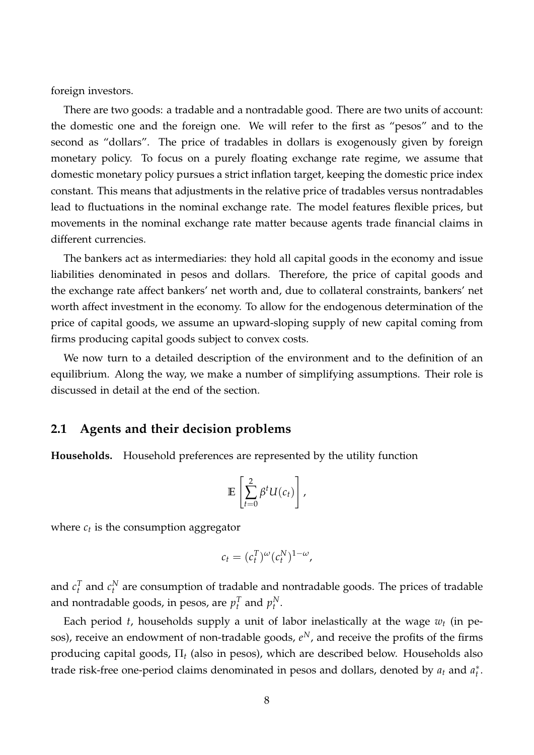foreign investors.

There are two goods: a tradable and a nontradable good. There are two units of account: the domestic one and the foreign one. We will refer to the first as "pesos" and to the second as "dollars". The price of tradables in dollars is exogenously given by foreign monetary policy. To focus on a purely floating exchange rate regime, we assume that domestic monetary policy pursues a strict inflation target, keeping the domestic price index constant. This means that adjustments in the relative price of tradables versus nontradables lead to fluctuations in the nominal exchange rate. The model features flexible prices, but movements in the nominal exchange rate matter because agents trade financial claims in different currencies.

The bankers act as intermediaries: they hold all capital goods in the economy and issue liabilities denominated in pesos and dollars. Therefore, the price of capital goods and the exchange rate affect bankers' net worth and, due to collateral constraints, bankers' net worth affect investment in the economy. To allow for the endogenous determination of the price of capital goods, we assume an upward-sloping supply of new capital coming from firms producing capital goods subject to convex costs.

We now turn to a detailed description of the environment and to the definition of an equilibrium. Along the way, we make a number of simplifying assumptions. Their role is discussed in detail at the end of the section.

### **2.1 Agents and their decision problems**

**Households.** Household preferences are represented by the utility function

$$
\mathbb{E}\left[\sum_{t=0}^2 \beta^t U(c_t)\right],
$$

where  $c_t$  is the consumption aggregator

$$
c_t = (c_t^T)^{\omega} (c_t^N)^{1-\omega},
$$

and  $c_t^T$  and  $c_t^N$  are consumption of tradable and nontradable goods. The prices of tradable and nontradable goods, in pesos, are  $p_t^T$  and  $p_t^N$ .

Each period *t*, households supply a unit of labor inelastically at the wage *w<sup>t</sup>* (in pesos), receive an endowment of non-tradable goods,  $e^N$ , and receive the profits of the firms producing capital goods, Π*<sup>t</sup>* (also in pesos), which are described below. Households also trade risk-free one-period claims denominated in pesos and dollars, denoted by *a<sup>t</sup>* and *a* ∗ *t* .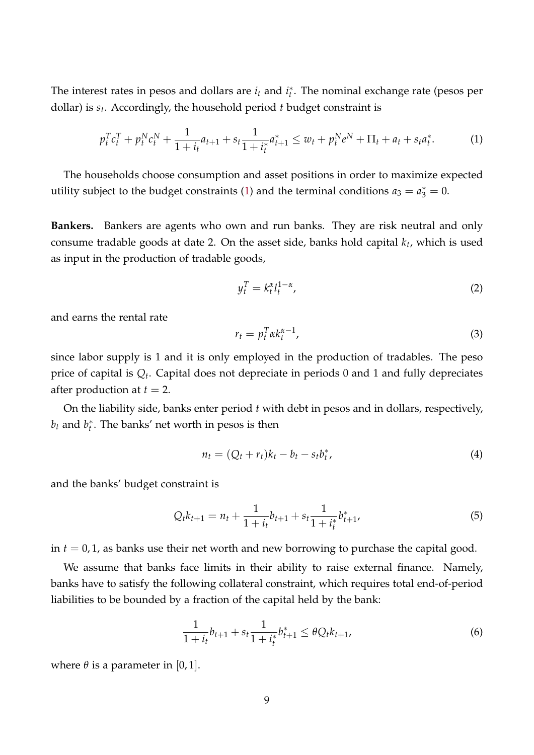The interest rates in pesos and dollars are *i*<sub>t</sub> and *i*<sup>\*</sup><sub>t</sub> *t* . The nominal exchange rate (pesos per dollar) is *s<sup>t</sup>* . Accordingly, the household period *t* budget constraint is

$$
p_t^T c_t^T + p_t^N c_t^N + \frac{1}{1+i_t} a_{t+1} + s_t \frac{1}{1+i_t^*} a_{t+1}^* \le w_t + p_t^N e^N + \Pi_t + a_t + s_t a_t^*.
$$
 (1)

The households choose consumption and asset positions in order to maximize expected utility subject to the budget constraints [\(1\)](#page-8-0) and the terminal conditions  $a_3 = a_3^* = 0$ .

**Bankers.** Bankers are agents who own and run banks. They are risk neutral and only consume tradable goods at date 2. On the asset side, banks hold capital *k<sup>t</sup>* , which is used as input in the production of tradable goods,

<span id="page-8-0"></span>
$$
y_t^T = k_t^{\alpha} l_t^{1-\alpha},\tag{2}
$$

and earns the rental rate

<span id="page-8-4"></span>
$$
r_t = p_t^T \alpha k_t^{\alpha - 1}, \tag{3}
$$

since labor supply is 1 and it is only employed in the production of tradables. The peso price of capital is  $Q_t$ . Capital does not depreciate in periods 0 and 1 and fully depreciates after production at  $t = 2$ .

On the liability side, banks enter period *t* with debt in pesos and in dollars, respectively,  $b_t$  and  $b_t^*$ *t* . The banks' net worth in pesos is then

<span id="page-8-2"></span><span id="page-8-1"></span>
$$
n_t = (Q_t + r_t)k_t - b_t - s_t b_t^*,
$$
\n<sup>(4)</sup>

and the banks' budget constraint is

$$
Q_t k_{t+1} = n_t + \frac{1}{1+i_t} b_{t+1} + s_t \frac{1}{1+i_t^*} b_{t+1}^*,
$$
\n<sup>(5)</sup>

in *t* = 0, 1, as banks use their net worth and new borrowing to purchase the capital good.

We assume that banks face limits in their ability to raise external finance. Namely, banks have to satisfy the following collateral constraint, which requires total end-of-period liabilities to be bounded by a fraction of the capital held by the bank:

<span id="page-8-3"></span>
$$
\frac{1}{1+i_t}b_{t+1} + s_t \frac{1}{1+i_t^*}b_{t+1}^* \leq \theta Q_t k_{t+1},
$$
\n(6)

where  $\theta$  is a parameter in [0, 1].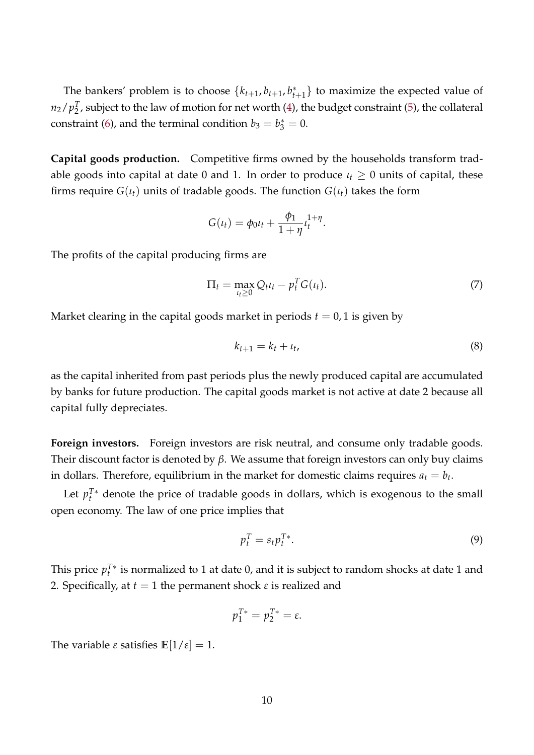The bankers' problem is to choose  $\{k_{t+1}, b_{t+1}, b_t\}$  $_{t+1}^*$ } to maximize the expected value of  $n_2/p_2^T$  $\frac{1}{2}$ , subject to the law of motion for net worth [\(4\)](#page-8-1), the budget constraint [\(5\)](#page-8-2), the collateral constraint [\(6\)](#page-8-3), and the terminal condition  $b_3 = b_3^* = 0$ .

**Capital goods production.** Competitive firms owned by the households transform tradable goods into capital at date 0 and 1. In order to produce  $\iota_t \geq 0$  units of capital, these firms require  $G(t_t)$  units of tradable goods. The function  $G(t_t)$  takes the form

<span id="page-9-1"></span>
$$
G(\iota_t) = \phi_0 \iota_t + \frac{\phi_1}{1 + \eta} \iota_t^{1 + \eta}.
$$

The profits of the capital producing firms are

$$
\Pi_t = \max_{\iota_t \ge 0} Q_t \iota_t - p_t^T G(\iota_t). \tag{7}
$$

Market clearing in the capital goods market in periods  $t = 0$ , 1 is given by

$$
k_{t+1} = k_t + \iota_t,\tag{8}
$$

as the capital inherited from past periods plus the newly produced capital are accumulated by banks for future production. The capital goods market is not active at date 2 because all capital fully depreciates.

**Foreign investors.** Foreign investors are risk neutral, and consume only tradable goods. Their discount factor is denoted by *β*. We assume that foreign investors can only buy claims in dollars. Therefore, equilibrium in the market for domestic claims requires  $a_t = b_t$ .

Let  $p_t^{T*}$  denote the price of tradable goods in dollars, which is exogenous to the small open economy. The law of one price implies that

<span id="page-9-0"></span>
$$
p_t^T = s_t p_t^{T*}.\tag{9}
$$

This price  $p_t^{T*}$  is normalized to 1 at date 0, and it is subject to random shocks at date 1 and 2. Specifically, at  $t = 1$  the permanent shock  $\varepsilon$  is realized and

$$
p_1^{T*}=p_2^{T*}=\varepsilon.
$$

The variable  $\varepsilon$  satisfies  $\mathbb{E}[1/\varepsilon] = 1$ .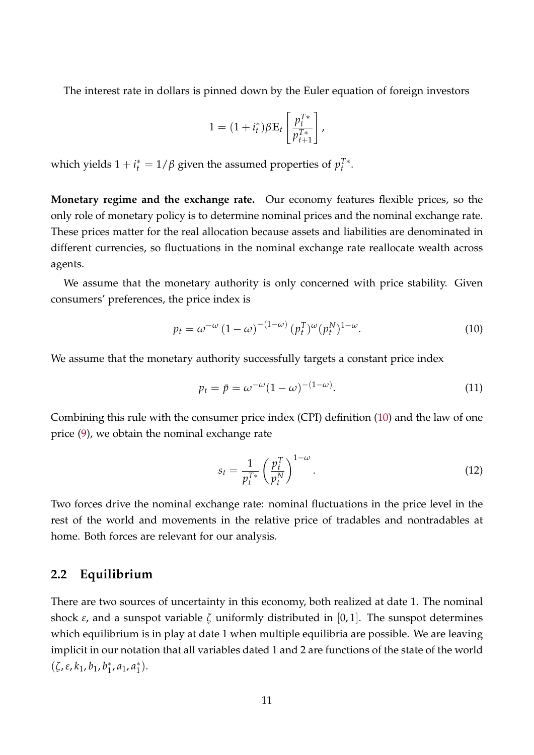The interest rate in dollars is pinned down by the Euler equation of foreign investors

$$
1 = (1 + i_t^*)\beta \mathbb{E}_t \left[ \frac{p_t^{T*}}{p_{t+1}^{T*}} \right],
$$

which yields  $1 + i_t^* = 1/\beta$  given the assumed properties of  $p_t^{T*}$ .

**Monetary regime and the exchange rate.** Our economy features flexible prices, so the only role of monetary policy is to determine nominal prices and the nominal exchange rate. These prices matter for the real allocation because assets and liabilities are denominated in different currencies, so fluctuations in the nominal exchange rate reallocate wealth across agents.

We assume that the monetary authority is only concerned with price stability. Given consumers' preferences, the price index is

<span id="page-10-0"></span>
$$
p_t = \omega^{-\omega} \left(1 - \omega\right)^{-(1-\omega)} \left(p_t^T\right)^{\omega} \left(p_t^N\right)^{1-\omega}.
$$
\n<sup>(10)</sup>

We assume that the monetary authority successfully targets a constant price index

$$
p_t = \bar{p} = \omega^{-\omega} (1 - \omega)^{-(1 - \omega)}.
$$
\n
$$
(11)
$$

Combining this rule with the consumer price index (CPI) definition [\(10\)](#page-10-0) and the law of one price [\(9\)](#page-9-0), we obtain the nominal exchange rate

<span id="page-10-1"></span>
$$
s_t = \frac{1}{p_t^{T*}} \left(\frac{p_t^T}{p_t^N}\right)^{1-\omega}.
$$
\n(12)

Two forces drive the nominal exchange rate: nominal fluctuations in the price level in the rest of the world and movements in the relative price of tradables and nontradables at home. Both forces are relevant for our analysis.

## **2.2 Equilibrium**

There are two sources of uncertainty in this economy, both realized at date 1. The nominal shock  $\varepsilon$ , and a sunspot variable  $\zeta$  uniformly distributed in [0,1]. The sunspot determines which equilibrium is in play at date 1 when multiple equilibria are possible. We are leaving implicit in our notation that all variables dated 1 and 2 are functions of the state of the world (*ζ*,*ε*, *k*1, *b*1, *b* ∗  $_{1}^{*}$ ,  $a_{1}$ ,  $a_{1}^{*}$  $_{1}^{*}$ ).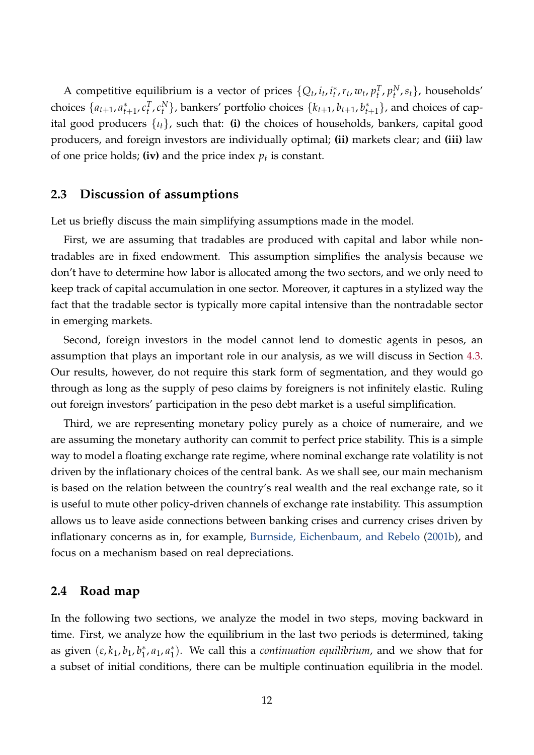A competitive equilibrium is a vector of prices  $\{Q_t, i_t, i_t^*\}$  $t^*$ ,  $r_t$ ,  $w_t$ ,  $p_t^T$ ,  $p_t^N$ ,  $s_t$ }, households' choices  $\{a_{t+1}, a_t^* \}$  $t_{t+1}$ ,  $c_t^T$ ,  $c_t^N$ }, bankers' portfolio choices  $\{k_{t+1}, b_{t+1}, b_t^T\}$  $_{t+1}^*$ }, and choices of capital good producers {*ιt*}, such that: **(i)** the choices of households, bankers, capital good producers, and foreign investors are individually optimal; **(ii)** markets clear; and **(iii)** law of one price holds; **(iv)** and the price index *p<sup>t</sup>* is constant.

### **2.3 Discussion of assumptions**

Let us briefly discuss the main simplifying assumptions made in the model.

First, we are assuming that tradables are produced with capital and labor while nontradables are in fixed endowment. This assumption simplifies the analysis because we don't have to determine how labor is allocated among the two sectors, and we only need to keep track of capital accumulation in one sector. Moreover, it captures in a stylized way the fact that the tradable sector is typically more capital intensive than the nontradable sector in emerging markets.

Second, foreign investors in the model cannot lend to domestic agents in pesos, an assumption that plays an important role in our analysis, as we will discuss in Section [4.3.](#page-25-0) Our results, however, do not require this stark form of segmentation, and they would go through as long as the supply of peso claims by foreigners is not infinitely elastic. Ruling out foreign investors' participation in the peso debt market is a useful simplification.

Third, we are representing monetary policy purely as a choice of numeraire, and we are assuming the monetary authority can commit to perfect price stability. This is a simple way to model a floating exchange rate regime, where nominal exchange rate volatility is not driven by the inflationary choices of the central bank. As we shall see, our main mechanism is based on the relation between the country's real wealth and the real exchange rate, so it is useful to mute other policy-driven channels of exchange rate instability. This assumption allows us to leave aside connections between banking crises and currency crises driven by inflationary concerns as in, for example, [Burnside, Eichenbaum, and Rebelo](#page-40-0) [\(2001b\)](#page-40-0), and focus on a mechanism based on real depreciations.

### **2.4 Road map**

In the following two sections, we analyze the model in two steps, moving backward in time. First, we analyze how the equilibrium in the last two periods is determined, taking as given  $(\varepsilon, k_1, b_1, b_1^*)$  $a_1^*$ ,  $a_1$ ,  $a_1^*$ 1 ). We call this a *continuation equilibrium*, and we show that for a subset of initial conditions, there can be multiple continuation equilibria in the model.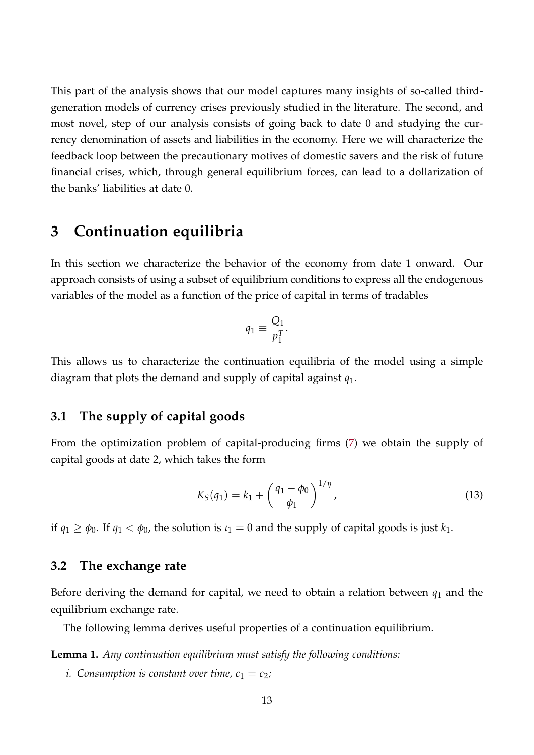This part of the analysis shows that our model captures many insights of so-called thirdgeneration models of currency crises previously studied in the literature. The second, and most novel, step of our analysis consists of going back to date 0 and studying the currency denomination of assets and liabilities in the economy. Here we will characterize the feedback loop between the precautionary motives of domestic savers and the risk of future financial crises, which, through general equilibrium forces, can lead to a dollarization of the banks' liabilities at date 0.

## <span id="page-12-0"></span>**3 Continuation equilibria**

In this section we characterize the behavior of the economy from date 1 onward. Our approach consists of using a subset of equilibrium conditions to express all the endogenous variables of the model as a function of the price of capital in terms of tradables

$$
q_1 \equiv \frac{Q_1}{p_1^T}.
$$

This allows us to characterize the continuation equilibria of the model using a simple diagram that plots the demand and supply of capital against *q*1.

## **3.1 The supply of capital goods**

From the optimization problem of capital-producing firms [\(7\)](#page-9-1) we obtain the supply of capital goods at date 2, which takes the form

<span id="page-12-1"></span>
$$
K_S(q_1) = k_1 + \left(\frac{q_1 - \phi_0}{\phi_1}\right)^{1/\eta},\tag{13}
$$

if  $q_1 \ge \phi_0$ . If  $q_1 < \phi_0$ , the solution is  $\iota_1 = 0$  and the supply of capital goods is just  $k_1$ .

### **3.2 The exchange rate**

Before deriving the demand for capital, we need to obtain a relation between  $q_1$  and the equilibrium exchange rate.

The following lemma derives useful properties of a continuation equilibrium.

<span id="page-12-2"></span>**Lemma 1.** *Any continuation equilibrium must satisfy the following conditions:*

*i.* Consumption is constant over time,  $c_1 = c_2$ ;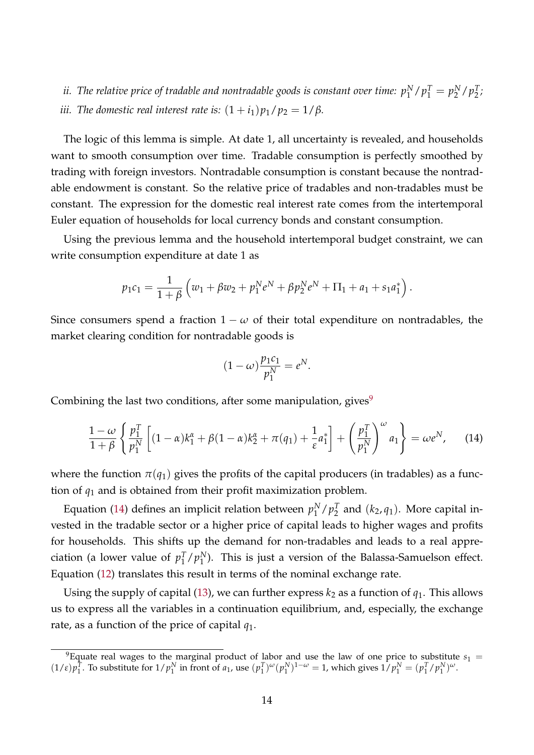$i$ i. The relative price of tradable and nontradable goods is constant over time:  $p_1^N/p_1^T = p_2^N$  $^{N}_{2}/p_{2}^{T}$  $\frac{1}{2}$ ; *iii. The domestic real interest rate is:*  $(1 + i_1)p_1/p_2 = 1/\beta$ *.* 

The logic of this lemma is simple. At date 1, all uncertainty is revealed, and households want to smooth consumption over time. Tradable consumption is perfectly smoothed by trading with foreign investors. Nontradable consumption is constant because the nontradable endowment is constant. So the relative price of tradables and non-tradables must be constant. The expression for the domestic real interest rate comes from the intertemporal Euler equation of households for local currency bonds and constant consumption.

Using the previous lemma and the household intertemporal budget constraint, we can write consumption expenditure at date 1 as

$$
p_1c_1 = \frac{1}{1+\beta} \left( w_1 + \beta w_2 + p_1^N e^N + \beta p_2^N e^N + \Pi_1 + a_1 + s_1 a_1^* \right).
$$

Since consumers spend a fraction  $1 - \omega$  of their total expenditure on nontradables, the market clearing condition for nontradable goods is

<span id="page-13-1"></span>
$$
(1 - \omega) \frac{p_1 c_1}{p_1^N} = e^N.
$$

Combining the last two conditions, after some manipulation, gives $9$ 

$$
\frac{1-\omega}{1+\beta} \left\{ \frac{p_1^T}{p_1^N} \left[ (1-\alpha)k_1^{\alpha} + \beta (1-\alpha)k_2^{\alpha} + \pi (q_1) + \frac{1}{\varepsilon} a_1^* \right] + \left( \frac{p_1^T}{p_1^N} \right)^{\omega} a_1 \right\} = \omega e^N, \quad (14)
$$

where the function  $\pi(q_1)$  gives the profits of the capital producers (in tradables) as a function of *q*<sup>1</sup> and is obtained from their profit maximization problem.

Equation [\(14\)](#page-13-1) defines an implicit relation between  $p_1^N$  $^{N}_{1}/p_{2}^{T}$  $\frac{T}{2}$  and  $(k_2, q_1)$ . More capital invested in the tradable sector or a higher price of capital leads to higher wages and profits for households. This shifts up the demand for non-tradables and leads to a real appreciation (a lower value of  $p_1^T$  $\int_1^T/p_1^N$  $_1^N$ ). This is just a version of the Balassa-Samuelson effect. Equation [\(12\)](#page-10-1) translates this result in terms of the nominal exchange rate.

Using the supply of capital [\(13\)](#page-12-1), we can further express  $k_2$  as a function of  $q_1$ . This allows us to express all the variables in a continuation equilibrium, and, especially, the exchange rate, as a function of the price of capital *q*1.

<span id="page-13-0"></span><sup>&</sup>lt;sup>9</sup>Equate real wages to the marginal product of labor and use the law of one price to substitute  $s_1$  $(1/\varepsilon)p_1^T$ . To substitute for  $1/p_1^N$  in front of  $a_1$ , use  $(p_1^T)^{\omega}(p_1^N)^{1-\omega} = 1$ , which gives  $1/p_1^N = (p_1^T/p_1^N)^{\omega}$ .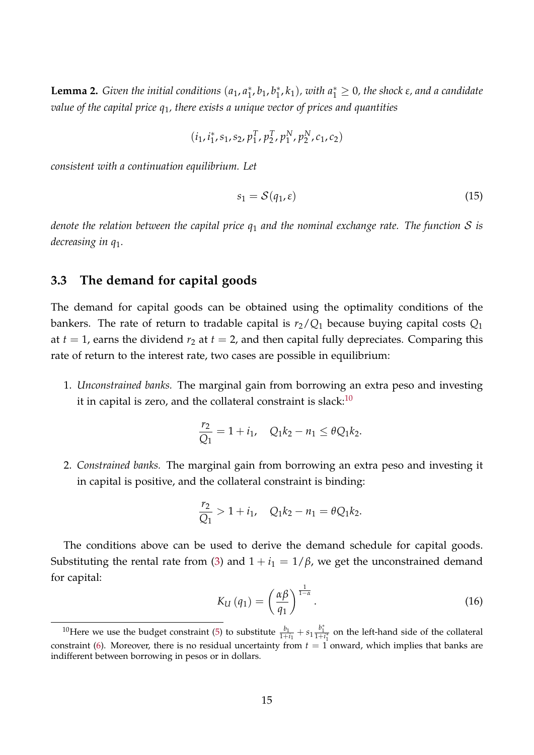**Lemma 2.** *Given the initial conditions*  $(a_1, a_1)$  $j<sub>1</sub>$ ,  $b<sub>1</sub>$ ,  $b<sub>1</sub>$ <sup>\*</sup>  $\binom{*}{1}$ , *with*  $a_1^* \geq 0$ , the shock ε, and a candidate *value of the capital price q*1*, there exists a unique vector of prices and quantities*

$$
(i_1, i_1^*, s_1, s_2, p_1^T, p_2^T, p_1^N, p_2^N, c_1, c_2)
$$

*consistent with a continuation equilibrium. Let*

<span id="page-14-1"></span>
$$
s_1 = \mathcal{S}(q_1, \varepsilon) \tag{15}
$$

*denote the relation between the capital price q*<sup>1</sup> *and the nominal exchange rate. The function* S *is decreasing in q*1*.*

### **3.3 The demand for capital goods**

The demand for capital goods can be obtained using the optimality conditions of the bankers. The rate of return to tradable capital is  $r_2/Q_1$  because buying capital costs  $Q_1$ at  $t = 1$ , earns the dividend  $r_2$  at  $t = 2$ , and then capital fully depreciates. Comparing this rate of return to the interest rate, two cases are possible in equilibrium:

1. *Unconstrained banks.* The marginal gain from borrowing an extra peso and investing it in capital is zero, and the collateral constraint is slack: $10$ 

$$
\frac{r_2}{Q_1} = 1 + i_1, \quad Q_1 k_2 - n_1 \le \theta Q_1 k_2.
$$

2. *Constrained banks.* The marginal gain from borrowing an extra peso and investing it in capital is positive, and the collateral constraint is binding:

$$
\frac{r_2}{Q_1} > 1 + i_1, \quad Q_1 k_2 - n_1 = \theta Q_1 k_2.
$$

The conditions above can be used to derive the demand schedule for capital goods. Substituting the rental rate from [\(3\)](#page-8-4) and  $1 + i_1 = 1/\beta$ , we get the unconstrained demand for capital:

$$
K_{U}(q_{1}) = \left(\frac{\alpha\beta}{q_{1}}\right)^{\frac{1}{1-\alpha}}.
$$
\n(16)

<span id="page-14-0"></span><sup>&</sup>lt;sup>10</sup>Here we use the budget constraint [\(5\)](#page-8-2) to substitute  $\frac{b_1}{1+i_1} + s_1 \frac{b_1^*}{1+i_1^*}$  on the left-hand side of the collateral constraint [\(6\)](#page-8-3). Moreover, there is no residual uncertainty from  $t = 1$  onward, which implies that banks are indifferent between borrowing in pesos or in dollars.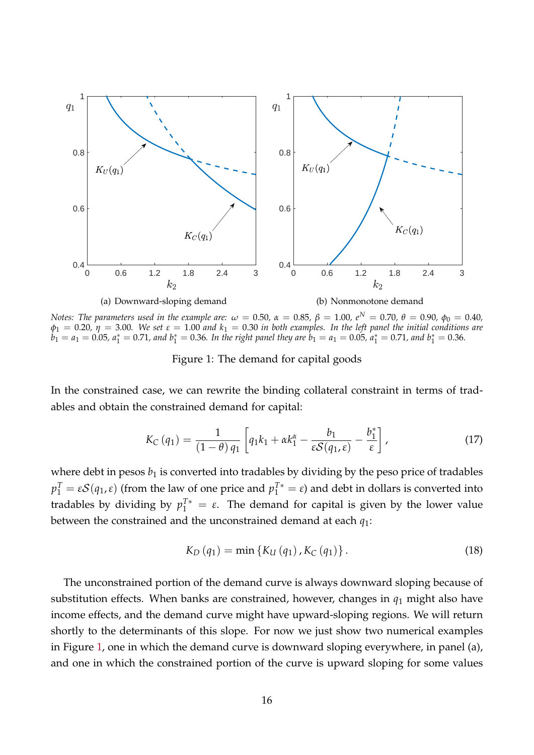

*Notes: The parameters used in the example are:*  $ω = 0.50$ ,  $α = 0.85$ ,  $β = 1.00$ ,  $e^N = 0.70$ ,  $θ = 0.90$ ,  $φ_0 = 0.40$ ,  $\phi_1 = 0.20$ ,  $\eta = 3.00$ . We set  $\varepsilon = 1.00$  and  $k_1 = 0.30$  in both examples. In the left panel the initial conditions are  $\dot{b}_1 = a_1 = 0.05$ ,  $a_1^* = 0.71$ , and  $b_1^* = 0.36$ . In the right panel they are  $b_1 = a_1 = 0.05$ ,  $a_1^* = 0.71$ , and  $b_1^* = 0.36$ .

<span id="page-15-1"></span><span id="page-15-0"></span>Figure 1: The demand for capital goods

In the constrained case, we can rewrite the binding collateral constraint in terms of tradables and obtain the constrained demand for capital:

$$
K_C(q_1) = \frac{1}{(1-\theta) q_1} \left[ q_1 k_1 + \alpha k_1^{\alpha} - \frac{b_1}{\varepsilon S(q_1, \varepsilon)} - \frac{b_1^*}{\varepsilon} \right],
$$
\n(17)

where debt in pesos  $b_1$  is converted into tradables by dividing by the peso price of tradables *p*<sub>1</sub><sup>*T*</sup> = *εS*(*q*<sub>1</sub>,*ε*) (from the law of one price and *p*<sub>1</sub><sup>*T*\*</sup> = *ε*) and debt in dollars is converted into tradables by dividing by  $p_1^{T*} = \varepsilon$ . The demand for capital is given by the lower value between the constrained and the unconstrained demand at each *q*1:

<span id="page-15-2"></span>
$$
K_{D}(q_{1}) = \min\{K_{U}(q_{1}), K_{C}(q_{1})\}.
$$
\n(18)

The unconstrained portion of the demand curve is always downward sloping because of substitution effects. When banks are constrained, however, changes in *q*<sup>1</sup> might also have income effects, and the demand curve might have upward-sloping regions. We will return shortly to the determinants of this slope. For now we just show two numerical examples in Figure [1,](#page-15-0) one in which the demand curve is downward sloping everywhere, in panel (a), and one in which the constrained portion of the curve is upward sloping for some values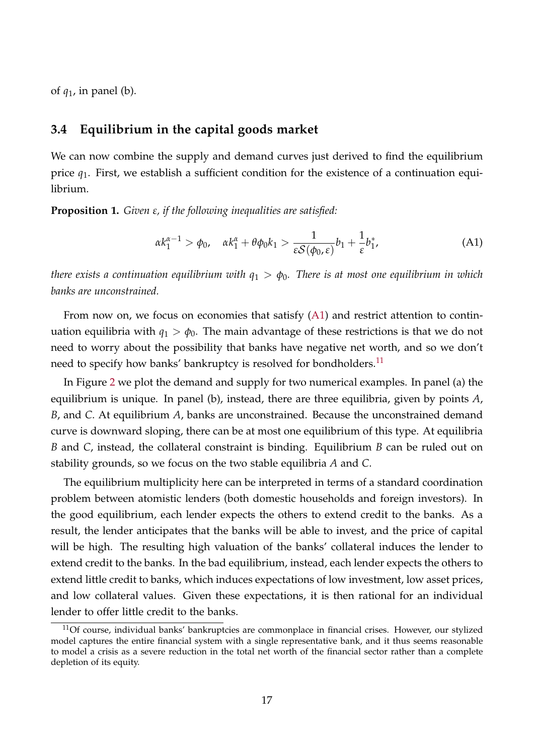of *q*1, in panel (b).

### **3.4 Equilibrium in the capital goods market**

We can now combine the supply and demand curves just derived to find the equilibrium price *q*1. First, we establish a sufficient condition for the existence of a continuation equilibrium.

**Proposition 1.** *Given ε, if the following inequalities are satisfied:*

<span id="page-16-0"></span>
$$
\alpha k_1^{\alpha-1} > \phi_0, \quad \alpha k_1^{\alpha} + \theta \phi_0 k_1 > \frac{1}{\varepsilon \mathcal{S}(\phi_0, \varepsilon)} b_1 + \frac{1}{\varepsilon} b_1^*, \tag{A1}
$$

*there exists a continuation equilibrium with*  $q_1 > \phi_0$ . *There is at most one equilibrium in which banks are unconstrained.*

From now on, we focus on economies that satisfy [\(A1\)](#page-16-0) and restrict attention to continuation equilibria with  $q_1 > \phi_0$ . The main advantage of these restrictions is that we do not need to worry about the possibility that banks have negative net worth, and so we don't need to specify how banks' bankruptcy is resolved for bondholders.<sup>[11](#page-16-1)</sup>

In Figure [2](#page-17-0) we plot the demand and supply for two numerical examples. In panel (a) the equilibrium is unique. In panel (b), instead, there are three equilibria, given by points *A*, *B*, and *C*. At equilibrium *A*, banks are unconstrained. Because the unconstrained demand curve is downward sloping, there can be at most one equilibrium of this type. At equilibria *B* and *C*, instead, the collateral constraint is binding. Equilibrium *B* can be ruled out on stability grounds, so we focus on the two stable equilibria *A* and *C*.

The equilibrium multiplicity here can be interpreted in terms of a standard coordination problem between atomistic lenders (both domestic households and foreign investors). In the good equilibrium, each lender expects the others to extend credit to the banks. As a result, the lender anticipates that the banks will be able to invest, and the price of capital will be high. The resulting high valuation of the banks' collateral induces the lender to extend credit to the banks. In the bad equilibrium, instead, each lender expects the others to extend little credit to banks, which induces expectations of low investment, low asset prices, and low collateral values. Given these expectations, it is then rational for an individual lender to offer little credit to the banks.

<span id="page-16-1"></span> $11$ Of course, individual banks' bankruptcies are commonplace in financial crises. However, our stylized model captures the entire financial system with a single representative bank, and it thus seems reasonable to model a crisis as a severe reduction in the total net worth of the financial sector rather than a complete depletion of its equity.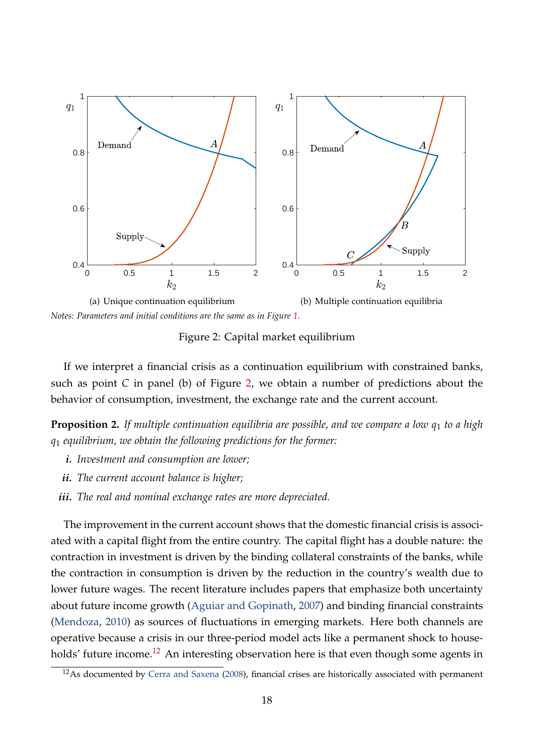

*Notes: Parameters and initial conditions are the same as in Figure [1.](#page-15-0)*

<span id="page-17-0"></span>Figure 2: Capital market equilibrium

If we interpret a financial crisis as a continuation equilibrium with constrained banks, such as point *C* in panel (b) of Figure [2,](#page-17-0) we obtain a number of predictions about the behavior of consumption, investment, the exchange rate and the current account.

<span id="page-17-2"></span>**Proposition 2.** If multiple continuation equilibria are possible, and we compare a low  $q_1$  to a high *q*<sup>1</sup> *equilibrium, we obtain the following predictions for the former:*

- *i. Investment and consumption are lower;*
- *ii. The current account balance is higher;*
- *iii. The real and nominal exchange rates are more depreciated.*

The improvement in the current account shows that the domestic financial crisis is associated with a capital flight from the entire country. The capital flight has a double nature: the contraction in investment is driven by the binding collateral constraints of the banks, while the contraction in consumption is driven by the reduction in the country's wealth due to lower future wages. The recent literature includes papers that emphasize both uncertainty about future income growth [\(Aguiar and Gopinath,](#page-39-10) [2007\)](#page-39-10) and binding financial constraints [\(Mendoza,](#page-42-9) [2010\)](#page-42-9) as sources of fluctuations in emerging markets. Here both channels are operative because a crisis in our three-period model acts like a permanent shock to house-holds' future income.<sup>[12](#page-17-1)</sup> An interesting observation here is that even though some agents in

<span id="page-17-1"></span> $12$ As documented by [Cerra and Saxena](#page-40-12) [\(2008\)](#page-40-12), financial crises are historically associated with permanent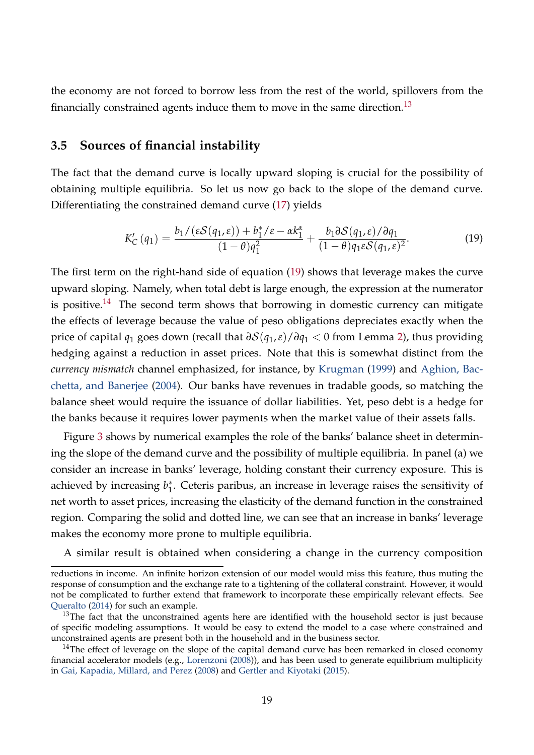the economy are not forced to borrow less from the rest of the world, spillovers from the financially constrained agents induce them to move in the same direction.<sup>[13](#page-18-0)</sup>

### **3.5 Sources of financial instability**

The fact that the demand curve is locally upward sloping is crucial for the possibility of obtaining multiple equilibria. So let us now go back to the slope of the demand curve. Differentiating the constrained demand curve [\(17\)](#page-15-1) yields

$$
K'_{C}(q_{1}) = \frac{b_{1}/(\varepsilon S(q_{1}, \varepsilon)) + b_{1}^{*}/\varepsilon - \alpha k_{1}^{\alpha}}{(1 - \theta)q_{1}^{2}} + \frac{b_{1}\partial S(q_{1}, \varepsilon)/\partial q_{1}}{(1 - \theta)q_{1}\varepsilon S(q_{1}, \varepsilon)^{2}}.
$$
\n(19)

The first term on the right-hand side of equation [\(19\)](#page-16-0) shows that leverage makes the curve upward sloping. Namely, when total debt is large enough, the expression at the numerator is positive.<sup>[14](#page-18-1)</sup> The second term shows that borrowing in domestic currency can mitigate the effects of leverage because the value of peso obligations depreciates exactly when the price of capital *q*<sup>1</sup> goes down (recall that *∂*S(*q*1,*ε*)/*∂q*<sup>1</sup> < 0 from Lemma [2\)](#page-14-1), thus providing hedging against a reduction in asset prices. Note that this is somewhat distinct from the *currency mismatch* channel emphasized, for instance, by [Krugman](#page-42-1) [\(1999\)](#page-42-1) and [Aghion, Bac](#page-39-5)[chetta, and Banerjee](#page-39-5) [\(2004\)](#page-39-5). Our banks have revenues in tradable goods, so matching the balance sheet would require the issuance of dollar liabilities. Yet, peso debt is a hedge for the banks because it requires lower payments when the market value of their assets falls.

Figure [3](#page-19-0) shows by numerical examples the role of the banks' balance sheet in determining the slope of the demand curve and the possibility of multiple equilibria. In panel (a) we consider an increase in banks' leverage, holding constant their currency exposure. This is achieved by increasing *b* ∗  $_{1}^{*}$ . Ceteris paribus, an increase in leverage raises the sensitivity of net worth to asset prices, increasing the elasticity of the demand function in the constrained region. Comparing the solid and dotted line, we can see that an increase in banks' leverage makes the economy more prone to multiple equilibria.

A similar result is obtained when considering a change in the currency composition

reductions in income. An infinite horizon extension of our model would miss this feature, thus muting the response of consumption and the exchange rate to a tightening of the collateral constraint. However, it would not be complicated to further extend that framework to incorporate these empirically relevant effects. See [Queralto](#page-43-4) [\(2014\)](#page-43-4) for such an example.

<span id="page-18-0"></span> $13$ The fact that the unconstrained agents here are identified with the household sector is just because of specific modeling assumptions. It would be easy to extend the model to a case where constrained and unconstrained agents are present both in the household and in the business sector.

<span id="page-18-1"></span><sup>&</sup>lt;sup>14</sup>The effect of leverage on the slope of the capital demand curve has been remarked in closed economy financial accelerator models (e.g., [Lorenzoni](#page-42-10) [\(2008\)](#page-42-10)), and has been used to generate equilibrium multiplicity in [Gai, Kapadia, Millard, and Perez](#page-41-12) [\(2008\)](#page-41-12) and [Gertler and Kiyotaki](#page-41-6) [\(2015\)](#page-41-6).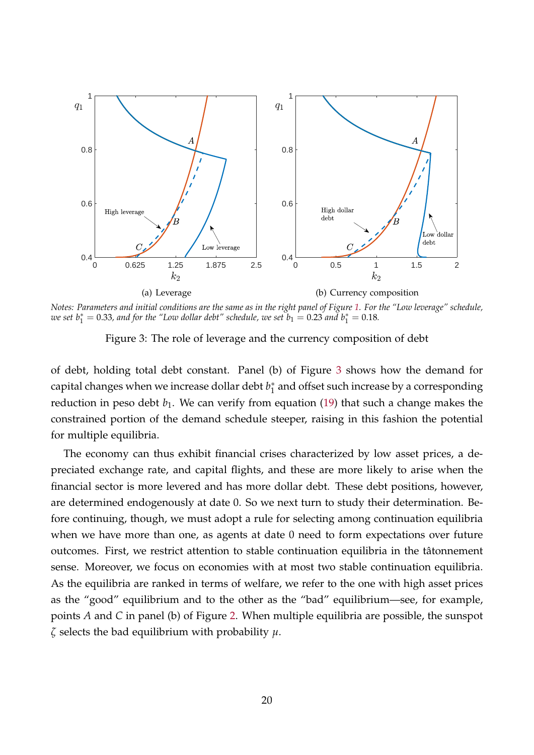

*Notes: Parameters and initial conditions are the same as in the right panel of Figure [1.](#page-15-0) For the "Low leverage" schedule, we set b* $_1^* = 0.33$ , and for the "Low dollar debt" schedule, we set  $b_1 = 0.23$  and  $b_1^* = 0.18$ .

<span id="page-19-0"></span>Figure 3: The role of leverage and the currency composition of debt

of debt, holding total debt constant. Panel (b) of Figure [3](#page-19-0) shows how the demand for capital changes when we increase dollar debt *b* ∗  $_1^\ast$  and offset such increase by a corresponding reduction in peso debt  $b_1$ . We can verify from equation [\(19\)](#page-16-0) that such a change makes the constrained portion of the demand schedule steeper, raising in this fashion the potential for multiple equilibria.

The economy can thus exhibit financial crises characterized by low asset prices, a depreciated exchange rate, and capital flights, and these are more likely to arise when the financial sector is more levered and has more dollar debt. These debt positions, however, are determined endogenously at date 0. So we next turn to study their determination. Before continuing, though, we must adopt a rule for selecting among continuation equilibria when we have more than one, as agents at date 0 need to form expectations over future outcomes. First, we restrict attention to stable continuation equilibria in the tâtonnement sense. Moreover, we focus on economies with at most two stable continuation equilibria. As the equilibria are ranked in terms of welfare, we refer to the one with high asset prices as the "good" equilibrium and to the other as the "bad" equilibrium—see, for example, points *A* and *C* in panel (b) of Figure [2.](#page-17-0) When multiple equilibria are possible, the sunspot *ζ* selects the bad equilibrium with probability *µ*.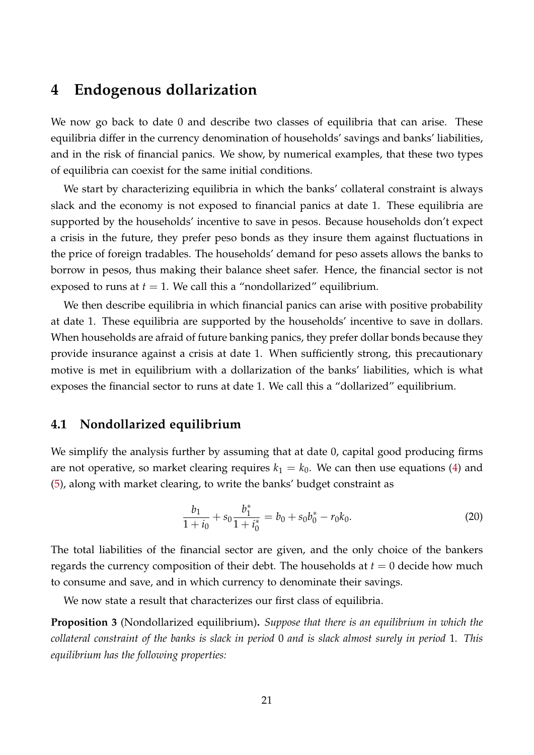## <span id="page-20-0"></span>**4 Endogenous dollarization**

We now go back to date 0 and describe two classes of equilibria that can arise. These equilibria differ in the currency denomination of households' savings and banks' liabilities, and in the risk of financial panics. We show, by numerical examples, that these two types of equilibria can coexist for the same initial conditions.

We start by characterizing equilibria in which the banks' collateral constraint is always slack and the economy is not exposed to financial panics at date 1. These equilibria are supported by the households' incentive to save in pesos. Because households don't expect a crisis in the future, they prefer peso bonds as they insure them against fluctuations in the price of foreign tradables. The households' demand for peso assets allows the banks to borrow in pesos, thus making their balance sheet safer. Hence, the financial sector is not exposed to runs at  $t = 1$ . We call this a "nondollarized" equilibrium.

We then describe equilibria in which financial panics can arise with positive probability at date 1. These equilibria are supported by the households' incentive to save in dollars. When households are afraid of future banking panics, they prefer dollar bonds because they provide insurance against a crisis at date 1. When sufficiently strong, this precautionary motive is met in equilibrium with a dollarization of the banks' liabilities, which is what exposes the financial sector to runs at date 1. We call this a "dollarized" equilibrium.

## **4.1 Nondollarized equilibrium**

We simplify the analysis further by assuming that at date 0, capital good producing firms are not operative, so market clearing requires  $k_1 = k_0$ . We can then use equations [\(4\)](#page-8-1) and [\(5\)](#page-8-2), along with market clearing, to write the banks' budget constraint as

<span id="page-20-1"></span>
$$
\frac{b_1}{1+i_0} + s_0 \frac{b_1^*}{1+i_0^*} = b_0 + s_0 b_0^* - r_0 k_0.
$$
 (20)

The total liabilities of the financial sector are given, and the only choice of the bankers regards the currency composition of their debt. The households at  $t = 0$  decide how much to consume and save, and in which currency to denominate their savings.

We now state a result that characterizes our first class of equilibria.

**Proposition 3** (Nondollarized equilibrium)**.** *Suppose that there is an equilibrium in which the collateral constraint of the banks is slack in period* 0 *and is slack almost surely in period* 1*. This equilibrium has the following properties:*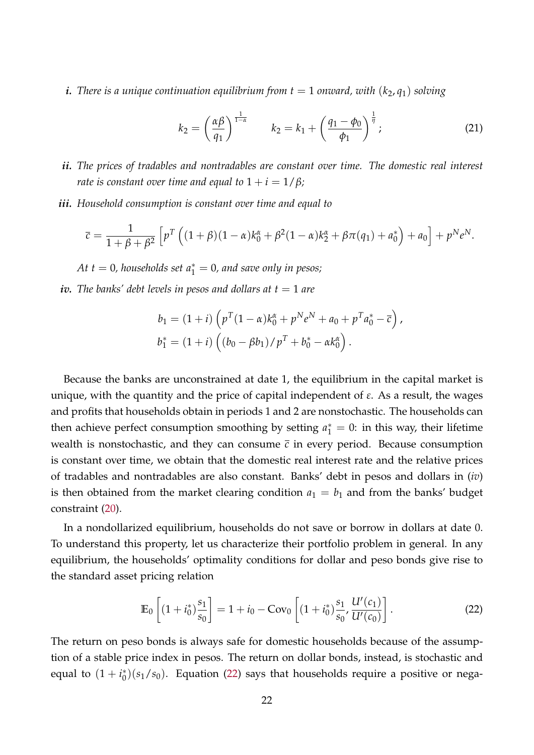*i.* There is a unique continuation equilibrium from  $t = 1$  onward, with  $(k_2, q_1)$  solving

<span id="page-21-1"></span>
$$
k_2 = \left(\frac{\alpha \beta}{q_1}\right)^{\frac{1}{1-\alpha}} \qquad k_2 = k_1 + \left(\frac{q_1 - \phi_0}{\phi_1}\right)^{\frac{1}{\eta}}; \tag{21}
$$

- *ii. The prices of tradables and nontradables are constant over time. The domestic real interest rate is constant over time and equal to*  $1 + i = 1/\beta$ *;*
- *iii. Household consumption is constant over time and equal to*

$$
\overline{c} = \frac{1}{1 + \beta + \beta^2} \left[ p^T \left( (1 + \beta)(1 - \alpha)k_0^{\alpha} + \beta^2 (1 - \alpha)k_2^{\alpha} + \beta \pi (q_1) + a_0^* \right) + a_0 \right] + p^N e^N.
$$

 $At t = 0$ , households set  $a_1^* = 0$ , and save only in pesos;

*iv.* The banks' debt levels in pesos and dollars at  $t = 1$  are

$$
b_1 = (1 + i) \left( p^T (1 - \alpha) k_0^{\alpha} + p^N e^N + a_0 + p^T a_0^* - \overline{c} \right),
$$
  

$$
b_1^* = (1 + i) \left( (b_0 - \beta b_1) / p^T + b_0^* - \alpha k_0^{\alpha} \right).
$$

Because the banks are unconstrained at date 1, the equilibrium in the capital market is unique, with the quantity and the price of capital independent of *ε*. As a result, the wages and profits that households obtain in periods 1 and 2 are nonstochastic. The households can then achieve perfect consumption smoothing by setting  $a_1^* = 0$ : in this way, their lifetime wealth is nonstochastic, and they can consume  $\bar{c}$  in every period. Because consumption is constant over time, we obtain that the domestic real interest rate and the relative prices of tradables and nontradables are also constant. Banks' debt in pesos and dollars in (*iv*) is then obtained from the market clearing condition  $a_1 = b_1$  and from the banks' budget constraint [\(20\)](#page-20-1).

In a nondollarized equilibrium, households do not save or borrow in dollars at date 0. To understand this property, let us characterize their portfolio problem in general. In any equilibrium, the households' optimality conditions for dollar and peso bonds give rise to the standard asset pricing relation

<span id="page-21-0"></span>
$$
\mathbb{E}_0\left[ (1+i_0^*) \frac{s_1}{s_0} \right] = 1 + i_0 - \text{Cov}_0 \left[ (1+i_0^*) \frac{s_1}{s_0}, \frac{U'(c_1)}{U'(c_0)} \right]. \tag{22}
$$

The return on peso bonds is always safe for domestic households because of the assumption of a stable price index in pesos. The return on dollar bonds, instead, is stochastic and equal to  $(1 + i_0^*)$  $\binom{*}{0}(s_1/s_0)$ . Equation [\(22\)](#page-21-0) says that households require a positive or nega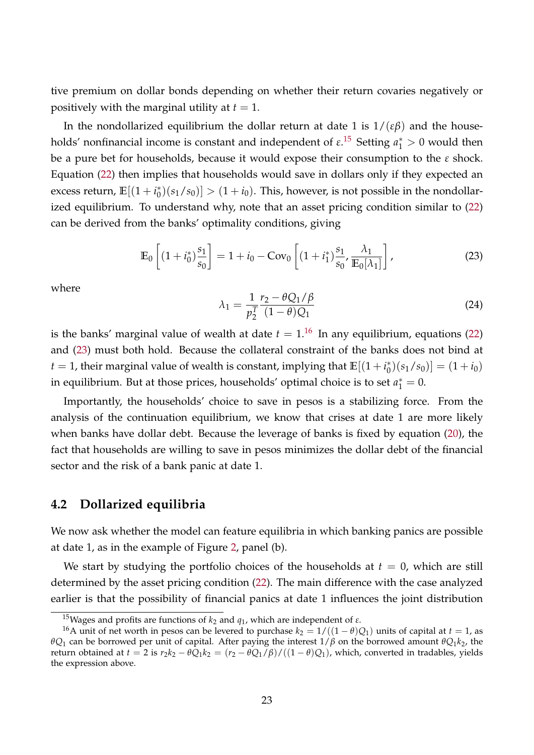tive premium on dollar bonds depending on whether their return covaries negatively or positively with the marginal utility at  $t = 1$ .

In the nondollarized equilibrium the dollar return at date 1 is  $1/(\varepsilon\beta)$  and the households' nonfinancial income is constant and independent of  $\varepsilon$ .<sup>[15](#page-22-0)</sup> Setting  $a_1^* > 0$  would then be a pure bet for households, because it would expose their consumption to the *ε* shock. Equation [\(22\)](#page-21-0) then implies that households would save in dollars only if they expected an excess return,  $\mathbb{E}[(1+i_0^*)]$  $\binom{1}{0}(s_1/s_0)] > (1 + i_0)$ . This, however, is not possible in the nondollarized equilibrium. To understand why, note that an asset pricing condition similar to [\(22\)](#page-21-0) can be derived from the banks' optimality conditions, giving

$$
\mathbb{E}_0\left[ (1+i_0^*) \frac{s_1}{s_0} \right] = 1 + i_0 - \text{Cov}_0 \left[ (1+i_1^*) \frac{s_1}{s_0} , \frac{\lambda_1}{\mathbb{E}_0[\lambda_1]} \right],\tag{23}
$$

<span id="page-22-3"></span>where

<span id="page-22-2"></span>
$$
\lambda_1 = \frac{1}{p_2^T} \frac{r_2 - \theta Q_1 / \beta}{(1 - \theta) Q_1}
$$
 (24)

is the banks' marginal value of wealth at date  $t = 1$ .<sup>[16](#page-22-1)</sup> In any equilibrium, equations [\(22\)](#page-21-0) and [\(23\)](#page-22-2) must both hold. Because the collateral constraint of the banks does not bind at  $t = 1$ , their marginal value of wealth is constant, implying that  $\mathbb{E}[(1 + i_0^*)^2]$  $\binom{1}{0}(s_1/s_0) = (1+i_0)$ in equilibrium. But at those prices, households' optimal choice is to set  $a_1^* = 0$ .

Importantly, the households' choice to save in pesos is a stabilizing force. From the analysis of the continuation equilibrium, we know that crises at date 1 are more likely when banks have dollar debt. Because the leverage of banks is fixed by equation [\(20\)](#page-20-1), the fact that households are willing to save in pesos minimizes the dollar debt of the financial sector and the risk of a bank panic at date 1.

### **4.2 Dollarized equilibria**

We now ask whether the model can feature equilibria in which banking panics are possible at date 1, as in the example of Figure [2,](#page-17-0) panel (b).

We start by studying the portfolio choices of the households at  $t = 0$ , which are still determined by the asset pricing condition [\(22\)](#page-21-0). The main difference with the case analyzed earlier is that the possibility of financial panics at date 1 influences the joint distribution

<span id="page-22-1"></span><span id="page-22-0"></span><sup>&</sup>lt;sup>15</sup>Wages and profits are functions of  $k_2$  and  $q_1$ , which are independent of  $\varepsilon$ .

<sup>&</sup>lt;sup>16</sup>A unit of net worth in pesos can be levered to purchase  $k_2 = 1/((1 - \theta)Q_1)$  units of capital at  $t = 1$ , as *θQ*<sup>1</sup> can be borrowed per unit of capital. After paying the interest 1/*β* on the borrowed amount *θQ*1*k*2, the return obtained at  $t = 2$  is  $r_2k_2 - \theta Q_1k_2 = (r_2 - \theta Q_1/\beta)/((1 - \theta)Q_1)$ , which, converted in tradables, yields the expression above.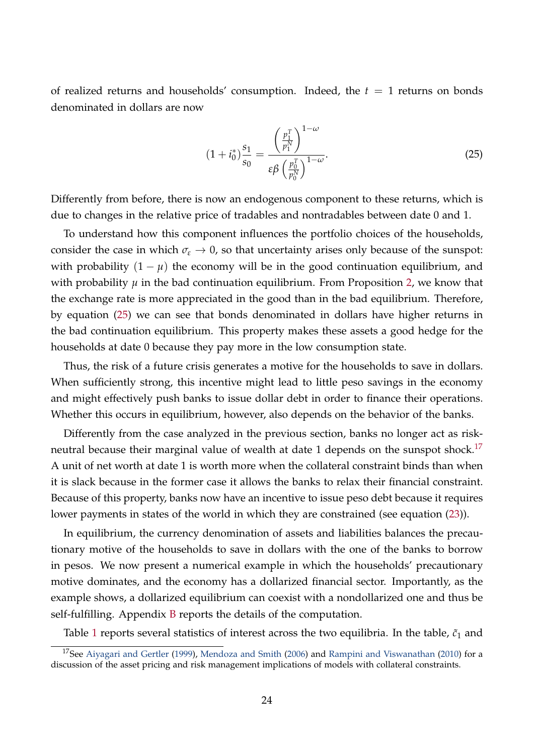of realized returns and households' consumption. Indeed, the  $t = 1$  returns on bonds denominated in dollars are now

<span id="page-23-0"></span>
$$
(1 + i_0^*) \frac{s_1}{s_0} = \frac{\left(\frac{p_1^T}{p_1^N}\right)^{1-\omega}}{\varepsilon \beta \left(\frac{p_0^T}{p_0^N}\right)^{1-\omega}}.
$$
\n(25)

Differently from before, there is now an endogenous component to these returns, which is due to changes in the relative price of tradables and nontradables between date 0 and 1.

To understand how this component influences the portfolio choices of the households, consider the case in which  $\sigma_{\epsilon} \rightarrow 0$ , so that uncertainty arises only because of the sunspot: with probability  $(1 - \mu)$  the economy will be in the good continuation equilibrium, and with probability  $\mu$  in the bad continuation equilibrium. From Proposition [2,](#page-17-2) we know that the exchange rate is more appreciated in the good than in the bad equilibrium. Therefore, by equation [\(25\)](#page-23-0) we can see that bonds denominated in dollars have higher returns in the bad continuation equilibrium. This property makes these assets a good hedge for the households at date 0 because they pay more in the low consumption state.

Thus, the risk of a future crisis generates a motive for the households to save in dollars. When sufficiently strong, this incentive might lead to little peso savings in the economy and might effectively push banks to issue dollar debt in order to finance their operations. Whether this occurs in equilibrium, however, also depends on the behavior of the banks.

Differently from the case analyzed in the previous section, banks no longer act as risk-neutral because their marginal value of wealth at date 1 depends on the sunspot shock.<sup>[17](#page-23-1)</sup> A unit of net worth at date 1 is worth more when the collateral constraint binds than when it is slack because in the former case it allows the banks to relax their financial constraint. Because of this property, banks now have an incentive to issue peso debt because it requires lower payments in states of the world in which they are constrained (see equation [\(23\)](#page-22-2)).

In equilibrium, the currency denomination of assets and liabilities balances the precautionary motive of the households to save in dollars with the one of the banks to borrow in pesos. We now present a numerical example in which the households' precautionary motive dominates, and the economy has a dollarized financial sector. Importantly, as the example shows, a dollarized equilibrium can coexist with a nondollarized one and thus be self-fulfilling. Appendix [B](#page-47-0) reports the details of the computation.

<span id="page-23-1"></span>Table [1](#page-24-0) reports several statistics of interest across the two equilibria. In the table,  $\tilde{c}_1$  and

<sup>&</sup>lt;sup>17</sup>See [Aiyagari and Gertler](#page-39-11) [\(1999\)](#page-39-11), [Mendoza and Smith](#page-42-11) [\(2006\)](#page-42-11) and [Rampini and Viswanathan](#page-43-5) [\(2010\)](#page-43-5) for a discussion of the asset pricing and risk management implications of models with collateral constraints.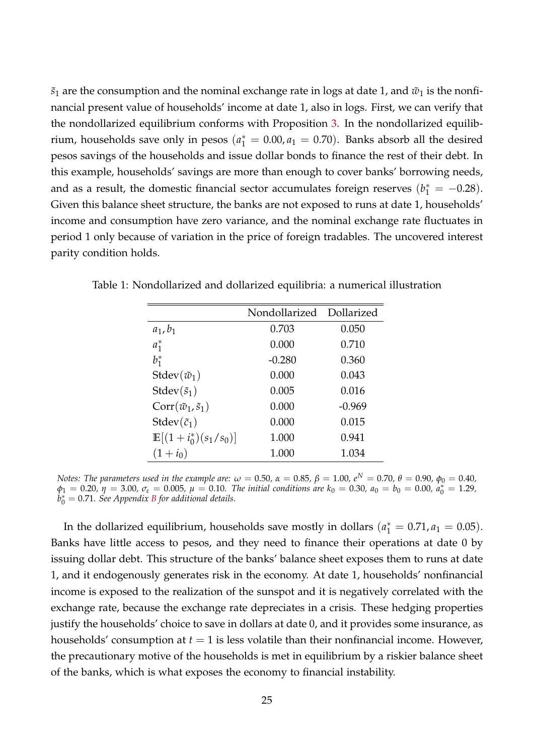$\tilde{s}_1$  are the consumption and the nominal exchange rate in logs at date 1, and  $\tilde{w}_1$  is the nonfinancial present value of households' income at date 1, also in logs. First, we can verify that the nondollarized equilibrium conforms with Proposition [3.](#page-21-1) In the nondollarized equilibrium, households save only in pesos  $(a_1^* = 0.00, a_1 = 0.70)$ . Banks absorb all the desired pesos savings of the households and issue dollar bonds to finance the rest of their debt. In this example, households' savings are more than enough to cover banks' borrowing needs, and as a result, the domestic financial sector accumulates foreign reserves  $(b_1^* = -0.28)$ . Given this balance sheet structure, the banks are not exposed to runs at date 1, households' income and consumption have zero variance, and the nominal exchange rate fluctuates in period 1 only because of variation in the price of foreign tradables. The uncovered interest parity condition holds.

<span id="page-24-0"></span>

|                                  | Nondollarized | Dollarized |
|----------------------------------|---------------|------------|
| $a_1, b_1$                       | 0.703         | 0.050      |
| $a_1^*$                          | 0.000         | 0.710      |
| $b_1^*$                          | $-0.280$      | 0.360      |
| Stdev $(\tilde{w}_1)$            | 0.000         | 0.043      |
| Stdev $(\tilde{s}_1)$            | 0.005         | 0.016      |
| $Corr(\tilde{w}_1, \tilde{s}_1)$ | 0.000         | $-0.969$   |
| Stdev $(\tilde{c}_1)$            | 0.000         | 0.015      |
| $\mathbb{E}[(1+i_0^*)(s_1/s_0)]$ | 1.000         | 0.941      |
| $(1+i_0)$                        | 1.000         | 1.034      |

Table 1: Nondollarized and dollarized equilibria: a numerical illustration

*Notes: The parameters used in the example are:*  $ω = 0.50$ ,  $α = 0.85$ ,  $β = 1.00$ ,  $e^N = 0.70$ ,  $θ = 0.90$ ,  $φ_0 = 0.40$ ,  $\varphi_1 = 0.20, \, \eta = 3.00, \, \sigma_{\varepsilon} = 0.005, \, \mu = 0.10$ . The initial conditions are  $k_0 = 0.30, \, a_0 = b_0 = 0.00, \, a_0^* = 1.29$ ,  $\dot{b}_0^* = 0.71$ *. See Appendix [B](#page-47-0) for additional details.* 

In the dollarized equilibrium, households save mostly in dollars  $(a_1^* = 0.71, a_1 = 0.05)$ . Banks have little access to pesos, and they need to finance their operations at date 0 by issuing dollar debt. This structure of the banks' balance sheet exposes them to runs at date 1, and it endogenously generates risk in the economy. At date 1, households' nonfinancial income is exposed to the realization of the sunspot and it is negatively correlated with the exchange rate, because the exchange rate depreciates in a crisis. These hedging properties justify the households' choice to save in dollars at date 0, and it provides some insurance, as households' consumption at  $t = 1$  is less volatile than their nonfinancial income. However, the precautionary motive of the households is met in equilibrium by a riskier balance sheet of the banks, which is what exposes the economy to financial instability.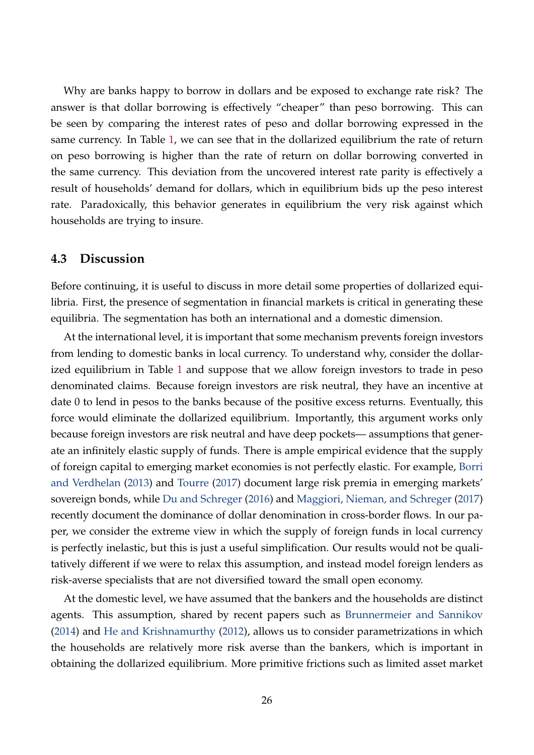Why are banks happy to borrow in dollars and be exposed to exchange rate risk? The answer is that dollar borrowing is effectively "cheaper" than peso borrowing. This can be seen by comparing the interest rates of peso and dollar borrowing expressed in the same currency. In Table [1,](#page-24-0) we can see that in the dollarized equilibrium the rate of return on peso borrowing is higher than the rate of return on dollar borrowing converted in the same currency. This deviation from the uncovered interest rate parity is effectively a result of households' demand for dollars, which in equilibrium bids up the peso interest rate. Paradoxically, this behavior generates in equilibrium the very risk against which households are trying to insure.

### <span id="page-25-0"></span>**4.3 Discussion**

Before continuing, it is useful to discuss in more detail some properties of dollarized equilibria. First, the presence of segmentation in financial markets is critical in generating these equilibria. The segmentation has both an international and a domestic dimension.

At the international level, it is important that some mechanism prevents foreign investors from lending to domestic banks in local currency. To understand why, consider the dollarized equilibrium in Table [1](#page-24-0) and suppose that we allow foreign investors to trade in peso denominated claims. Because foreign investors are risk neutral, they have an incentive at date 0 to lend in pesos to the banks because of the positive excess returns. Eventually, this force would eliminate the dollarized equilibrium. Importantly, this argument works only because foreign investors are risk neutral and have deep pockets— assumptions that generate an infinitely elastic supply of funds. There is ample empirical evidence that the supply of foreign capital to emerging market economies is not perfectly elastic. For example, [Borri](#page-39-12) [and Verdhelan](#page-39-12) [\(2013\)](#page-39-12) and [Tourre](#page-43-6) [\(2017\)](#page-43-6) document large risk premia in emerging markets' sovereign bonds, while [Du and Schreger](#page-40-13) [\(2016\)](#page-40-13) and [Maggiori, Nieman, and Schreger](#page-42-12) [\(2017\)](#page-42-12) recently document the dominance of dollar denomination in cross-border flows. In our paper, we consider the extreme view in which the supply of foreign funds in local currency is perfectly inelastic, but this is just a useful simplification. Our results would not be qualitatively different if we were to relax this assumption, and instead model foreign lenders as risk-averse specialists that are not diversified toward the small open economy.

At the domestic level, we have assumed that the bankers and the households are distinct agents. This assumption, shared by recent papers such as [Brunnermeier and Sannikov](#page-39-3) [\(2014\)](#page-39-3) and [He and Krishnamurthy](#page-41-13) [\(2012\)](#page-41-13), allows us to consider parametrizations in which the households are relatively more risk averse than the bankers, which is important in obtaining the dollarized equilibrium. More primitive frictions such as limited asset market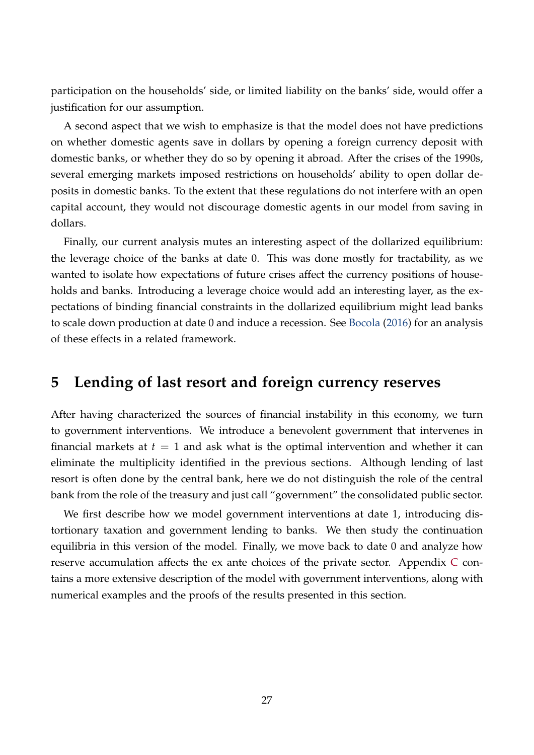participation on the households' side, or limited liability on the banks' side, would offer a justification for our assumption.

A second aspect that we wish to emphasize is that the model does not have predictions on whether domestic agents save in dollars by opening a foreign currency deposit with domestic banks, or whether they do so by opening it abroad. After the crises of the 1990s, several emerging markets imposed restrictions on households' ability to open dollar deposits in domestic banks. To the extent that these regulations do not interfere with an open capital account, they would not discourage domestic agents in our model from saving in dollars.

Finally, our current analysis mutes an interesting aspect of the dollarized equilibrium: the leverage choice of the banks at date 0. This was done mostly for tractability, as we wanted to isolate how expectations of future crises affect the currency positions of households and banks. Introducing a leverage choice would add an interesting layer, as the expectations of binding financial constraints in the dollarized equilibrium might lead banks to scale down production at date 0 and induce a recession. See [Bocola](#page-39-13) [\(2016\)](#page-39-13) for an analysis of these effects in a related framework.

## <span id="page-26-0"></span>**5 Lending of last resort and foreign currency reserves**

After having characterized the sources of financial instability in this economy, we turn to government interventions. We introduce a benevolent government that intervenes in financial markets at  $t = 1$  and ask what is the optimal intervention and whether it can eliminate the multiplicity identified in the previous sections. Although lending of last resort is often done by the central bank, here we do not distinguish the role of the central bank from the role of the treasury and just call "government" the consolidated public sector.

We first describe how we model government interventions at date 1, introducing distortionary taxation and government lending to banks. We then study the continuation equilibria in this version of the model. Finally, we move back to date 0 and analyze how reserve accumulation affects the ex ante choices of the private sector. Appendix [C](#page-48-0) contains a more extensive description of the model with government interventions, along with numerical examples and the proofs of the results presented in this section.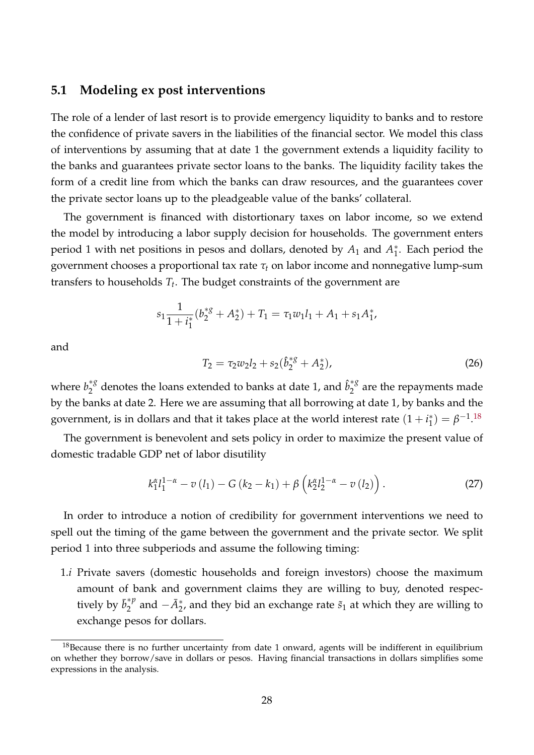### **5.1 Modeling ex post interventions**

The role of a lender of last resort is to provide emergency liquidity to banks and to restore the confidence of private savers in the liabilities of the financial sector. We model this class of interventions by assuming that at date 1 the government extends a liquidity facility to the banks and guarantees private sector loans to the banks. The liquidity facility takes the form of a credit line from which the banks can draw resources, and the guarantees cover the private sector loans up to the pleadgeable value of the banks' collateral.

The government is financed with distortionary taxes on labor income, so we extend the model by introducing a labor supply decision for households. The government enters period 1 with net positions in pesos and dollars, denoted by  $A_1$  and  $A_1^*$  $_1^*$ . Each period the government chooses a proportional tax rate *τ<sup>t</sup>* on labor income and nonnegative lump-sum transfers to households *T<sup>t</sup>* . The budget constraints of the government are

$$
s_1 \frac{1}{1+i_1^*} (b_2^{*g} + A_2^*) + T_1 = \tau_1 w_1 l_1 + A_1 + s_1 A_1^*,
$$

and

<span id="page-27-1"></span>
$$
T_2 = \tau_2 w_2 l_2 + s_2 (\hat{b}_2^{*g} + A_2^*), \tag{26}
$$

where  $b_2^{*g}$  $\hat{b}_2^{*g}$  denotes the loans extended to banks at date 1, and  $\hat{b}_2^{*g}$  $2^{\degree}$  are the repayments made by the banks at date 2. Here we are assuming that all borrowing at date 1, by banks and the government, is in dollars and that it takes place at the world interest rate  $(1 + i<sub>1</sub><sup>*</sup>)$  $\beta_{1}^{(*)} = \beta^{-1}.18$  $\beta_{1}^{(*)} = \beta^{-1}.18$ 

The government is benevolent and sets policy in order to maximize the present value of domestic tradable GDP net of labor disutility

$$
k_1^{\alpha} l_1^{1-\alpha} - v(l_1) - G(k_2 - k_1) + \beta \left( k_2^{\alpha} l_2^{1-\alpha} - v(l_2) \right). \tag{27}
$$

In order to introduce a notion of credibility for government interventions we need to spell out the timing of the game between the government and the private sector. We split period 1 into three subperiods and assume the following timing:

1.*i* Private savers (domestic households and foreign investors) choose the maximum amount of bank and government claims they are willing to buy, denoted respectively by  $\bar{b}_2^{*p}$  $2^{*p}$  and  $-\bar{A}_2^*$ , and they bid an exchange rate  $\tilde{s}_1$  at which they are willing to exchange pesos for dollars.

<span id="page-27-0"></span><sup>&</sup>lt;sup>18</sup>Because there is no further uncertainty from date 1 onward, agents will be indifferent in equilibrium on whether they borrow/save in dollars or pesos. Having financial transactions in dollars simplifies some expressions in the analysis.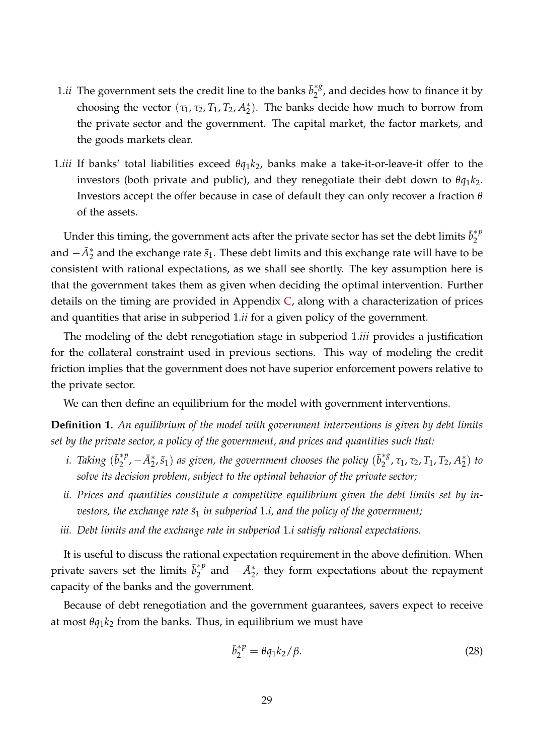- 1.*ii* The government sets the credit line to the banks  $\bar{b}_2^{*8}$  $\int_2^{\infty}$ , and decides how to finance it by choosing the vector  $(\tau_1, \tau_2, T_1, T_2, A_2^*)$  $_{2}^{*}$ ). The banks decide how much to borrow from the private sector and the government. The capital market, the factor markets, and the goods markets clear.
- 1.*iii* If banks' total liabilities exceed *θq*1*k*2, banks make a take-it-or-leave-it offer to the investors (both private and public), and they renegotiate their debt down to  $\theta q_1 k_2$ . Investors accept the offer because in case of default they can only recover a fraction *θ* of the assets.

Under this timing, the government acts after the private sector has set the debt limits  $\bar{b}_2^{\ast p}$ 2 and  $-\bar{A}_{2}^{*}$  and the exchange rate  $\tilde{s}_{1}$ . These debt limits and this exchange rate will have to be consistent with rational expectations, as we shall see shortly. The key assumption here is that the government takes them as given when deciding the optimal intervention. Further details on the timing are provided in Appendix [C,](#page-48-0) along with a characterization of prices and quantities that arise in subperiod 1.*ii* for a given policy of the government.

The modeling of the debt renegotiation stage in subperiod 1.*iii* provides a justification for the collateral constraint used in previous sections. This way of modeling the credit friction implies that the government does not have superior enforcement powers relative to the private sector.

We can then define an equilibrium for the model with government interventions.

**Definition 1.** *An equilibrium of the model with government interventions is given by debt limits set by the private sector, a policy of the government, and prices and quantities such that:*

- *i. Taking*  $(\bar{b}_2^{*p})$  $\left(\frac{\ast p}{2},-\bar{A}_{2}^{\ast},\tilde{s}_{1}\right)$  as given, the government chooses the policy  $(\bar{b}_{2}^{\ast8})$ <sup>\*8</sup>, τ<sub>1</sub>, τ<sub>2</sub>, Τ<sub>1</sub>, Τ<sub>2</sub>, Α<sup>\*</sup><sub>2</sub>  $_2^*$ ) *to solve its decision problem, subject to the optimal behavior of the private sector;*
- *ii. Prices and quantities constitute a competitive equilibrium given the debt limits set by investors, the exchange rate*  $\tilde{s}_1$  *in subperiod* 1.*i, and the policy of the government;*
- *iii. Debt limits and the exchange rate in subperiod* 1.*i satisfy rational expectations.*

It is useful to discuss the rational expectation requirement in the above definition. When private savers set the limits  $\bar{b}_2^{\ast p}$  $a_2^{*p}$  and  $-\bar{A}_2^*$ , they form expectations about the repayment capacity of the banks and the government.

Because of debt renegotiation and the government guarantees, savers expect to receive at most  $\theta q_1 k_2$  from the banks. Thus, in equilibrium we must have

<span id="page-28-0"></span>
$$
\bar{b}_2^{\ast p} = \theta q_1 k_2 / \beta. \tag{28}
$$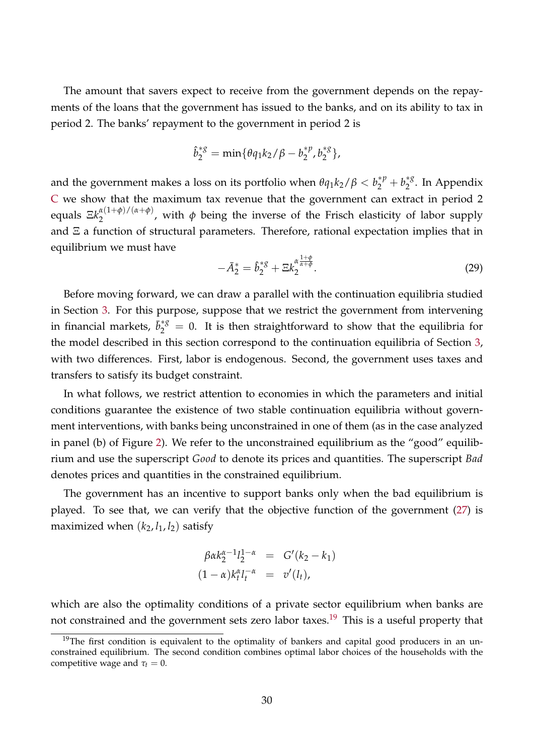The amount that savers expect to receive from the government depends on the repayments of the loans that the government has issued to the banks, and on its ability to tax in period 2. The banks' repayment to the government in period 2 is

$$
\hat{b}_{2}^{*g} = \min\{\theta q_{1}k_{2}/\beta - b_{2}^{*p}, b_{2}^{*g}\},
$$

and the government makes a loss on its portfolio when  $\theta q_1 k_2/\beta < b_2^{*p} + b_2^{*g}$  $\int_2^{\infty}$ . In Appendix [C](#page-48-0) we show that the maximum tax revenue that the government can extract in period 2 **equals**  $E k_2^{\alpha(1+\phi)/(\alpha+\phi)}$  $\frac{2}{2}$  ( $\frac{1}{2}$ ), with  $\phi$  being the inverse of the Frisch elasticity of labor supply and  $E$  a function of structural parameters. Therefore, rational expectation implies that in equilibrium we must have

<span id="page-29-1"></span>
$$
-\bar{A}_{2}^{*}=\hat{b}_{2}^{*g}+\Xi k_{2}^{\alpha\frac{1+\phi}{\alpha+\phi}}.\tag{29}
$$

Before moving forward, we can draw a parallel with the continuation equilibria studied in Section [3.](#page-12-0) For this purpose, suppose that we restrict the government from intervening in financial markets,  $\bar{b}_{2}^{*g} = 0$ . It is then straightforward to show that the equilibria for the model described in this section correspond to the continuation equilibria of Section [3,](#page-12-0) with two differences. First, labor is endogenous. Second, the government uses taxes and transfers to satisfy its budget constraint.

In what follows, we restrict attention to economies in which the parameters and initial conditions guarantee the existence of two stable continuation equilibria without government interventions, with banks being unconstrained in one of them (as in the case analyzed in panel (b) of Figure [2\)](#page-17-0). We refer to the unconstrained equilibrium as the "good" equilibrium and use the superscript *Good* to denote its prices and quantities. The superscript *Bad* denotes prices and quantities in the constrained equilibrium.

The government has an incentive to support banks only when the bad equilibrium is played. To see that, we can verify that the objective function of the government [\(27\)](#page-27-1) is maximized when  $(k_2, l_1, l_2)$  satisfy

$$
\beta \alpha k_2^{\alpha - 1} l_2^{1 - \alpha} = G'(k_2 - k_1) \n(1 - \alpha) k_t^{\alpha} l_t^{-\alpha} = v'(l_t),
$$

which are also the optimality conditions of a private sector equilibrium when banks are not constrained and the government sets zero labor taxes.<sup>[19](#page-29-0)</sup> This is a useful property that

<span id="page-29-0"></span> $19$ The first condition is equivalent to the optimality of bankers and capital good producers in an unconstrained equilibrium. The second condition combines optimal labor choices of the households with the competitive wage and  $\tau_t = 0$ .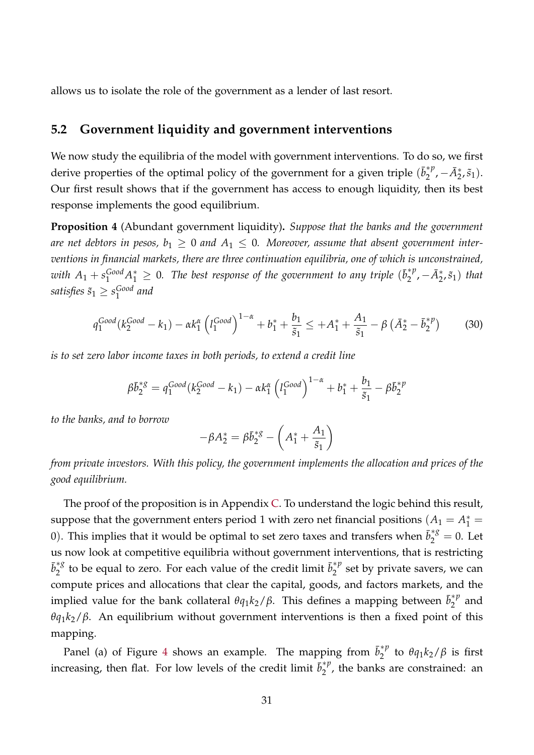allows us to isolate the role of the government as a lender of last resort.

## **5.2 Government liquidity and government interventions**

We now study the equilibria of the model with government interventions. To do so, we first derive properties of the optimal policy of the government for a given triple  $(\bar{b}_2^{*p})$  $a_2^{*p}, -\bar{A}_2^*, \tilde{s}_1$ . Our first result shows that if the government has access to enough liquidity, then its best response implements the good equilibrium.

**Proposition 4** (Abundant government liquidity)**.** *Suppose that the banks and the government* are net debtors in pesos,  $b_1 \geq 0$  and  $A_1 \leq 0$ . Moreover, assume that absent government inter*ventions in financial markets, there are three continuation equilibria, one of which is unconstrained,* with  $A_1 + s_1^{\text{Good}} A_1^* \geq 0$ . The best response of the government to any triple  $(\bar{b}_2^{*p})$  $\mathcal{A}_2^{*p}, -\bar{A}_2^{*}, \tilde{s}_1)$  *that satisfies*  $\tilde{s}_1 \geq s_1^{\text{Good}}$ 1 *and*

<span id="page-30-0"></span>
$$
q_1^{Good}(k_2^{Good} - k_1) - \alpha k_1^{\alpha} \left( l_1^{Good} \right)^{1 - \alpha} + b_1^* + \frac{b_1}{\tilde{s}_1} \le +A_1^* + \frac{A_1}{\tilde{s}_1} - \beta \left( \bar{A}_2^* - \bar{b}_2^{*p} \right) \tag{30}
$$

*is to set zero labor income taxes in both periods, to extend a credit line*

$$
\beta \bar{b}_2^{*g} = q_1^{Good}(k_2^{Good} - k_1) - \alpha k_1^{\alpha} \left( l_1^{Good} \right)^{1-\alpha} + b_1^* + \frac{b_1}{\tilde{s}_1} - \beta \bar{b}_2^{*p}
$$

*to the banks, and to borrow*

$$
-\beta A_2^* = \beta \bar{b}_2^{*g} - \left(A_1^* + \frac{A_1}{\tilde{s}_1}\right)
$$

*from private investors. With this policy, the government implements the allocation and prices of the good equilibrium.*

The proof of the proposition is in Appendix [C.](#page-48-0) To understand the logic behind this result, suppose that the government enters period 1 with zero net financial positions  $(A_1 = A_1^* = A_1^* = A_1^* = A_1^* = A_1^* = A_1^* = A_1^* = A_1^* = A_1^* = A_1^* = A_1^* = A_1^* = A_1^* = A_1^* = A_1^* = A_1^* = A_1^* = A_1^* = A_1^* = A_1^* = A_1^* = A_1^* = A_1^* =$ 0). This implies that it would be optimal to set zero taxes and transfers when  $\bar{b}_{2}^{*g} = 0$ . Let us now look at competitive equilibria without government interventions, that is restricting  $\bar{b}^{\ast g}_{2}$  $\frac{1}{2}^*$  to be equal to zero. For each value of the credit limit  $\bar{b}_2^{*p}$  $i_2^{\gamma \gamma}$  set by private savers, we can compute prices and allocations that clear the capital, goods, and factors markets, and the implied value for the bank collateral  $\theta q_1 k_2/\beta$ . This defines a mapping between  $\bar{b}_2^{\ast p}$  $2^{\gamma}$  and  $\theta$ *q*<sub>1</sub>*k*<sub>2</sub>/*β*. An equilibrium without government interventions is then a fixed point of this mapping.

Panel (a) of Figure [4](#page-31-0) shows an example. The mapping from  $\bar{b}_2^{\ast p}$  $\int_{2}^{4}$  to  $\theta q_1 k_2 / \beta$  is first increasing, then flat. For low levels of the credit limit  $\bar{b}_2^{\ast p}$  $2^{n}$ , the banks are constrained: an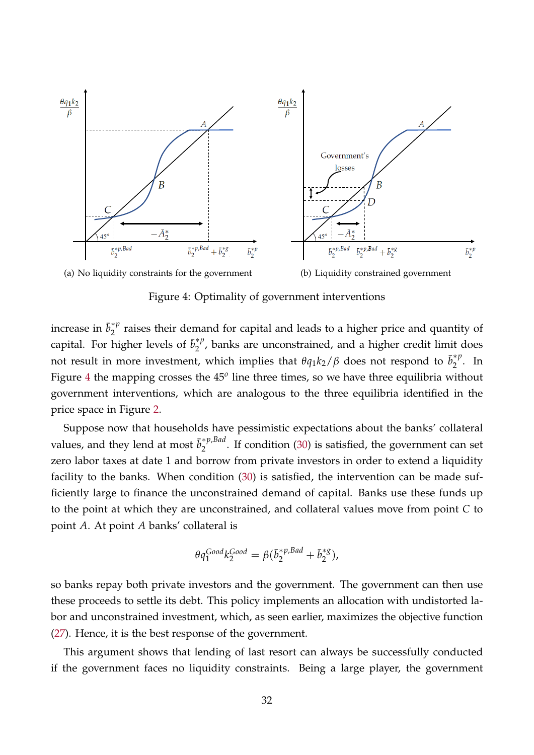

<span id="page-31-0"></span>Figure 4: Optimality of government interventions

increase in  $\bar{b}_2^{\ast p}$  $\frac{1}{2}^{\alpha}$  raises their demand for capital and leads to a higher price and quantity of capital. For higher levels of  $\bar{b}_2^{\ast p}$  $i_2^{\gamma \gamma}$ , banks are unconstrained, and a higher credit limit does not result in more investment, which implies that  $\theta q_1 k_2/\beta$  does not respond to  $\bar{b}_2^{\ast p}$  $\int_{2}^{\pi P}$ . In Figure [4](#page-31-0) the mapping crosses the 45<sup>*o*</sup> line three times, so we have three equilibria without government interventions, which are analogous to the three equilibria identified in the price space in Figure [2.](#page-17-0)

Suppose now that households have pessimistic expectations about the banks' collateral values, and they lend at most  $\bar{b}_2^{\ast p, Bad}$  $2^{2^{n}$ . If condition [\(30\)](#page-30-0) is satisfied, the government can set zero labor taxes at date 1 and borrow from private investors in order to extend a liquidity facility to the banks. When condition [\(30\)](#page-30-0) is satisfied, the intervention can be made sufficiently large to finance the unconstrained demand of capital. Banks use these funds up to the point at which they are unconstrained, and collateral values move from point *C* to point *A*. At point *A* banks' collateral is

$$
\theta q_1^{Good} k_2^{Good} = \beta (\overline{b}_2^{*p, Bad} + \overline{b}_2^{*g}),
$$

so banks repay both private investors and the government. The government can then use these proceeds to settle its debt. This policy implements an allocation with undistorted labor and unconstrained investment, which, as seen earlier, maximizes the objective function [\(27\)](#page-27-1). Hence, it is the best response of the government.

This argument shows that lending of last resort can always be successfully conducted if the government faces no liquidity constraints. Being a large player, the government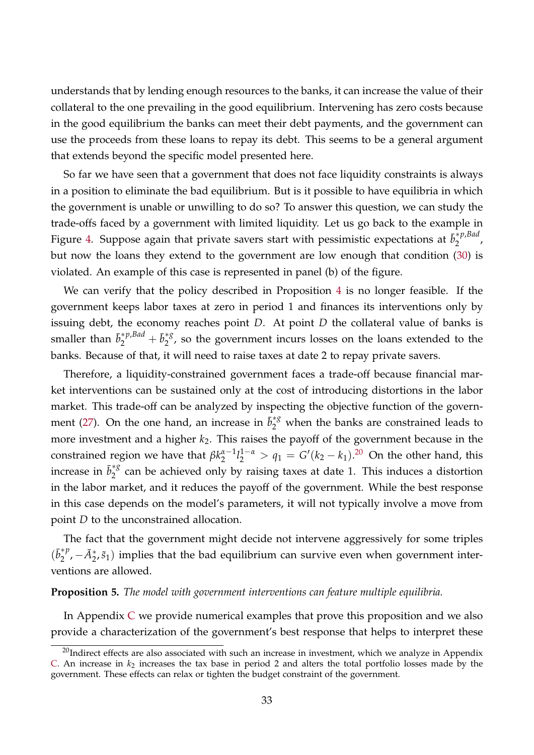understands that by lending enough resources to the banks, it can increase the value of their collateral to the one prevailing in the good equilibrium. Intervening has zero costs because in the good equilibrium the banks can meet their debt payments, and the government can use the proceeds from these loans to repay its debt. This seems to be a general argument that extends beyond the specific model presented here.

So far we have seen that a government that does not face liquidity constraints is always in a position to eliminate the bad equilibrium. But is it possible to have equilibria in which the government is unable or unwilling to do so? To answer this question, we can study the trade-offs faced by a government with limited liquidity. Let us go back to the example in Figure [4.](#page-31-0) Suppose again that private savers start with pessimistic expectations at ¯*b* ∗*p*,*Bad*  $2^{r}$ but now the loans they extend to the government are low enough that condition [\(30\)](#page-30-0) is violated. An example of this case is represented in panel (b) of the figure.

We can verify that the policy described in Proposition [4](#page-30-0) is no longer feasible. If the government keeps labor taxes at zero in period 1 and finances its interventions only by issuing debt, the economy reaches point *D*. At point *D* the collateral value of banks is smaller than  $\bar{b}_2^{*p, Bad} + \bar{b}_2^{*g}$  $2^{\frac{3}{2}}$ , so the government incurs losses on the loans extended to the banks. Because of that, it will need to raise taxes at date 2 to repay private savers.

Therefore, a liquidity-constrained government faces a trade-off because financial market interventions can be sustained only at the cost of introducing distortions in the labor market. This trade-off can be analyzed by inspecting the objective function of the govern-ment [\(27\)](#page-27-1). On the one hand, an increase in  $\bar{b}_{2}^{*g}$  when the banks are constrained leads to more investment and a higher  $k<sub>2</sub>$ . This raises the payoff of the government because in the constrained region we have that *βk α*−1  $\frac{\alpha-1}{2}l_2^{1-\alpha} > q_1 = G'(k_2 - k_1).^{20}$  $\frac{\alpha-1}{2}l_2^{1-\alpha} > q_1 = G'(k_2 - k_1).^{20}$  $\frac{\alpha-1}{2}l_2^{1-\alpha} > q_1 = G'(k_2 - k_1).^{20}$  On the other hand, this increase in  $\bar{b}_2^{\ast g}$  $\frac{1}{2}^8$  can be achieved only by raising taxes at date 1. This induces a distortion in the labor market, and it reduces the payoff of the government. While the best response in this case depends on the model's parameters, it will not typically involve a move from point *D* to the unconstrained allocation.

The fact that the government might decide not intervene aggressively for some triples  $(\bar{b}_2^{\ast p})$ <sup>\**p*</sup>, −*A*<sup>\*</sup><sub>2</sub>,  $\tilde{s}_1$ ) implies that the bad equilibrium can survive even when government interventions are allowed.

#### <span id="page-32-1"></span>**Proposition 5.** *The model with government interventions can feature multiple equilibria.*

In Appendix [C](#page-48-0) we provide numerical examples that prove this proposition and we also provide a characterization of the government's best response that helps to interpret these

<span id="page-32-0"></span> $20$ Indirect effects are also associated with such an increase in investment, which we analyze in Appendix [C.](#page-48-0) An increase in  $k_2$  increases the tax base in period 2 and alters the total portfolio losses made by the government. These effects can relax or tighten the budget constraint of the government.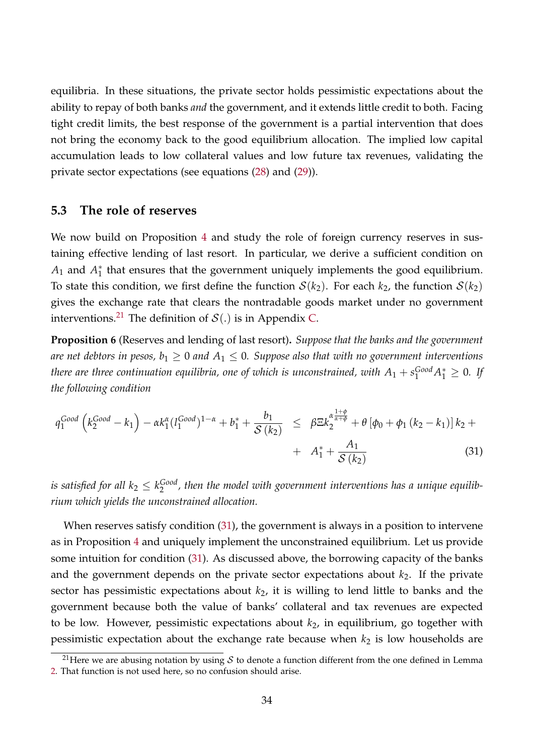equilibria. In these situations, the private sector holds pessimistic expectations about the ability to repay of both banks *and* the government, and it extends little credit to both. Facing tight credit limits, the best response of the government is a partial intervention that does not bring the economy back to the good equilibrium allocation. The implied low capital accumulation leads to low collateral values and low future tax revenues, validating the private sector expectations (see equations [\(28\)](#page-28-0) and [\(29\)](#page-29-1)).

### **5.3 The role of reserves**

We now build on Proposition [4](#page-30-0) and study the role of foreign currency reserves in sustaining effective lending of last resort. In particular, we derive a sufficient condition on  $A_1$  and  $A_1^*$  $_1^\ast$  that ensures that the government uniquely implements the good equilibrium. To state this condition, we first define the function  $S(k_2)$ . For each  $k_2$ , the function  $S(k_2)$ gives the exchange rate that clears the nontradable goods market under no government interventions.<sup>[21](#page-33-0)</sup> The definition of  $\mathcal{S}(.)$  is in Appendix [C.](#page-48-0)

**Proposition 6** (Reserves and lending of last resort)**.** *Suppose that the banks and the government are net debtors in pesos,*  $b_1 \geq 0$  *and*  $A_1 \leq 0$ *. Suppose also that with no government interventions there are three continuation equilibria, one of which is unconstrained, with*  $A_1 + s_{1}^{\text{Good}} A_1^* \geq 0$ *. If the following condition*

<span id="page-33-1"></span>
$$
q_1^{Good} \left( k_2^{Good} - k_1 \right) - \alpha k_1^{\alpha} (l_1^{Good})^{1-\alpha} + b_1^* + \frac{b_1}{\mathcal{S}(k_2)} \leq \beta \Xi k_2^{\alpha \frac{1+\phi}{\alpha+\phi}} + \theta \left[ \phi_0 + \phi_1 \left( k_2 - k_1 \right) \right] k_2 + \\ + A_1^* + \frac{A_1}{\mathcal{S}(k_2)} \tag{31}
$$

*is satisfied for all*  $k_2 \leq k_2^{\text{Good}}$ <sup>Gooa</sup>, then the model with government interventions has a unique equilib*rium which yields the unconstrained allocation.*

When reserves satisfy condition [\(31\)](#page-33-1), the government is always in a position to intervene as in Proposition [4](#page-30-0) and uniquely implement the unconstrained equilibrium. Let us provide some intuition for condition [\(31\)](#page-33-1). As discussed above, the borrowing capacity of the banks and the government depends on the private sector expectations about  $k_2$ . If the private sector has pessimistic expectations about *k*2, it is willing to lend little to banks and the government because both the value of banks' collateral and tax revenues are expected to be low. However, pessimistic expectations about *k*2, in equilibrium, go together with pessimistic expectation about the exchange rate because when  $k_2$  is low households are

<span id="page-33-0"></span><sup>&</sup>lt;sup>21</sup>Here we are abusing notation by using S to denote a function different from the one defined in Lemma [2.](#page-14-1) That function is not used here, so no confusion should arise.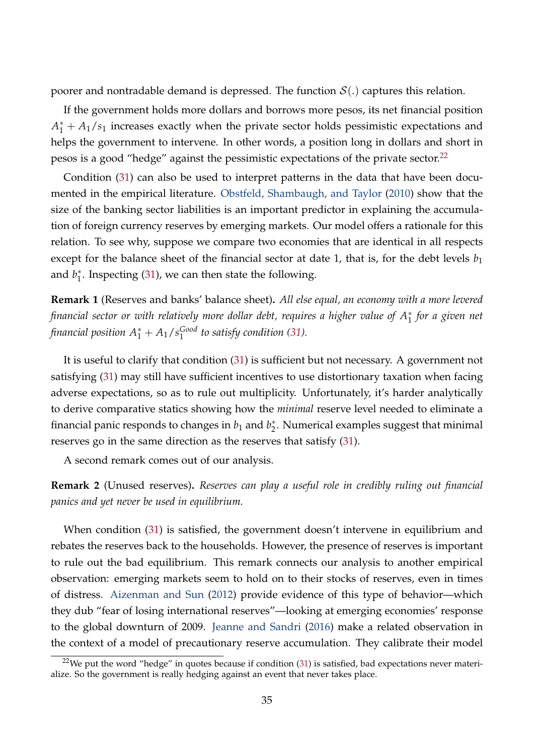poorer and nontradable demand is depressed. The function  $S(.)$  captures this relation.

If the government holds more dollars and borrows more pesos, its net financial position  $A_1^* + A_1/s_1$  increases exactly when the private sector holds pessimistic expectations and helps the government to intervene. In other words, a position long in dollars and short in pesos is a good "hedge" against the pessimistic expectations of the private sector. $^{22}$  $^{22}$  $^{22}$ 

Condition [\(31\)](#page-33-1) can also be used to interpret patterns in the data that have been documented in the empirical literature. [Obstfeld, Shambaugh, and Taylor](#page-42-2) [\(2010\)](#page-42-2) show that the size of the banking sector liabilities is an important predictor in explaining the accumulation of foreign currency reserves by emerging markets. Our model offers a rationale for this relation. To see why, suppose we compare two economies that are identical in all respects except for the balance sheet of the financial sector at date 1, that is, for the debt levels  $b_1$ and *b* ∗  $_{1}^{*}$ . Inspecting [\(31\)](#page-33-1), we can then state the following.

**Remark 1** (Reserves and banks' balance sheet)**.** *All else equal, an economy with a more levered financial sector or with relatively more dollar debt, requires a higher value of*  $A_1^*$  *for a given net financial position*  $A_1^* + A_1/s_1^{\text{Good}}$ 1 *to satisfy condition [\(31\)](#page-33-1).*

It is useful to clarify that condition [\(31\)](#page-33-1) is sufficient but not necessary. A government not satisfying [\(31\)](#page-33-1) may still have sufficient incentives to use distortionary taxation when facing adverse expectations, so as to rule out multiplicity. Unfortunately, it's harder analytically to derive comparative statics showing how the *minimal* reserve level needed to eliminate a financial panic responds to changes in  $b_1$  and  $b_2^*$  $_2^*$ . Numerical examples suggest that minimal reserves go in the same direction as the reserves that satisfy [\(31\)](#page-33-1).

A second remark comes out of our analysis.

**Remark 2** (Unused reserves)**.** *Reserves can play a useful role in credibly ruling out financial panics and yet never be used in equilibrium.*

When condition [\(31\)](#page-33-1) is satisfied, the government doesn't intervene in equilibrium and rebates the reserves back to the households. However, the presence of reserves is important to rule out the bad equilibrium. This remark connects our analysis to another empirical observation: emerging markets seem to hold on to their stocks of reserves, even in times of distress. [Aizenman and Sun](#page-39-9) [\(2012\)](#page-39-9) provide evidence of this type of behavior—which they dub "fear of losing international reserves"—looking at emerging economies' response to the global downturn of 2009. [Jeanne and Sandri](#page-42-13) [\(2016\)](#page-42-13) make a related observation in the context of a model of precautionary reserve accumulation. They calibrate their model

<span id="page-34-0"></span> $22$ We put the word "hedge" in quotes because if condition [\(31\)](#page-33-1) is satisfied, bad expectations never materialize. So the government is really hedging against an event that never takes place.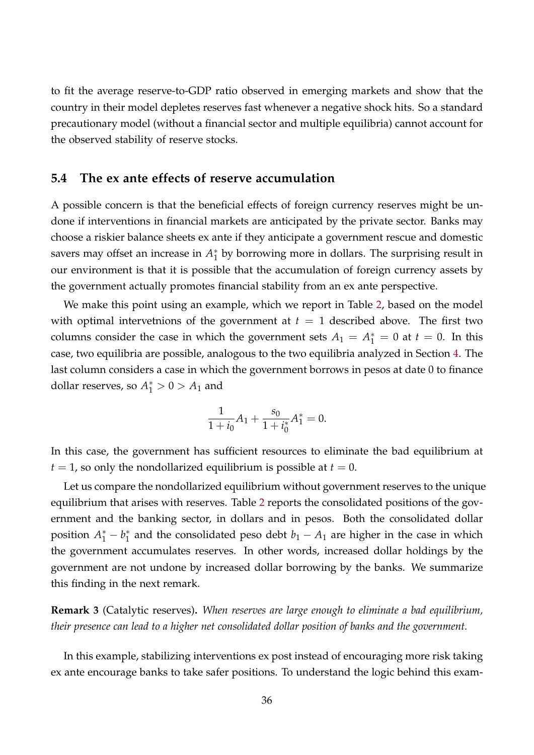to fit the average reserve-to-GDP ratio observed in emerging markets and show that the country in their model depletes reserves fast whenever a negative shock hits. So a standard precautionary model (without a financial sector and multiple equilibria) cannot account for the observed stability of reserve stocks.

## <span id="page-35-0"></span>**5.4 The ex ante effects of reserve accumulation**

A possible concern is that the beneficial effects of foreign currency reserves might be undone if interventions in financial markets are anticipated by the private sector. Banks may choose a riskier balance sheets ex ante if they anticipate a government rescue and domestic savers may offset an increase in *A* ∗  $_1^*$  by borrowing more in dollars. The surprising result in our environment is that it is possible that the accumulation of foreign currency assets by the government actually promotes financial stability from an ex ante perspective.

We make this point using an example, which we report in Table [2,](#page-36-0) based on the model with optimal intervetnions of the government at  $t = 1$  described above. The first two columns consider the case in which the government sets  $A_1 = A_1^* = 0$  at  $t = 0$ . In this case, two equilibria are possible, analogous to the two equilibria analyzed in Section [4.](#page-20-0) The last column considers a case in which the government borrows in pesos at date 0 to finance dollar reserves, so  $A_1^* > 0 > A_1$  and

$$
\frac{1}{1+i_0}A_1 + \frac{s_0}{1+i_0^*}A_1^* = 0.
$$

In this case, the government has sufficient resources to eliminate the bad equilibrium at  $t = 1$ , so only the nondollarized equilibrium is possible at  $t = 0$ .

Let us compare the nondollarized equilibrium without government reserves to the unique equilibrium that arises with reserves. Table [2](#page-36-0) reports the consolidated positions of the government and the banking sector, in dollars and in pesos. Both the consolidated dollar position  $A_1^* - b_1^*$  $_1^*$  and the consolidated peso debt  $b_1 - A_1$  are higher in the case in which the government accumulates reserves. In other words, increased dollar holdings by the government are not undone by increased dollar borrowing by the banks. We summarize this finding in the next remark.

**Remark 3** (Catalytic reserves)**.** *When reserves are large enough to eliminate a bad equilibrium, their presence can lead to a higher net consolidated dollar position of banks and the government.*

In this example, stabilizing interventions ex post instead of encouraging more risk taking ex ante encourage banks to take safer positions. To understand the logic behind this exam-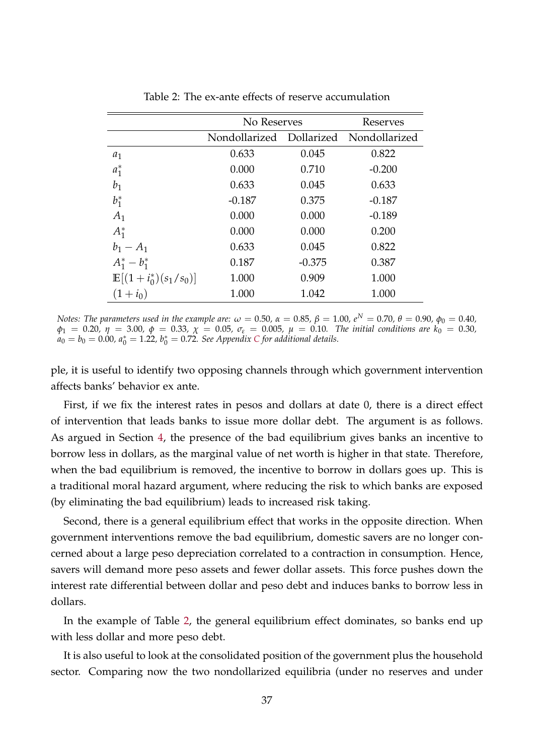|                                  | No Reserves   | Reserves   |               |
|----------------------------------|---------------|------------|---------------|
|                                  | Nondollarized | Dollarized | Nondollarized |
| $a_1$                            | 0.633         | 0.045      | 0.822         |
| $a_1^*$                          | 0.000         | 0.710      | $-0.200$      |
| $b_1$                            | 0.633         | 0.045      | 0.633         |
| $b_1^*$                          | $-0.187$      | 0.375      | $-0.187$      |
| $A_1$                            | 0.000         | 0.000      | $-0.189$      |
| $A_1^*$                          | 0.000         | 0.000      | 0.200         |
| $b_1 - A_1$                      | 0.633         | 0.045      | 0.822         |
| $A_1^* - b_1^*$                  | 0.187         | $-0.375$   | 0.387         |
| $\mathbb{E}[(1+i_0^*)(s_1/s_0)]$ | 1.000         | 0.909      | 1.000         |
| $(1+i_0)$                        | 1.000         | 1.042      | 1.000         |

<span id="page-36-0"></span>Table 2: The ex-ante effects of reserve accumulation

*Notes: The parameters used in the example are:*  $ω = 0.50$ ,  $α = 0.85$ ,  $β = 1.00$ ,  $e^N = 0.70$ ,  $θ = 0.90$ ,  $φ_0 = 0.40$ ,  $\phi_1 = 0.20$ ,  $\eta = 3.00$ ,  $\phi = 0.33$ ,  $\chi = 0.05$ ,  $\sigma_{\varepsilon} = 0.005$ ,  $\mu = 0.10$ . The initial conditions are  $k_0 = 0.30$ ,  $a_0 = b_0 = 0.00$ ,  $a_0^* = 1.22$ ,  $b_0^* = 0.72$ . See Appendix *[C](#page-48-0)* for additional details.

ple, it is useful to identify two opposing channels through which government intervention affects banks' behavior ex ante.

First, if we fix the interest rates in pesos and dollars at date 0, there is a direct effect of intervention that leads banks to issue more dollar debt. The argument is as follows. As argued in Section [4,](#page-20-0) the presence of the bad equilibrium gives banks an incentive to borrow less in dollars, as the marginal value of net worth is higher in that state. Therefore, when the bad equilibrium is removed, the incentive to borrow in dollars goes up. This is a traditional moral hazard argument, where reducing the risk to which banks are exposed (by eliminating the bad equilibrium) leads to increased risk taking.

Second, there is a general equilibrium effect that works in the opposite direction. When government interventions remove the bad equilibrium, domestic savers are no longer concerned about a large peso depreciation correlated to a contraction in consumption. Hence, savers will demand more peso assets and fewer dollar assets. This force pushes down the interest rate differential between dollar and peso debt and induces banks to borrow less in dollars.

In the example of Table [2,](#page-36-0) the general equilibrium effect dominates, so banks end up with less dollar and more peso debt.

It is also useful to look at the consolidated position of the government plus the household sector. Comparing now the two nondollarized equilibria (under no reserves and under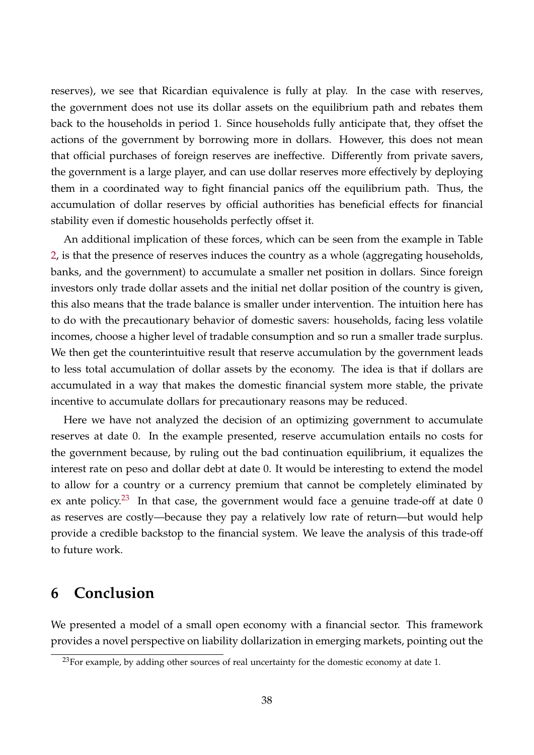reserves), we see that Ricardian equivalence is fully at play. In the case with reserves, the government does not use its dollar assets on the equilibrium path and rebates them back to the households in period 1. Since households fully anticipate that, they offset the actions of the government by borrowing more in dollars. However, this does not mean that official purchases of foreign reserves are ineffective. Differently from private savers, the government is a large player, and can use dollar reserves more effectively by deploying them in a coordinated way to fight financial panics off the equilibrium path. Thus, the accumulation of dollar reserves by official authorities has beneficial effects for financial stability even if domestic households perfectly offset it.

An additional implication of these forces, which can be seen from the example in Table [2,](#page-36-0) is that the presence of reserves induces the country as a whole (aggregating households, banks, and the government) to accumulate a smaller net position in dollars. Since foreign investors only trade dollar assets and the initial net dollar position of the country is given, this also means that the trade balance is smaller under intervention. The intuition here has to do with the precautionary behavior of domestic savers: households, facing less volatile incomes, choose a higher level of tradable consumption and so run a smaller trade surplus. We then get the counterintuitive result that reserve accumulation by the government leads to less total accumulation of dollar assets by the economy. The idea is that if dollars are accumulated in a way that makes the domestic financial system more stable, the private incentive to accumulate dollars for precautionary reasons may be reduced.

Here we have not analyzed the decision of an optimizing government to accumulate reserves at date 0. In the example presented, reserve accumulation entails no costs for the government because, by ruling out the bad continuation equilibrium, it equalizes the interest rate on peso and dollar debt at date 0. It would be interesting to extend the model to allow for a country or a currency premium that cannot be completely eliminated by ex ante policy.<sup>[23](#page-37-1)</sup> In that case, the government would face a genuine trade-off at date 0 as reserves are costly—because they pay a relatively low rate of return—but would help provide a credible backstop to the financial system. We leave the analysis of this trade-off to future work.

## <span id="page-37-0"></span>**6 Conclusion**

We presented a model of a small open economy with a financial sector. This framework provides a novel perspective on liability dollarization in emerging markets, pointing out the

<span id="page-37-1"></span> $^{23}$ For example, by adding other sources of real uncertainty for the domestic economy at date 1.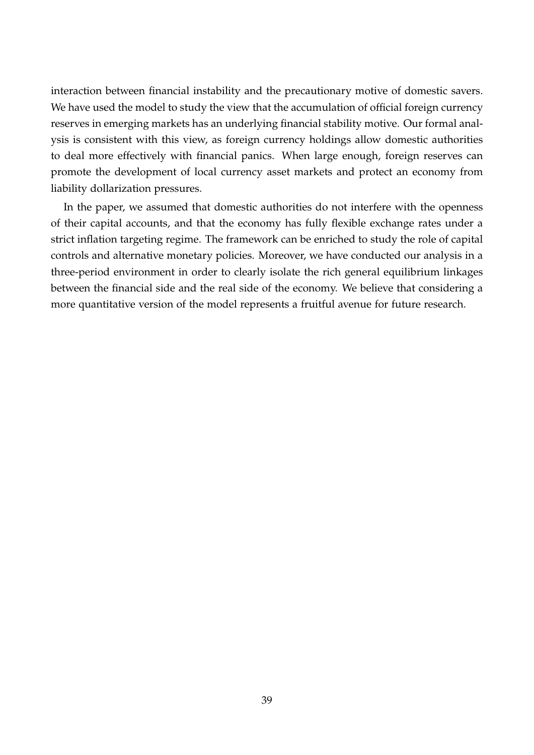interaction between financial instability and the precautionary motive of domestic savers. We have used the model to study the view that the accumulation of official foreign currency reserves in emerging markets has an underlying financial stability motive. Our formal analysis is consistent with this view, as foreign currency holdings allow domestic authorities to deal more effectively with financial panics. When large enough, foreign reserves can promote the development of local currency asset markets and protect an economy from liability dollarization pressures.

In the paper, we assumed that domestic authorities do not interfere with the openness of their capital accounts, and that the economy has fully flexible exchange rates under a strict inflation targeting regime. The framework can be enriched to study the role of capital controls and alternative monetary policies. Moreover, we have conducted our analysis in a three-period environment in order to clearly isolate the rich general equilibrium linkages between the financial side and the real side of the economy. We believe that considering a more quantitative version of the model represents a fruitful avenue for future research.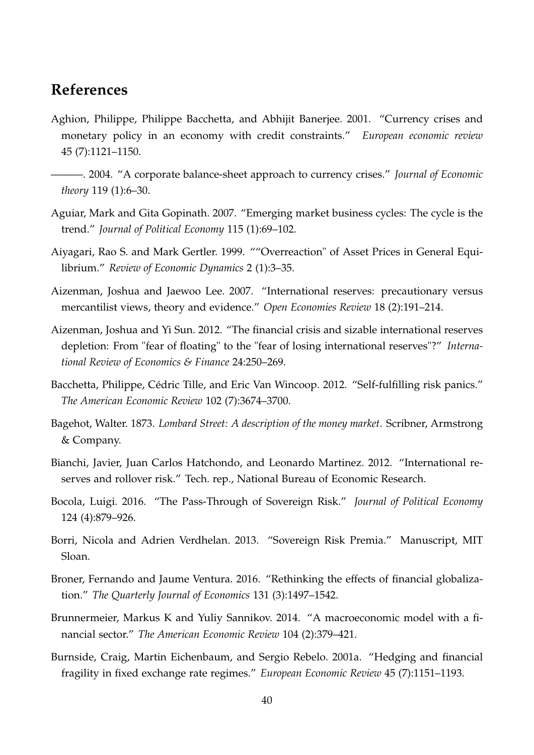## **References**

- <span id="page-39-4"></span>Aghion, Philippe, Philippe Bacchetta, and Abhijit Banerjee. 2001. "Currency crises and monetary policy in an economy with credit constraints." *European economic review* 45 (7):1121–1150.
- <span id="page-39-5"></span>———. 2004. "A corporate balance-sheet approach to currency crises." *Journal of Economic theory* 119 (1):6–30.
- <span id="page-39-10"></span>Aguiar, Mark and Gita Gopinath. 2007. "Emerging market business cycles: The cycle is the trend." *Journal of Political Economy* 115 (1):69–102.
- <span id="page-39-11"></span>Aiyagari, Rao S. and Mark Gertler. 1999. ""Overreaction" of Asset Prices in General Equilibrium." *Review of Economic Dynamics* 2 (1):3–35.
- <span id="page-39-1"></span>Aizenman, Joshua and Jaewoo Lee. 2007. "International reserves: precautionary versus mercantilist views, theory and evidence." *Open Economies Review* 18 (2):191–214.
- <span id="page-39-9"></span>Aizenman, Joshua and Yi Sun. 2012. "The financial crisis and sizable international reserves depletion: From "fear of floating" to the "fear of losing international reserves"?" *International Review of Economics & Finance* 24:250–269.
- <span id="page-39-6"></span>Bacchetta, Philippe, Cédric Tille, and Eric Van Wincoop. 2012. "Self-fulfilling risk panics." *The American Economic Review* 102 (7):3674–3700.
- <span id="page-39-0"></span>Bagehot, Walter. 1873. *Lombard Street: A description of the money market*. Scribner, Armstrong & Company.
- <span id="page-39-8"></span>Bianchi, Javier, Juan Carlos Hatchondo, and Leonardo Martinez. 2012. "International reserves and rollover risk." Tech. rep., National Bureau of Economic Research.
- <span id="page-39-13"></span>Bocola, Luigi. 2016. "The Pass-Through of Sovereign Risk." *Journal of Political Economy* 124 (4):879–926.
- <span id="page-39-12"></span>Borri, Nicola and Adrien Verdhelan. 2013. "Sovereign Risk Premia." Manuscript, MIT Sloan.
- <span id="page-39-7"></span>Broner, Fernando and Jaume Ventura. 2016. "Rethinking the effects of financial globalization." *The Quarterly Journal of Economics* 131 (3):1497–1542.
- <span id="page-39-3"></span>Brunnermeier, Markus K and Yuliy Sannikov. 2014. "A macroeconomic model with a financial sector." *The American Economic Review* 104 (2):379–421.
- <span id="page-39-2"></span>Burnside, Craig, Martin Eichenbaum, and Sergio Rebelo. 2001a. "Hedging and financial fragility in fixed exchange rate regimes." *European Economic Review* 45 (7):1151–1193.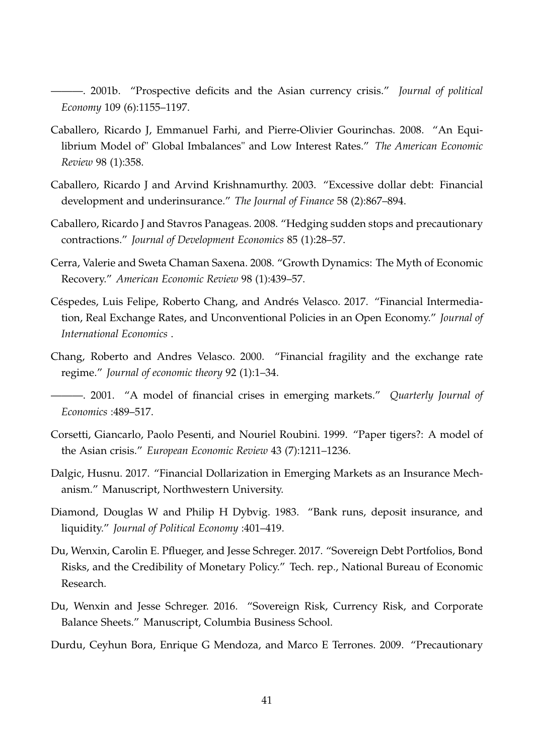<span id="page-40-0"></span>———. 2001b. "Prospective deficits and the Asian currency crisis." *Journal of political Economy* 109 (6):1155–1197.

- <span id="page-40-11"></span>Caballero, Ricardo J, Emmanuel Farhi, and Pierre-Olivier Gourinchas. 2008. "An Equilibrium Model of" Global Imbalances" and Low Interest Rates." *The American Economic Review* 98 (1):358.
- <span id="page-40-6"></span>Caballero, Ricardo J and Arvind Krishnamurthy. 2003. "Excessive dollar debt: Financial development and underinsurance." *The Journal of Finance* 58 (2):867–894.
- <span id="page-40-9"></span>Caballero, Ricardo J and Stavros Panageas. 2008. "Hedging sudden stops and precautionary contractions." *Journal of Development Economics* 85 (1):28–57.
- <span id="page-40-12"></span>Cerra, Valerie and Sweta Chaman Saxena. 2008. "Growth Dynamics: The Myth of Economic Recovery." *American Economic Review* 98 (1):439–57.
- <span id="page-40-5"></span>Céspedes, Luis Felipe, Roberto Chang, and Andrés Velasco. 2017. "Financial Intermediation, Real Exchange Rates, and Unconventional Policies in an Open Economy." *Journal of International Economics* .
- <span id="page-40-2"></span>Chang, Roberto and Andres Velasco. 2000. "Financial fragility and the exchange rate regime." *Journal of economic theory* 92 (1):1–34.

- <span id="page-40-1"></span>Corsetti, Giancarlo, Paolo Pesenti, and Nouriel Roubini. 1999. "Paper tigers?: A model of the Asian crisis." *European Economic Review* 43 (7):1211–1236.
- <span id="page-40-4"></span>Dalgic, Husnu. 2017. "Financial Dollarization in Emerging Markets as an Insurance Mechanism." Manuscript, Northwestern University.
- <span id="page-40-8"></span>Diamond, Douglas W and Philip H Dybvig. 1983. "Bank runs, deposit insurance, and liquidity." *Journal of Political Economy* :401–419.
- <span id="page-40-7"></span>Du, Wenxin, Carolin E. Pflueger, and Jesse Schreger. 2017. "Sovereign Debt Portfolios, Bond Risks, and the Credibility of Monetary Policy." Tech. rep., National Bureau of Economic Research.
- <span id="page-40-13"></span>Du, Wenxin and Jesse Schreger. 2016. "Sovereign Risk, Currency Risk, and Corporate Balance Sheets." Manuscript, Columbia Business School.
- <span id="page-40-10"></span>Durdu, Ceyhun Bora, Enrique G Mendoza, and Marco E Terrones. 2009. "Precautionary

<span id="page-40-3"></span><sup>———. 2001. &</sup>quot;A model of financial crises in emerging markets." *Quarterly Journal of Economics* :489–517.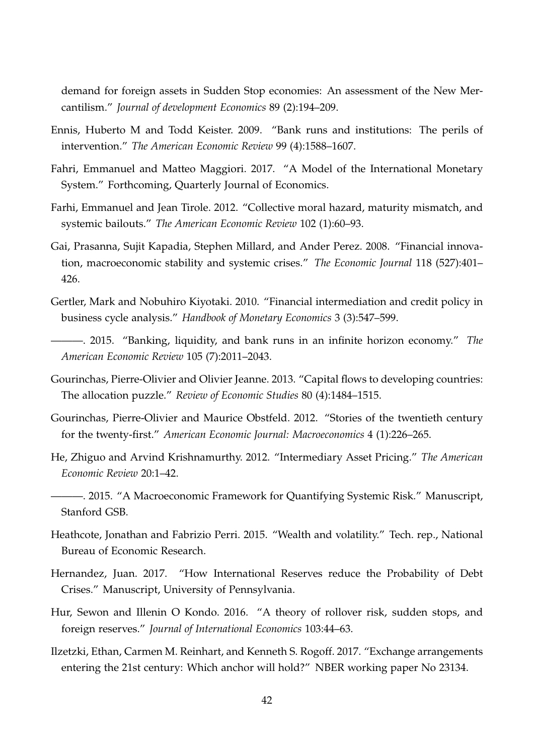demand for foreign assets in Sudden Stop economies: An assessment of the New Mercantilism." *Journal of development Economics* 89 (2):194–209.

- <span id="page-41-7"></span>Ennis, Huberto M and Todd Keister. 2009. "Bank runs and institutions: The perils of intervention." *The American Economic Review* 99 (4):1588–1607.
- <span id="page-41-9"></span>Fahri, Emmanuel and Matteo Maggiori. 2017. "A Model of the International Monetary System." Forthcoming, Quarterly Journal of Economics.
- <span id="page-41-1"></span>Farhi, Emmanuel and Jean Tirole. 2012. "Collective moral hazard, maturity mismatch, and systemic bailouts." *The American Economic Review* 102 (1):60–93.
- <span id="page-41-12"></span>Gai, Prasanna, Sujit Kapadia, Stephen Millard, and Ander Perez. 2008. "Financial innovation, macroeconomic stability and systemic crises." *The Economic Journal* 118 (527):401– 426.
- <span id="page-41-2"></span>Gertler, Mark and Nobuhiro Kiyotaki. 2010. "Financial intermediation and credit policy in business cycle analysis." *Handbook of Monetary Economics* 3 (3):547–599.
- <span id="page-41-6"></span>———. 2015. "Banking, liquidity, and bank runs in an infinite horizon economy." *The American Economic Review* 105 (7):2011–2043.
- <span id="page-41-8"></span>Gourinchas, Pierre-Olivier and Olivier Jeanne. 2013. "Capital flows to developing countries: The allocation puzzle." *Review of Economic Studies* 80 (4):1484–1515.
- <span id="page-41-0"></span>Gourinchas, Pierre-Olivier and Maurice Obstfeld. 2012. "Stories of the twentieth century for the twenty-first." *American Economic Journal: Macroeconomics* 4 (1):226–265.
- <span id="page-41-13"></span>He, Zhiguo and Arvind Krishnamurthy. 2012. "Intermediary Asset Pricing." *The American Economic Review* 20:1–42.

<span id="page-41-3"></span>———. 2015. "A Macroeconomic Framework for Quantifying Systemic Risk." Manuscript, Stanford GSB.

- <span id="page-41-5"></span>Heathcote, Jonathan and Fabrizio Perri. 2015. "Wealth and volatility." Tech. rep., National Bureau of Economic Research.
- <span id="page-41-11"></span>Hernandez, Juan. 2017. "How International Reserves reduce the Probability of Debt Crises." Manuscript, University of Pennsylvania.
- <span id="page-41-10"></span>Hur, Sewon and Illenin O Kondo. 2016. "A theory of rollover risk, sudden stops, and foreign reserves." *Journal of International Economics* 103:44–63.
- <span id="page-41-4"></span>Ilzetzki, Ethan, Carmen M. Reinhart, and Kenneth S. Rogoff. 2017. "Exchange arrangements entering the 21st century: Which anchor will hold?" NBER working paper No 23134.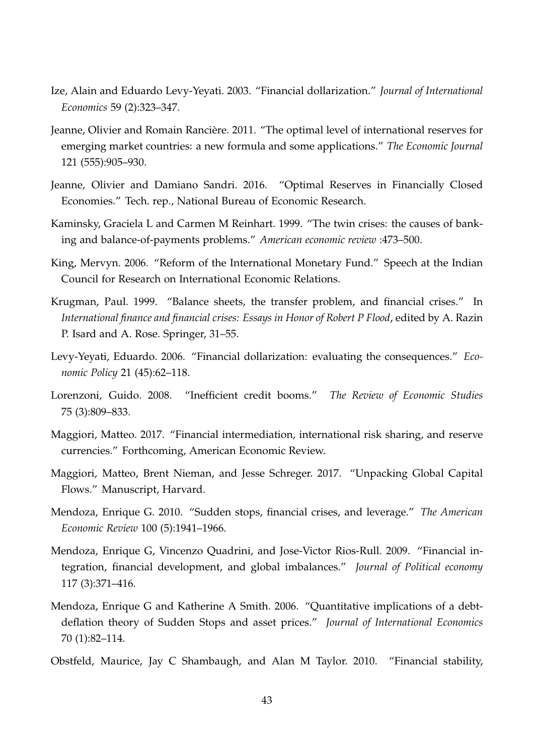- <span id="page-42-4"></span>Ize, Alain and Eduardo Levy-Yeyati. 2003. "Financial dollarization." *Journal of International Economics* 59 (2):323–347.
- <span id="page-42-6"></span>Jeanne, Olivier and Romain Rancière. 2011. "The optimal level of international reserves for emerging market countries: a new formula and some applications." *The Economic Journal* 121 (555):905–930.
- <span id="page-42-13"></span>Jeanne, Olivier and Damiano Sandri. 2016. "Optimal Reserves in Financially Closed Economies." Tech. rep., National Bureau of Economic Research.
- <span id="page-42-0"></span>Kaminsky, Graciela L and Carmen M Reinhart. 1999. "The twin crises: the causes of banking and balance-of-payments problems." *American economic review* :473–500.
- <span id="page-42-3"></span>King, Mervyn. 2006. "Reform of the International Monetary Fund." Speech at the Indian Council for Research on International Economic Relations.
- <span id="page-42-1"></span>Krugman, Paul. 1999. "Balance sheets, the transfer problem, and financial crises." In *International finance and financial crises: Essays in Honor of Robert P Flood*, edited by A. Razin P. Isard and A. Rose. Springer, 31–55.
- <span id="page-42-5"></span>Levy-Yeyati, Eduardo. 2006. "Financial dollarization: evaluating the consequences." *Economic Policy* 21 (45):62–118.
- <span id="page-42-10"></span>Lorenzoni, Guido. 2008. "Inefficient credit booms." *The Review of Economic Studies* 75 (3):809–833.
- <span id="page-42-8"></span>Maggiori, Matteo. 2017. "Financial intermediation, international risk sharing, and reserve currencies." Forthcoming, American Economic Review.
- <span id="page-42-12"></span>Maggiori, Matteo, Brent Nieman, and Jesse Schreger. 2017. "Unpacking Global Capital Flows." Manuscript, Harvard.
- <span id="page-42-9"></span>Mendoza, Enrique G. 2010. "Sudden stops, financial crises, and leverage." *The American Economic Review* 100 (5):1941–1966.
- <span id="page-42-7"></span>Mendoza, Enrique G, Vincenzo Quadrini, and Jose-Victor Rios-Rull. 2009. "Financial integration, financial development, and global imbalances." *Journal of Political economy* 117 (3):371–416.
- <span id="page-42-11"></span>Mendoza, Enrique G and Katherine A Smith. 2006. "Quantitative implications of a debtdeflation theory of Sudden Stops and asset prices." *Journal of International Economics* 70 (1):82–114.
- <span id="page-42-2"></span>Obstfeld, Maurice, Jay C Shambaugh, and Alan M Taylor. 2010. "Financial stability,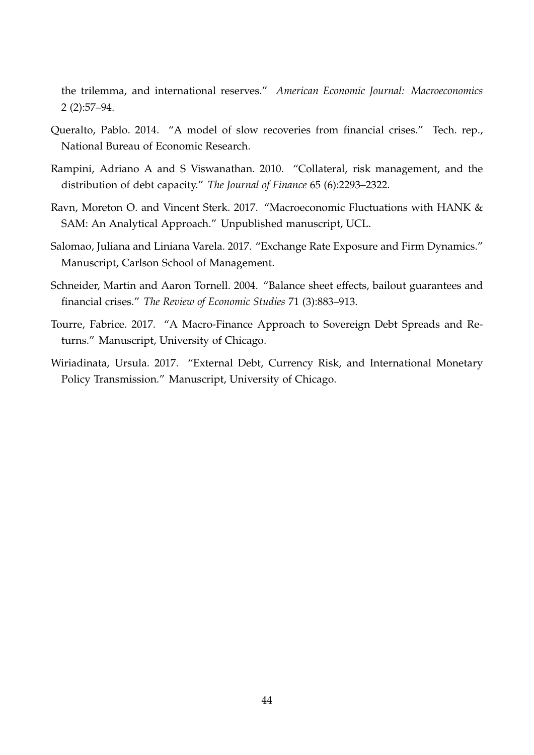the trilemma, and international reserves." *American Economic Journal: Macroeconomics* 2 (2):57–94.

- <span id="page-43-4"></span>Queralto, Pablo. 2014. "A model of slow recoveries from financial crises." Tech. rep., National Bureau of Economic Research.
- <span id="page-43-5"></span>Rampini, Adriano A and S Viswanathan. 2010. "Collateral, risk management, and the distribution of debt capacity." *The Journal of Finance* 65 (6):2293–2322.
- <span id="page-43-3"></span>Ravn, Moreton O. and Vincent Sterk. 2017. "Macroeconomic Fluctuations with HANK & SAM: An Analytical Approach." Unpublished manuscript, UCL.
- <span id="page-43-1"></span>Salomao, Juliana and Liniana Varela. 2017. "Exchange Rate Exposure and Firm Dynamics." Manuscript, Carlson School of Management.
- <span id="page-43-0"></span>Schneider, Martin and Aaron Tornell. 2004. "Balance sheet effects, bailout guarantees and financial crises." *The Review of Economic Studies* 71 (3):883–913.
- <span id="page-43-6"></span>Tourre, Fabrice. 2017. "A Macro-Finance Approach to Sovereign Debt Spreads and Returns." Manuscript, University of Chicago.
- <span id="page-43-2"></span>Wiriadinata, Ursula. 2017. "External Debt, Currency Risk, and International Monetary Policy Transmission." Manuscript, University of Chicago.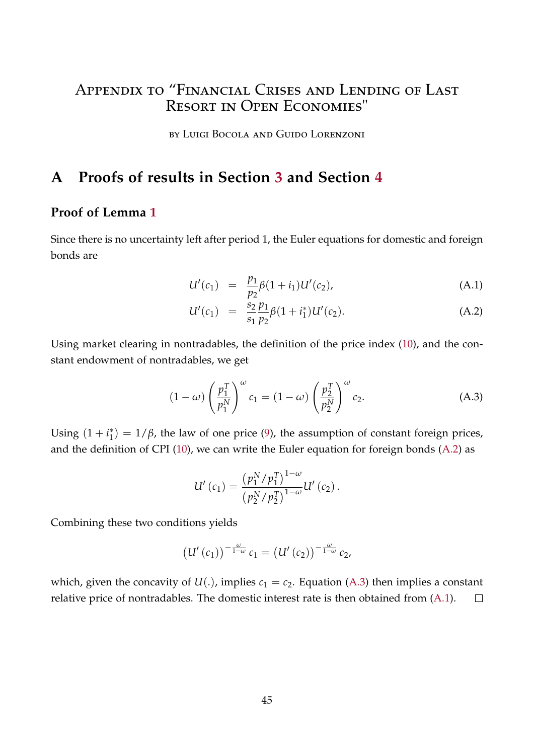## Appendix to "Financial Crises and Lending of Last Resort in Open Economies"

by Luigi Bocola and Guido Lorenzoni

## **A Proofs of results in Section [3](#page-12-0) and Section [4](#page-20-0)**

## **Proof of Lemma [1](#page-12-2)**

Since there is no uncertainty left after period 1, the Euler equations for domestic and foreign bonds are

<span id="page-44-0"></span>
$$
U'(c_1) = \frac{p_1}{p_2} \beta (1 + i_1) U'(c_2), \tag{A.1}
$$

<span id="page-44-1"></span>
$$
U'(c_1) = \frac{s_2}{s_1} \frac{p_1}{p_2} \beta (1 + i_1^*) U'(c_2).
$$
 (A.2)

Using market clearing in nontradables, the definition of the price index [\(10\)](#page-10-0), and the constant endowment of nontradables, we get

$$
(1 - \omega) \left(\frac{p_1^T}{p_1^N}\right)^{\omega} c_1 = (1 - \omega) \left(\frac{p_2^T}{p_2^N}\right)^{\omega} c_2.
$$
 (A.3)

Using  $(1 + i_1^*)$  $j_1^*$ ) =  $1/\beta$ , the law of one price [\(9\)](#page-9-0), the assumption of constant foreign prices, and the definition of CPI [\(10\)](#page-10-0), we can write the Euler equation for foreign bonds [\(A.2\)](#page-44-0) as

$$
U'(c_1) = \frac{\left(p_1^N/p_1^T\right)^{1-\omega}}{\left(p_2^N/p_2^T\right)^{1-\omega}} U'(c_2).
$$

Combining these two conditions yields

$$
\left(U'(c_1)\right)^{-\frac{\omega}{1-\omega}}c_1=\left(U'(c_2)\right)^{-\frac{\omega}{1-\omega}}c_2,
$$

which, given the concavity of  $U(.)$ , implies  $c_1 = c_2$ . Equation [\(A.3\)](#page-44-1) then implies a constant relative price of nontradables. The domestic interest rate is then obtained from [\(A.1\)](#page-44-0).  $\Box$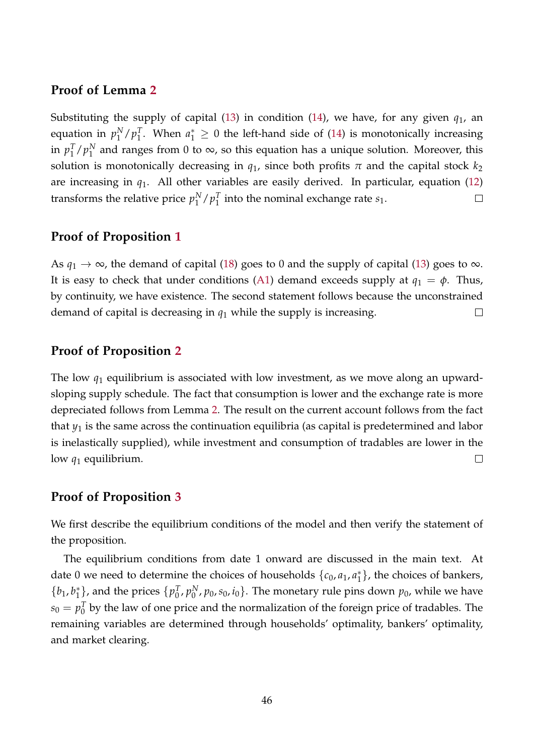## **Proof of Lemma [2](#page-14-1)**

Substituting the supply of capital [\(13\)](#page-12-1) in condition [\(14\)](#page-13-1), we have, for any given  $q_1$ , an <sup>T</sup><sub>1</sub>. When  $a_1$ <sup>\*</sup> ≥ 0 the left-hand side of [\(14\)](#page-13-1) is monotonically increasing equation in  $p_1^N$  $\binom{N}{1}$   $p_1^T$ in  $p_1^T$  $\frac{T}{1}$  /  $p_1^N$  $_1^N$  and ranges from 0 to  $\infty$ , so this equation has a unique solution. Moreover, this solution is monotonically decreasing in  $q_1$ , since both profits  $\pi$  and the capital stock  $k_2$ are increasing in  $q_1$ . All other variables are easily derived. In particular, equation [\(12\)](#page-10-1) transforms the relative price  $p_1^N$  $_{1}^{N}/p_{1}^{T}$  $\frac{1}{1}$  into the nominal exchange rate  $s_1$ .  $\Box$ 

## **Proof of Proposition [1](#page-16-0)**

As  $q_1 \rightarrow \infty$ , the demand of capital [\(18\)](#page-15-2) goes to 0 and the supply of capital [\(13\)](#page-12-1) goes to  $\infty$ . It is easy to check that under conditions [\(A1\)](#page-16-0) demand exceeds supply at  $q_1 = \phi$ . Thus, by continuity, we have existence. The second statement follows because the unconstrained demand of capital is decreasing in *q*<sup>1</sup> while the supply is increasing.  $\Box$ 

### **Proof of Proposition [2](#page-17-2)**

The low *q*<sup>1</sup> equilibrium is associated with low investment, as we move along an upwardsloping supply schedule. The fact that consumption is lower and the exchange rate is more depreciated follows from Lemma [2.](#page-14-1) The result on the current account follows from the fact that  $y_1$  is the same across the continuation equilibria (as capital is predetermined and labor is inelastically supplied), while investment and consumption of tradables are lower in the low *q*<sup>1</sup> equilibrium.  $\Box$ 

### **Proof of Proposition [3](#page-21-1)**

We first describe the equilibrium conditions of the model and then verify the statement of the proposition.

The equilibrium conditions from date 1 onward are discussed in the main text. At date 0 we need to determine the choices of households  $\{c_0, a_1, a_1^*\}$  $_{1}^{*}$ }, the choices of bankers,  ${b_1, b_1^*}$  $\{p_0^{\mathcal{I}}\}$ , and the prices  $\{p_0^{\mathcal{I}}\}$  $_{0}^{T}$ ,  $p_{0}^{N}$  $_{0}^{N}$ ,  $p_{0}$ ,  $s_{0}$ ,  $i_{0}$ }. The monetary rule pins down  $p_{0}$ , while we have  $s_0 = p_0^T$  $\frac{1}{0}$  by the law of one price and the normalization of the foreign price of tradables. The remaining variables are determined through households' optimality, bankers' optimality, and market clearing.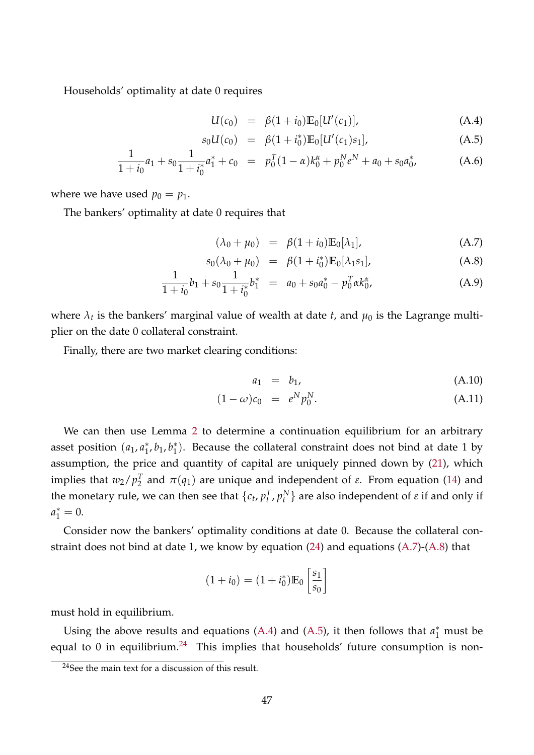Households' optimality at date 0 requires

<span id="page-46-1"></span>
$$
U(c_0) = \beta(1+i_0) \mathbb{E}_0[U'(c_1)], \qquad (A.4)
$$

$$
s_0U(c_0) = \beta(1+i_0^*)\mathbb{E}_0[U'(c_1)s_1], \tag{A.5}
$$

$$
\frac{1}{1+i_0}a_1 + s_0 \frac{1}{1+i_0^*}a_1^* + c_0 = p_0^T(1-\alpha)k_0^{\alpha} + p_0^N e^N + a_0 + s_0 a_0^*,
$$
 (A.6)

where we have used  $p_0 = p_1$ .

The bankers' optimality at date 0 requires that

<span id="page-46-0"></span>
$$
(\lambda_0 + \mu_0) = \beta (1 + i_0) \mathbb{E}_0[\lambda_1], \tag{A.7}
$$

$$
s_0(\lambda_0 + \mu_0) = \beta (1 + i_0^*) \mathbb{E}_0[\lambda_1 s_1], \tag{A.8}
$$

$$
\frac{1}{1+i_0}b_1 + s_0 \frac{1}{1+i_0^*}b_1^* = a_0 + s_0 a_0^* - p_0^T \alpha k_0^{\alpha}, \tag{A.9}
$$

where  $\lambda_t$  is the bankers' marginal value of wealth at date  $t$ , and  $\mu_0$  is the Lagrange multiplier on the date 0 collateral constraint.

Finally, there are two market clearing conditions:

<span id="page-46-3"></span>
$$
a_1 = b_1, \t\t (A.10)
$$

$$
(1 - \omega)c_0 = e^N p_0^N.
$$
 (A.11)

We can then use Lemma [2](#page-14-1) to determine a continuation equilibrium for an arbitrary asset position (*a*<sub>1</sub>, *a*<sup>\*</sup><sub>1</sub>  $j<sub>1</sub>$ ,  $b<sub>1</sub>$ ,  $b<sub>1</sub>^*$  $_{1}^{*}$ ). Because the collateral constraint does not bind at date 1 by assumption, the price and quantity of capital are uniquely pinned down by [\(21\)](#page-21-1), which implies that  $w_2/p_2^T$  $\frac{T}{2}$  and  $\pi(q_1)$  are unique and independent of *ε*. From equation [\(14\)](#page-13-1) and the monetary rule, we can then see that  $\{c_t, p_t^T, p_t^N\}$  are also independent of  $\varepsilon$  if and only if  $a_1^* = 0.$ 

Consider now the bankers' optimality conditions at date 0. Because the collateral constraint does not bind at date 1, we know by equation [\(24\)](#page-22-3) and equations [\(A.7\)](#page-46-0)-[\(A.8\)](#page-46-0) that

$$
(1 + i_0) = (1 + i_0^*) \mathbb{E}_0 \left[ \frac{s_1}{s_0} \right]
$$

must hold in equilibrium.

Using the above results and equations [\(A.4\)](#page-46-1) and [\(A.5\)](#page-46-1), it then follows that  $a_1^*$  must be equal to 0 in equilibrium.<sup>[24](#page-46-2)</sup> This implies that households' future consumption is non-

<span id="page-46-2"></span> $24$ See the main text for a discussion of this result.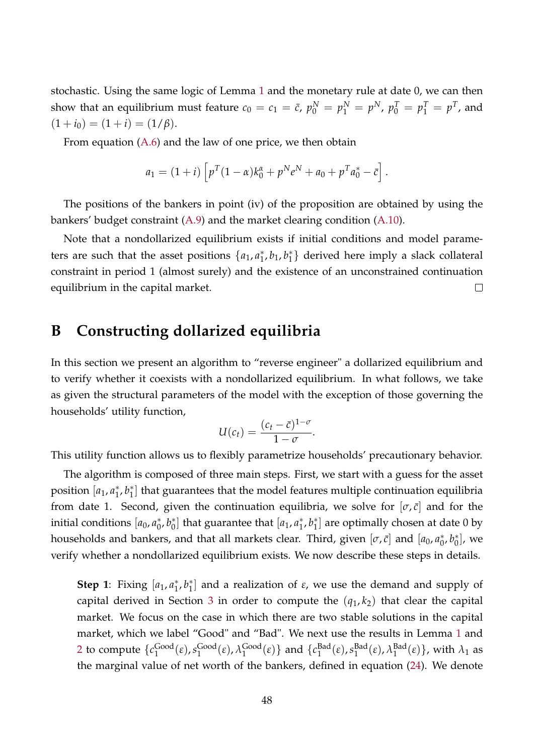stochastic. Using the same logic of Lemma [1](#page-12-2) and the monetary rule at date 0, we can then show that an equilibrium must feature  $c_0 = c_1 = \bar{c}$ ,  $p_0^N = p_1^N = p^N$ ,  $p_0^T = p_1^T = p^T$ , and  $(1 + i_0) = (1 + i) = (1/\beta).$ 

From equation [\(A.6\)](#page-46-1) and the law of one price, we then obtain

$$
a_1 = (1+i) \left[ p^T (1-\alpha) k_0^{\alpha} + p^N e^N + a_0 + p^T a_0^* - \bar{c} \right].
$$

The positions of the bankers in point (iv) of the proposition are obtained by using the bankers' budget constraint [\(A.9\)](#page-46-0) and the market clearing condition [\(A.10\)](#page-46-3).

Note that a nondollarized equilibrium exists if initial conditions and model parameters are such that the asset positions  $\{a_1, a_1^*\}$  $j<sub>1</sub>$ ,  $b<sub>1</sub>$ ,  $b<sub>1</sub>$ <sup>\*</sup> 1 } derived here imply a slack collateral constraint in period 1 (almost surely) and the existence of an unconstrained continuation equilibrium in the capital market.  $\Box$ 

## <span id="page-47-0"></span>**B Constructing dollarized equilibria**

In this section we present an algorithm to "reverse engineer" a dollarized equilibrium and to verify whether it coexists with a nondollarized equilibrium. In what follows, we take as given the structural parameters of the model with the exception of those governing the households' utility function,

$$
U(c_t) = \frac{(c_t - \bar{c})^{1-\sigma}}{1-\sigma}.
$$

This utility function allows us to flexibly parametrize households' precautionary behavior.

The algorithm is composed of three main steps. First, we start with a guess for the asset position [*a*<sub>1</sub>, *a*<sup>\*</sup><sub>1</sub>  $_1^*, b_1^*$  $_{1}^{*}]$  that guarantees that the model features multiple continuation equilibria from date 1. Second, given the continuation equilibria, we solve for  $[\sigma, \bar{c}]$  and for the initial conditions [*a*<sub>0</sub>, *a*<sup>\*</sup><sub>0</sub>  $_{0}^{*}$ ,  $b_{0}^{*}$  $\binom{1}{0}$  that guarantee that  $[a_1, a_1^*]$  $j<sub>1</sub>$ ,  $b<sub>1</sub>$ <sup>\*</sup>  $_{1}^{*}]$  are optimally chosen at date 0 by households and bankers, and that all markets clear. Third, given  $[\sigma,\bar{c}]$  and  $[a_0,a_0^*]$  $_{0}^{*}$ ,  $b_{0}^{*}$  $\left[ \begin{smallmatrix} * \ 0 \end{smallmatrix} \right]$ , we verify whether a nondollarized equilibrium exists. We now describe these steps in details.

**Step 1**: Fixing [a<sub>1</sub>, a<sub>1</sub><sup>\*</sup>]  $_1^*, b_1^*$ 1 ] and a realization of *ε*, we use the demand and supply of capital derived in Section [3](#page-12-0) in order to compute the  $(q_1, k_2)$  that clear the capital market. We focus on the case in which there are two stable solutions in the capital market, which we label "Good" and "Bad". We next use the results in Lemma [1](#page-12-2) and [2](#page-14-1) to compute  $\{c_1^{\text{Good}}\}$  $\frac{\text{Good}}{1}(\varepsilon)$ ,  $s_1^{\text{Good}}$  $\operatorname{Good}_{1}(\varepsilon)$ ,  $\lambda_1^{\text{Good}}$  $_{1}^{\text{Good}}(\varepsilon)$ } and  $\{c_{1}^{\text{Bad}}% (\varepsilon) \}$  $\frac{\text{Bad}}{1}(\varepsilon)$ ,  $s_1^{\text{Bad}}$  $_{1}^{\text{Bad}}(\varepsilon)$ ,  $\lambda_1^{\text{Bad}}$  $\{ \begin{bmatrix} \text{Bad} \\ 1 \end{bmatrix} \}$ , with  $\lambda_1$  as the marginal value of net worth of the bankers, defined in equation [\(24\)](#page-22-3). We denote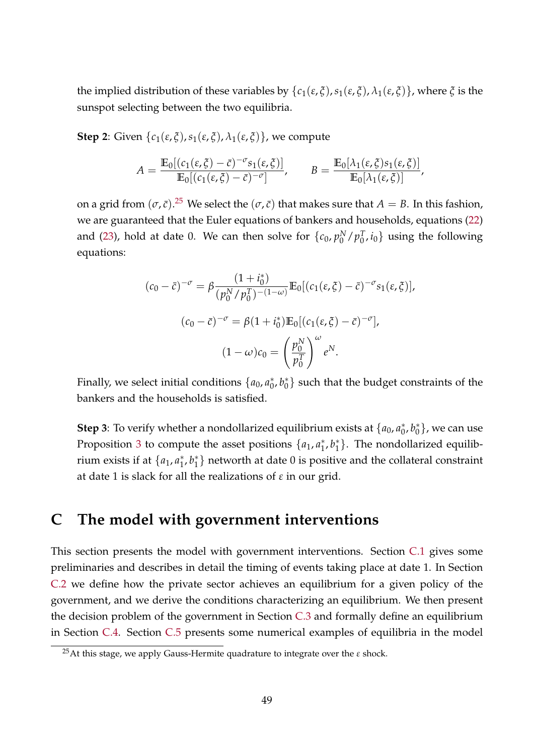the implied distribution of these variables by  $\{c_1(\varepsilon, \xi), s_1(\varepsilon, \xi), \lambda_1(\varepsilon, \xi)\}$ , where  $\xi$  is the sunspot selecting between the two equilibria.

**Step 2**: Given  $\{c_1(\varepsilon, \xi), s_1(\varepsilon, \xi), \lambda_1(\varepsilon, \xi)\}$ , we compute

$$
A = \frac{\mathbb{E}_0[(c_1(\varepsilon, \xi) - \bar{c})^{-\sigma} s_1(\varepsilon, \xi)]}{\mathbb{E}_0[(c_1(\varepsilon, \xi) - \bar{c})^{-\sigma}]}, \qquad B = \frac{\mathbb{E}_0[\lambda_1(\varepsilon, \xi) s_1(\varepsilon, \xi)]}{\mathbb{E}_0[\lambda_1(\varepsilon, \xi)]},
$$

on a grid from  $(\sigma, \bar{c})$ .<sup>[25](#page-48-1)</sup> We select the  $(\sigma, \bar{c})$  that makes sure that  $A = B$ . In this fashion, we are guaranteed that the Euler equations of bankers and households, equations [\(22\)](#page-21-0) and [\(23\)](#page-22-2), hold at date 0. We can then solve for  $\{c_0, p_0^N\}$  $_{0}^{N}/p_{0}^{T}$  $\{a_0^T, i_0\}$  using the following equations:

$$
(c_0 - \bar{c})^{-\sigma} = \beta \frac{(1 + i_0^*)}{(p_0^N / p_0^T)^{-(1 - \omega)}} \mathbb{E}_0[(c_1(\varepsilon, \xi) - \bar{c})^{-\sigma} s_1(\varepsilon, \xi)],
$$

$$
(c_0 - \bar{c})^{-\sigma} = \beta (1 + i_0^*) \mathbb{E}_0[(c_1(\varepsilon, \xi) - \bar{c})^{-\sigma}],
$$

$$
(1 - \omega) c_0 = \left(\frac{p_0^N}{p_0^T}\right)^{\omega} e^N.
$$

Finally, we select initial conditions  $\{a_0, a_0^*\}$  $_{0}^{*}$ ,  $b_{0}^{*}$  $\binom{*}{0}$  such that the budget constraints of the bankers and the households is satisfied.

**Step 3**: To verify whether a nondollarized equilibrium exists at  $\{a_0, a_0^*\}$  $_{0}^{*},b_{0}^{*}$  $\binom{*}{0}$ , we can use Proposition [3](#page-21-1) to compute the asset positions  $\{a_1, a_1^*\}$  $_1^*, b_1^*$  $_1^*$ }. The nondollarized equilibrium exists if at  $\{a_1, a_1^*\}$  $_{1}^{*}$ ,  $b_{1}^{*}$  $_1^*$ } networth at date 0 is positive and the collateral constraint at date 1 is slack for all the realizations of *ε* in our grid.

## <span id="page-48-0"></span>**C The model with government interventions**

This section presents the model with government interventions. Section [C.1](#page-49-0) gives some preliminaries and describes in detail the timing of events taking place at date 1. In Section [C.2](#page-50-0) we define how the private sector achieves an equilibrium for a given policy of the government, and we derive the conditions characterizing an equilibrium. We then present the decision problem of the government in Section [C.3](#page-53-0) and formally define an equilibrium in Section [C.4.](#page-57-0) Section [C.5](#page-57-1) presents some numerical examples of equilibria in the model

<span id="page-48-1"></span><sup>25</sup>At this stage, we apply Gauss-Hermite quadrature to integrate over the *ε* shock.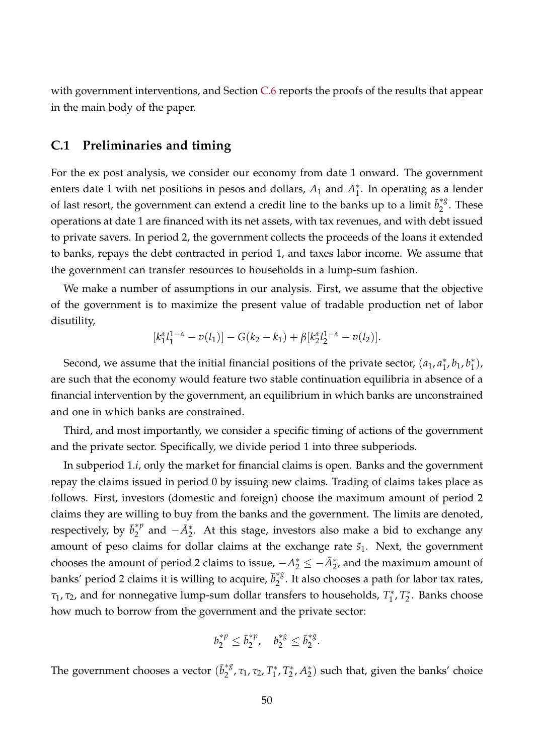with government interventions, and Section [C.6](#page-60-0) reports the proofs of the results that appear in the main body of the paper.

### <span id="page-49-0"></span>**C.1 Preliminaries and timing**

For the ex post analysis, we consider our economy from date 1 onward. The government enters date 1 with net positions in pesos and dollars,  $A_1$  and  $A_1^*$  $_1^*$ . In operating as a lender of last resort, the government can extend a credit line to the banks up to a limit  $\bar{b}_2^{\ast8}$  $\int_{2}^{\tau_{\delta}}$ . These operations at date 1 are financed with its net assets, with tax revenues, and with debt issued to private savers. In period 2, the government collects the proceeds of the loans it extended to banks, repays the debt contracted in period 1, and taxes labor income. We assume that the government can transfer resources to households in a lump-sum fashion.

We make a number of assumptions in our analysis. First, we assume that the objective of the government is to maximize the present value of tradable production net of labor disutility,

$$
[k_1^{\alpha}l_1^{1-\alpha}-v(l_1)]-G(k_2-k_1)+\beta[k_2^{\alpha}l_2^{1-\alpha}-v(l_2)].
$$

Second, we assume that the initial financial positions of the private sector,  $(a_1, a_1)$ <sup>\*</sup>  $j<sub>1</sub>$ ,  $b<sub>1</sub>$ ,  $b<sub>1</sub>$ <sup>\*</sup>  $j^{*}_{1}$ ), are such that the economy would feature two stable continuation equilibria in absence of a financial intervention by the government, an equilibrium in which banks are unconstrained and one in which banks are constrained.

Third, and most importantly, we consider a specific timing of actions of the government and the private sector. Specifically, we divide period 1 into three subperiods.

In subperiod 1.*i*, only the market for financial claims is open. Banks and the government repay the claims issued in period 0 by issuing new claims. Trading of claims takes place as follows. First, investors (domestic and foreign) choose the maximum amount of period 2 claims they are willing to buy from the banks and the government. The limits are denoted, respectively, by  $\bar{b}_2^{\ast p}$  $a_2^{*p}$  and  $-\bar{A}_2^*$ . At this stage, investors also make a bid to exchange any amount of peso claims for dollar claims at the exchange rate  $\tilde{s}_1$ . Next, the government chooses the amount of period 2 claims to issue,  $-A_2^* \le -\bar{A}_2^*$ , and the maximum amount of banks' period 2 claims it is willing to acquire,  $\bar{b}_2^{\ast g}$  $\int_{2}^{\infty}$ . It also chooses a path for labor tax rates, *τ*1, *τ*2, and for nonnegative lump-sum dollar transfers to households, *T* ∗ <sup>∗</sup>, <sup>T</sup><sub>2</sub> 2 . Banks choose how much to borrow from the government and the private sector:

$$
b_2^{*p} \leq \bar{b}_2^{*p}, \quad b_2^{*g} \leq \bar{b}_2^{*g}
$$

.

The government chooses a vector  $(\bar{b}_2^{*g})$ <sup>\*g</sup>, τ<sub>1</sub>, τ<sub>2</sub>, Τ<sup>\*</sup><sub>1</sub> <sup>\*</sup><sup>\*</sup>, <sup>T</sup><sub>2</sub>  $2^*$ ,  $A_2^*$  $_2^*$ ) such that, given the banks' choice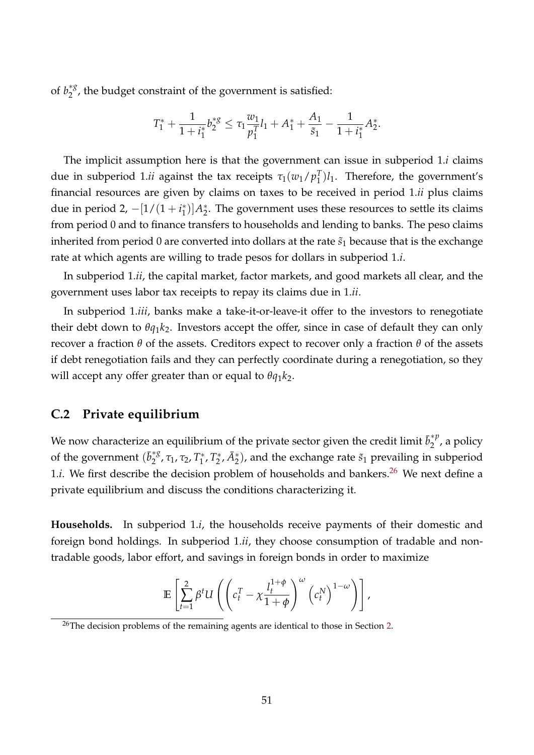of  $b_2^{*g}$  $_2^{38}$ , the budget constraint of the government is satisfied:

$$
T_1^* + \frac{1}{1+i_1^*} b_2^{*g} \leq \tau_1 \frac{w_1}{p_1^T} l_1 + A_1^* + \frac{A_1}{\tilde{s}_1} - \frac{1}{1+i_1^*} A_2^*.
$$

The implicit assumption here is that the government can issue in subperiod 1.*i* claims due in subperiod 1. $ii$  against the tax receipts  $\tau_1(w_1/p_1^T)$  $_{1}^{T}$  $)$  $l_1$ . Therefore, the government's financial resources are given by claims on taxes to be received in period 1.*ii* plus claims due in period 2,  $-[1/(1+i_1^*)]$ <sup>\*</sup><sub>1</sub>)] $A_2^*$  $_2^*$ . The government uses these resources to settle its claims from period 0 and to finance transfers to households and lending to banks. The peso claims inherited from period 0 are converted into dollars at the rate  $\tilde{s}_1$  because that is the exchange rate at which agents are willing to trade pesos for dollars in subperiod 1.*i*.

In subperiod 1.*ii*, the capital market, factor markets, and good markets all clear, and the government uses labor tax receipts to repay its claims due in 1.*ii*.

In subperiod 1.*iii*, banks make a take-it-or-leave-it offer to the investors to renegotiate their debt down to  $\theta q_1 k_2$ . Investors accept the offer, since in case of default they can only recover a fraction *θ* of the assets. Creditors expect to recover only a fraction *θ* of the assets if debt renegotiation fails and they can perfectly coordinate during a renegotiation, so they will accept any offer greater than or equal to *θq*1*k*2.

## <span id="page-50-0"></span>**C.2 Private equilibrium**

We now characterize an equilibrium of the private sector given the credit limit  $\bar{b}_2^{\ast p}$  $\int_{2}^{\tau P}$ , a policy of the government  $(\bar{b}_2^{*g})$ <sup>\*g</sup>, τ<sub>1</sub>, τ<sub>2</sub>, Τ<sup>\*</sup><sub>1</sub> <sup>∗</sup>\*, <sup>T</sup><sup>\*</sup>  $\mathbb{Z}_2^*, \bar{A}_2^*$ ), and the exchange rate  $\tilde{s}_1$  prevailing in subperiod 1.*i*. We first describe the decision problem of households and bankers.<sup>[26](#page-50-1)</sup> We next define a private equilibrium and discuss the conditions characterizing it.

**Households.** In subperiod 1.*i*, the households receive payments of their domestic and foreign bond holdings. In subperiod 1.*ii*, they choose consumption of tradable and nontradable goods, labor effort, and savings in foreign bonds in order to maximize

$$
\mathbb{E}\left[\sum_{t=1}^2 \beta^t U\left(\left(c_t^T - \chi \frac{l_t^{1+\phi}}{1+\phi}\right)^{\omega} \left(c_t^N\right)^{1-\omega}\right)\right],
$$

<span id="page-50-1"></span><sup>&</sup>lt;sup>26</sup>The decision problems of the remaining agents are identical to those in Section [2.](#page-6-1)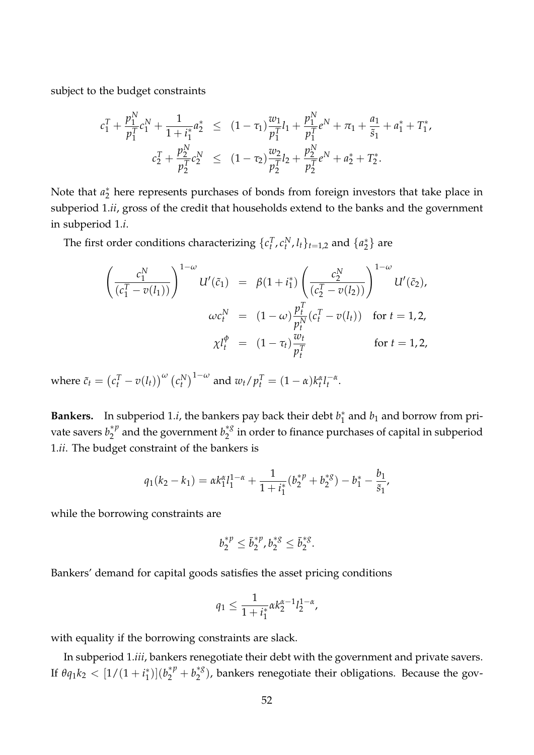subject to the budget constraints

$$
c_1^T + \frac{p_1^N}{p_1^T} c_1^N + \frac{1}{1 + i_1^*} a_2^* \le (1 - \tau_1) \frac{w_1}{p_1^T} l_1 + \frac{p_1^N}{p_1^T} e^N + \pi_1 + \frac{a_1}{\tilde{s}_1} + a_1^* + T_1^*,
$$
  

$$
c_2^T + \frac{p_2^N}{p_2^T} c_2^N \le (1 - \tau_2) \frac{w_2}{p_2^T} l_2 + \frac{p_2^N}{p_2^T} e^N + a_2^* + T_2^*.
$$

Note that  $a_2^*$  $_2^\ast$  here represents purchases of bonds from foreign investors that take place in subperiod 1.*ii*, gross of the credit that households extend to the banks and the government in subperiod 1.*i*.

The first order conditions characterizing  $\{c_t^T, c_t^N, l_t\}_{t=1,2}$  and  $\{a_2^*\}$  $\binom{*}{2}$  are

$$
\left(\frac{c_1^N}{(c_1^T - v(l_1))}\right)^{1-\omega} U'(\tilde{c}_1) = \beta(1 + i_1^*) \left(\frac{c_2^N}{(c_2^T - v(l_2))}\right)^{1-\omega} U'(\tilde{c}_2),
$$
  

$$
\omega c_t^N = (1 - \omega) \frac{p_t^T}{p_t^N} (c_t^T - v(l_t)) \text{ for } t = 1, 2,
$$
  

$$
\chi l_t^{\phi} = (1 - \tau_t) \frac{w_t}{p_t^T} \text{ for } t = 1, 2,
$$

where  $\tilde{c}_t = (c_t^T - v(l_t))^{\omega} (c_t^N)^{1-\omega}$  and  $w_t/p_t^T = (1-\alpha)k_t^{\alpha}l_t^{-\alpha}$ .

**Bankers.** In subperiod 1.*i*, the bankers pay back their debt *b* ∗  $j_1^*$  and  $b_1$  and borrow from private savers  $b_2^{\ast p}$  $b_2^{*p}$  and the government  $b_2^{*g}$  $\frac{1}{2}^{\infty}$  in order to finance purchases of capital in subperiod 1.*ii*. The budget constraint of the bankers is

$$
q_1(k_2 - k_1) = \alpha k_1^{\alpha} l_1^{1-\alpha} + \frac{1}{1 + i_1^*} (b_2^{*\,p} + b_2^{*\,g}) - b_1^* - \frac{b_1}{\tilde{s}_1},
$$

while the borrowing constraints are

$$
b_2^{*p} \leq \bar{b}_2^{*p}, b_2^{*g} \leq \bar{b}_2^{*g}.
$$

Bankers' demand for capital goods satisfies the asset pricing conditions

$$
q_1 \le \frac{1}{1+i_1^*} \alpha k_2^{\alpha-1} l_2^{1-\alpha},
$$

with equality if the borrowing constraints are slack.

In subperiod 1.*iii*, bankers renegotiate their debt with the government and private savers. If  $\theta q_1 k_2 < [1/(1+i_1^*)$  $\binom{1}{1}$  $\left(b_2^{*p} + b_2^{*g}\right)$  $2^{*8}_{2}$ ), bankers renegotiate their obligations. Because the gov-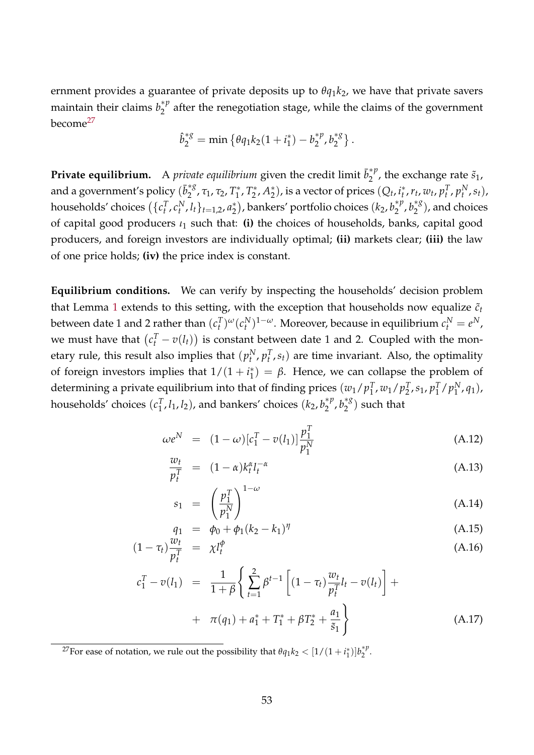ernment provides a guarantee of private deposits up to *θq*1*k*2, we have that private savers maintain their claims  $b_2^{\ast p}$  $2^{\gamma}$  after the renegotiation stage, while the claims of the government become[27](#page-52-0)

$$
\hat{b}_2^{*g} = \min \left\{ \theta q_1 k_2 (1 + i_1^*) - b_2^{*p}, b_2^{*g} \right\}.
$$

**Private equilibrium.** A *private equilibrium* given the credit limit  $\bar{b}_2^{\ast p}$  $\zeta_2^{\gamma \mu}$ , the exchange rate  $\tilde{s}_1$ , and a government's policy  $(\bar{b}_2^{\ast g})$ 2 , *τ*1, *τ*2, *T* ∗ <sup>∗</sup>\*, <sup>T</sup><sup>\*</sup>  $2^*$ ,  $A_2^*$  $\binom{1}{2}$ , is a vector of prices  $(Q_t, i_t^*)$  $\{r_t^*, r_t, w_t, p_t^T, p_t^N, s_t\}$ households' choices  $(\{c^T_t, c^N_t, l_t\}_{t=1,2}, a^*_2)$  $\binom{1}{2}$ , bankers' portfolio choices  $(k_2, b_2^{\ast p})$  $b_2^{*p}, b_2^{*g}$  $\binom{3}{2}$ , and choices of capital good producers *ι*<sup>1</sup> such that: **(i)** the choices of households, banks, capital good producers, and foreign investors are individually optimal; **(ii)** markets clear; **(iii)** the law of one price holds; **(iv)** the price index is constant.

**Equilibrium conditions.** We can verify by inspecting the households' decision problem that Lemma [1](#page-12-2) extends to this setting, with the exception that households now equalize  $\tilde{c}_t$ between date 1 and 2 rather than  $(c_t^T)^{\omega} (c_t^N)^{1-\omega}$ . Moreover, because in equilibrium  $c_t^N = e^N$ , we must have that  $(c_t^T - v(l_t))$  is constant between date 1 and 2. Coupled with the monetary rule, this result also implies that  $(p_t^N, p_t^T, s_t)$  are time invariant. Also, the optimality of foreign investors implies that  $1/(1 + i_1^*)$  $j_1^*$ ) =  $\beta$ . Hence, we can collapse the problem of determining a private equilibrium into that of finding prices  $(w_1/p_1^{\mathcal{T}})$  $T_1, w_1/p_2^T$  $T_{2}$ ,  $s_{1}$ ,  $p_{1}^{T}$  $\binom{T}{1}$  /  $p_1^N$  $_1^N$ ,  $q_1$ ), households' choices (*c T*  $_{1}^{T}, l_{1}, l_{2}$ ), and bankers' choices  $(k_{2}, b_{2}^{\ast p})$  $b_2^{*p}, b_2^{*g}$  $\binom{8}{2}$  such that

<span id="page-52-1"></span>
$$
\omega e^N = (1 - \omega) [c_1^T - v(l_1)] \frac{p_1^T}{p_1^N}
$$
 (A.12)

$$
\frac{w_t}{p_t^T} = (1 - \alpha)k_t^{\alpha} l_t^{-\alpha} \tag{A.13}
$$

$$
s_1 = \left(\frac{p_1^T}{p_1^N}\right)^{1-\omega} \tag{A.14}
$$

$$
q_1 = \phi_0 + \phi_1 (k_2 - k_1)^\eta \tag{A.15}
$$

$$
(1 - \tau_t) \frac{w_t}{p_t^T} = \chi l_t^{\phi} \tag{A.16}
$$

$$
c_1^T - v(l_1) = \frac{1}{1+\beta} \left\{ \sum_{t=1}^2 \beta^{t-1} \left[ (1-\tau_t) \frac{w_t}{p_t^T} l_t - v(l_t) \right] + \right. \\ \left. + \pi(q_1) + a_1^* + T_1^* + \beta T_2^* + \frac{a_1}{\tilde{s}_1} \right\} \tag{A.17}
$$

<span id="page-52-0"></span><sup>27</sup>For ease of notation, we rule out the possibility that  $\theta q_1 k_2 < [1/(1+i_1^*)]b_2^{*p}$  $2^{\gamma}$ .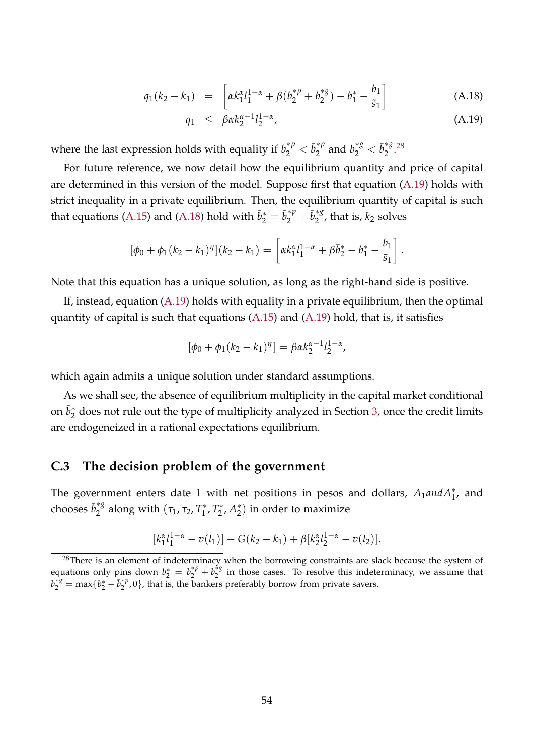<span id="page-53-2"></span>
$$
q_1(k_2 - k_1) = \left[ \alpha k_1^{\alpha} l_1^{1-\alpha} + \beta (b_2^{*\,p} + b_2^{*\,g}) - b_1^* - \frac{b_1}{\tilde{s}_1} \right] \tag{A.18}
$$

$$
q_1 \leq \beta \alpha k_2^{\alpha - 1} l_2^{1 - \alpha}, \tag{A.19}
$$

where the last expression holds with equality if  $b_2^{*p} < \bar{b}_2^{*p}$  $b_2^{*p}$  and  $b_2^{*g} < \bar{b}_2^{*g}$  $2^*3.28$  $2^*3.28$ 

For future reference, we now detail how the equilibrium quantity and price of capital are determined in this version of the model. Suppose first that equation [\(A.19\)](#page-53-2) holds with strict inequality in a private equilibrium. Then, the equilibrium quantity of capital is such that equations [\(A.15\)](#page-52-1) and [\(A.18\)](#page-53-2) hold with  $\bar{b}_2^* = \bar{b}_2^{*p} + \bar{b}_2^{*g}$  $\int_2^{\infty}$ , that is,  $k_2$  solves

$$
[\phi_0 + \phi_1(k_2 - k_1)^{\eta}](k_2 - k_1) = \left[ \alpha k_1^{\alpha} l_1^{1-\alpha} + \beta \bar{b}_2^* - b_1^* - \frac{b_1}{\tilde{s}_1} \right].
$$

Note that this equation has a unique solution, as long as the right-hand side is positive.

If, instead, equation [\(A.19\)](#page-53-2) holds with equality in a private equilibrium, then the optimal quantity of capital is such that equations [\(A.15\)](#page-52-1) and [\(A.19\)](#page-53-2) hold, that is, it satisfies

$$
[\phi_0 + \phi_1(k_2 - k_1)^{\eta}] = \beta \alpha k_2^{\alpha - 1} l_2^{1 - \alpha},
$$

which again admits a unique solution under standard assumptions.

As we shall see, the absence of equilibrium multiplicity in the capital market conditional on  $\bar{b}_2^*$  $_2^\ast$  does not rule out the type of multiplicity analyzed in Section [3,](#page-12-0) once the credit limits are endogeneized in a rational expectations equilibrium.

### <span id="page-53-0"></span>**C.3 The decision problem of the government**

The government enters date 1 with net positions in pesos and dollars,  $A_1$ and $A_1^*$ , and chooses  $\bar{b}_2^{*g}$  $n_2^{*g}$  along with  $(\tau_1, \tau_2, T_1^*)$ <sup>∗</sup>\*, <sup>T</sup><sup>\*</sup> 2 , *A* ∗  $_2^*$ ) in order to maximize

$$
[k_1^{\alpha}l_1^{1-\alpha}-v(l_1)]-G(k_2-k_1)+\beta[k_2^{\alpha}l_2^{1-\alpha}-v(l_2)].
$$

<span id="page-53-1"></span> $^{28}$ There is an element of indeterminacy when the borrowing constraints are slack because the system of equations only pins down  $b_2^* = b_2^{*p} + b_2^{*g}$  $\frac{1}{2}$ <sup>\*</sup> in those cases. To resolve this indeterminacy, we assume that  $b_2^*$ <sup>\*8</sup> = max $\{b_2^* - \bar{b}_2^*$ <sup>*p*</sup>  $\binom{p}{2}$ , 0}, that is, the bankers preferably borrow from private savers.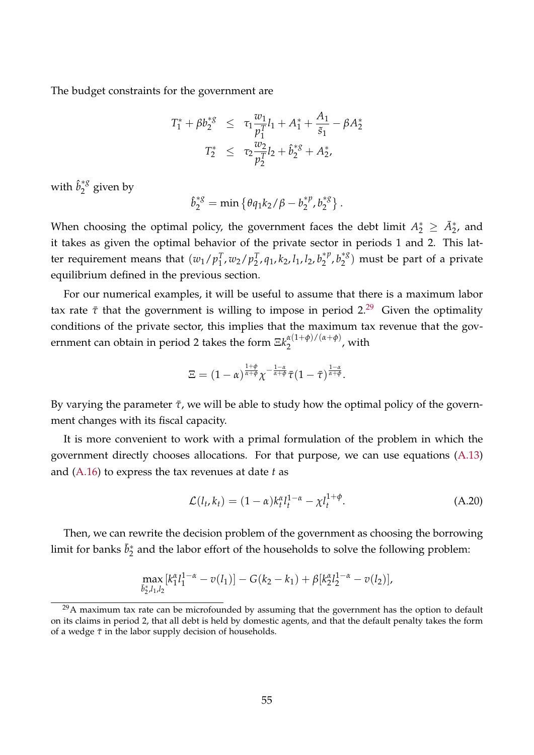The budget constraints for the government are

$$
T_1^* + \beta b_2^{*g} \leq \tau_1 \frac{w_1}{p_1^T} l_1 + A_1^* + \frac{A_1}{\tilde{s}_1} - \beta A_2^*
$$
  

$$
T_2^* \leq \tau_2 \frac{w_2}{p_2^T} l_2 + \hat{b}_2^{*g} + A_2^*,
$$

with  $\hat{b}_2^{*g}$  $2^{\degree}$  given by

$$
\hat{b}_2^{*g} = \min \left\{ \theta q_1 k_2 / \beta - b_2^{*p}, b_2^{*g} \right\}.
$$

When choosing the optimal policy, the government faces the debt limit  $A_2^* \geq \bar{A}_{2}^*$ , and it takes as given the optimal behavior of the private sector in periods 1 and 2. This latter requirement means that  $(w_1/p_1^T)$  $_{1}^{T}$ ,  $w_{2}/p_{2}^{T}$ 2 , *q*1, *k*2, *l*1, *l*2, *b* ∗*p*  $b_2^{*p}, b_2^{*g}$  $\binom{8}{2}$  must be part of a private equilibrium defined in the previous section.

For our numerical examples, it will be useful to assume that there is a maximum labor tax rate  $\bar{\tau}$  that the government is willing to impose in period 2.<sup>[29](#page-54-0)</sup> Given the optimality conditions of the private sector, this implies that the maximum tax revenue that the government can obtain in period 2 takes the form  $\Xi k_{2}^{\alpha(1+\phi)/(\alpha+\phi)}$  $\frac{a(1+\varphi)}{2}$ , with

$$
\Xi=(1-\alpha)^{\frac{1+\phi}{\alpha+\phi}}\chi^{-\frac{1-\alpha}{\alpha+\phi}}\bar\tau(1-\bar\tau)^{\frac{1-\alpha}{\alpha+\phi}}.
$$

By varying the parameter  $\bar{\tau}$ , we will be able to study how the optimal policy of the government changes with its fiscal capacity.

It is more convenient to work with a primal formulation of the problem in which the government directly chooses allocations. For that purpose, we can use equations [\(A.13\)](#page-52-1) and [\(A.16\)](#page-52-1) to express the tax revenues at date *t* as

$$
\mathcal{L}(l_t, k_t) = (1 - \alpha)k_t^{\alpha}l_t^{1 - \alpha} - \chi l_t^{1 + \phi}.
$$
\n(A.20)

Then, we can rewrite the decision problem of the government as choosing the borrowing limit for banks  $\bar{b}_2^*$  $_2^*$  and the labor effort of the households to solve the following problem:

$$
\max_{\bar{b}_2^*l_1,l_2} [k_1^{\alpha}l_1^{1-\alpha} - v(l_1)] - G(k_2 - k_1) + \beta [k_2^{\alpha}l_2^{1-\alpha} - v(l_2)],
$$

<span id="page-54-0"></span> $29A$  maximum tax rate can be microfounded by assuming that the government has the option to default on its claims in period 2, that all debt is held by domestic agents, and that the default penalty takes the form of a wedge *τ*¯ in the labor supply decision of households.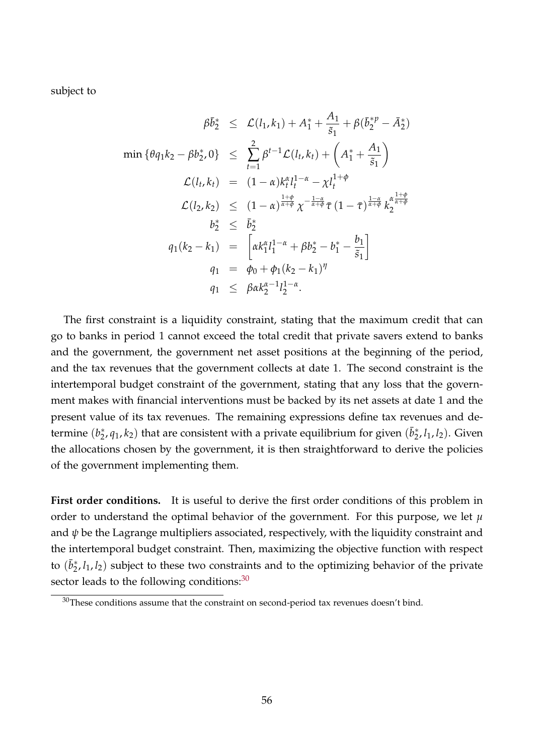subject to

$$
\beta \bar{b}_{2}^{*} \leq \mathcal{L}(l_{1}, k_{1}) + A_{1}^{*} + \frac{A_{1}}{\tilde{s}_{1}} + \beta (\bar{b}_{2}^{*} - \bar{A}_{2}^{*})
$$
\n
$$
\min \{ \theta q_{1} k_{2} - \beta b_{2}^{*}, 0 \} \leq \sum_{t=1}^{2} \beta^{t-1} \mathcal{L}(l_{t}, k_{t}) + \left( A_{1}^{*} + \frac{A_{1}}{\tilde{s}_{1}} \right)
$$
\n
$$
\mathcal{L}(l_{t}, k_{t}) = (1 - \alpha) k_{t}^{\alpha} l_{t}^{1 - \alpha} - \chi l_{t}^{1 + \phi}
$$
\n
$$
\mathcal{L}(l_{2}, k_{2}) \leq (1 - \alpha)^{\frac{1 + \phi}{\alpha + \phi}} \chi^{-\frac{1 - \alpha}{\alpha + \phi}} \bar{\tau} (1 - \bar{\tau})^{\frac{1 - \alpha}{\alpha + \phi}} k_{2}^{\alpha \frac{1 + \phi}{\alpha + \phi}}
$$
\n
$$
b_{2}^{*} \leq \bar{b}_{2}^{*}
$$
\n
$$
q_{1}(k_{2} - k_{1}) = \left[ \alpha k_{1}^{\alpha} l_{1}^{1 - \alpha} + \beta b_{2}^{*} - b_{1}^{*} - \frac{b_{1}}{\tilde{s}_{1}} \right]
$$
\n
$$
q_{1} = \phi_{0} + \phi_{1}(k_{2} - k_{1})^{\eta}
$$
\n
$$
q_{1} \leq \beta \alpha k_{2}^{\alpha - 1} l_{2}^{1 - \alpha}.
$$

The first constraint is a liquidity constraint, stating that the maximum credit that can go to banks in period 1 cannot exceed the total credit that private savers extend to banks and the government, the government net asset positions at the beginning of the period, and the tax revenues that the government collects at date 1. The second constraint is the intertemporal budget constraint of the government, stating that any loss that the government makes with financial interventions must be backed by its net assets at date 1 and the present value of its tax revenues. The remaining expressions define tax revenues and determine (*b* ∗  $_2^*, q_1, k_2)$  that are consistent with a private equilibrium for given  $(\bar{b}_2^*)$ 2 , *l*1, *l*2). Given the allocations chosen by the government, it is then straightforward to derive the policies of the government implementing them.

**First order conditions.** It is useful to derive the first order conditions of this problem in order to understand the optimal behavior of the government. For this purpose, we let  $\mu$ and  $\psi$  be the Lagrange multipliers associated, respectively, with the liquidity constraint and the intertemporal budget constraint. Then, maximizing the objective function with respect to  $(\bar{b}_2^*)$  $2, l_1, l_2$ ) subject to these two constraints and to the optimizing behavior of the private sector leads to the following conditions:<sup>[30](#page-55-0)</sup>

<span id="page-55-0"></span> $30$ These conditions assume that the constraint on second-period tax revenues doesn't bind.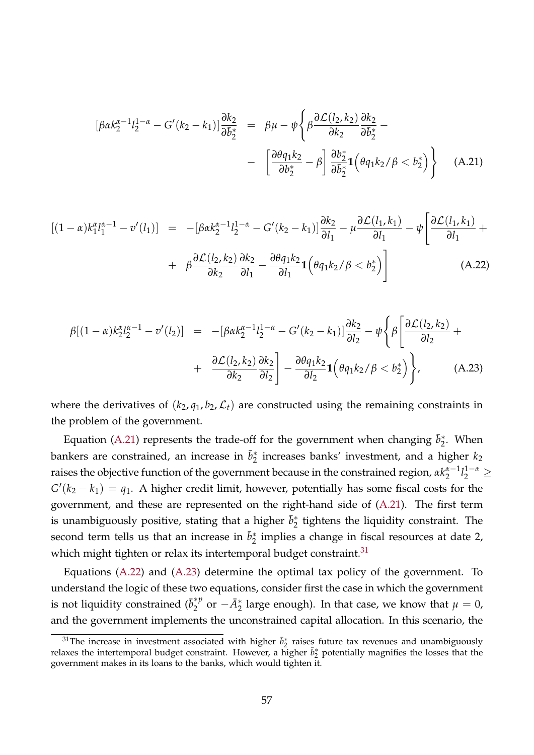<span id="page-56-0"></span>
$$
\begin{array}{rcl}\n\left[\beta\alpha k_2^{\alpha-1}l_2^{1-\alpha} - G'(k_2 - k_1)\right] \frac{\partial k_2}{\partial \bar{b}_2^*} & = & \beta\mu - \psi \left\{\beta \frac{\partial \mathcal{L}(l_2, k_2)}{\partial k_2} \frac{\partial k_2}{\partial \bar{b}_2^*} - \right. \\
& & \left. - \left[ \frac{\partial \theta q_1 k_2}{\partial b_2^*} - \beta \right] \frac{\partial b_2^*}{\partial \bar{b}_2^*} \mathbf{1} \left( \theta q_1 k_2 / \beta < b_2^* \right) \right\}\n\end{array} \tag{A.21}
$$

<span id="page-56-2"></span>
$$
[(1 - \alpha)k_1^{\alpha}l_1^{\alpha - 1} - v'(l_1)] = -[\beta \alpha k_2^{\alpha - 1}l_2^{1 - \alpha} - G'(k_2 - k_1)]\frac{\partial k_2}{\partial l_1} - \mu \frac{\partial \mathcal{L}(l_1, k_1)}{\partial l_1} - \psi \left[\frac{\partial \mathcal{L}(l_1, k_1)}{\partial l_1} + \beta \frac{\partial \mathcal{L}(l_2, k_2)}{\partial k_2} \frac{\partial k_2}{\partial l_1} - \frac{\partial \theta q_1 k_2}{\partial l_1} \mathbf{1} \left(\theta q_1 k_2 / \beta < b_2^*\right)\right]
$$
\n(A.22)

<span id="page-56-3"></span>
$$
\beta[(1-\alpha)k_{2}^{\alpha}l_{2}^{\alpha-1} - v'(l_{2})] = -[\beta\alpha k_{2}^{\alpha-1}l_{2}^{1-\alpha} - G'(k_{2}-k_{1})]\frac{\partial k_{2}}{\partial l_{2}} - \psi\left\{\beta\left[\frac{\partial \mathcal{L}(l_{2},k_{2})}{\partial l_{2}} + \frac{\partial \mathcal{L}(l_{2},k_{2})}{\partial k_{2}}\frac{\partial k_{2}}{\partial l_{2}}\right] - \frac{\partial\theta q_{1}k_{2}}{\partial l_{2}}\mathbf{1}\left(\theta q_{1}k_{2}/\beta < b_{2}^{*}\right)\right\}, \tag{A.23}
$$

where the derivatives of  $(k_2, q_1, b_2, \mathcal{L}_t)$  are constructed using the remaining constraints in the problem of the government.

Equation [\(A.21\)](#page-56-0) represents the trade-off for the government when changing  $\bar{b}_2^*$  $2^*$ . When bankers are constrained, an increase in  $\bar{b}_2^*$  $_2^*$  increases banks' investment, and a higher  $k_2$ raises the objective function of the government because in the constrained region*,*  $\alpha k^{\alpha-1}_2$  $\frac{\alpha-1}{2}l_2^{1-\alpha} \geq$  $G'(k_2 - k_1) = q_1$ . A higher credit limit, however, potentially has some fiscal costs for the government, and these are represented on the right-hand side of [\(A.21\)](#page-56-0). The first term is unambiguously positive, stating that a higher  $\bar{b}_2^*$  $_2^*$  tightens the liquidity constraint. The second term tells us that an increase in  $\bar{b}_2^*$  $_2^*$  implies a change in fiscal resources at date 2, which might tighten or relax its intertemporal budget constraint. $31$ 

Equations [\(A.22\)](#page-56-2) and [\(A.23\)](#page-56-3) determine the optimal tax policy of the government. To understand the logic of these two equations, consider first the case in which the government is not liquidity constrained  $(\bar{b}_2^{\ast p})$  $\mathbb{A}_2^*$ <sup>*n*</sup> or  $-\bar{A}_2^*$  large enough). In that case, we know that  $\mu = 0$ , and the government implements the unconstrained capital allocation. In this scenario, the

<span id="page-56-1"></span><sup>&</sup>lt;sup>31</sup>The increase in investment associated with higher  $\bar{b}_2^*$  raises future tax revenues and unambiguously relaxes the intertemporal budget constraint. However, a higher  $\bar{b}_2^*$  potentially magnifies the losses that the government makes in its loans to the banks, which would tighten it.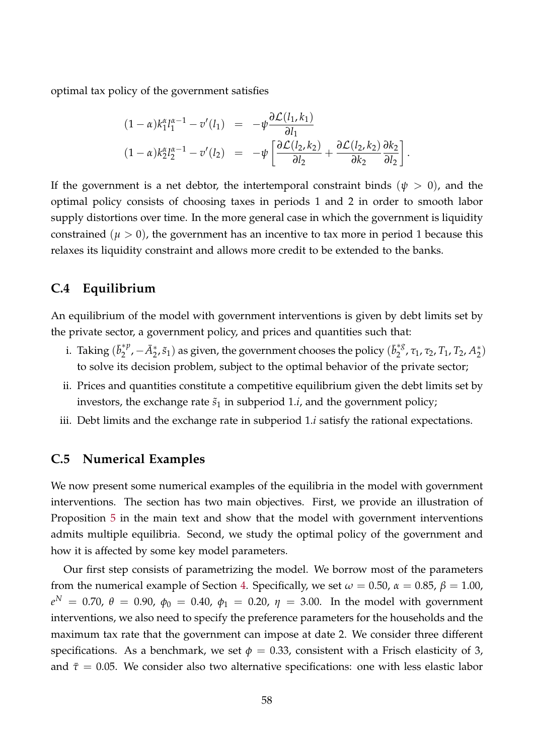optimal tax policy of the government satisfies

$$
(1 - \alpha)k_1^{\alpha}l_1^{\alpha - 1} - v'(l_1) = -\psi \frac{\partial \mathcal{L}(l_1, k_1)}{\partial l_1} (1 - \alpha)k_2^{\alpha}l_2^{\alpha - 1} - v'(l_2) = -\psi \left[ \frac{\partial \mathcal{L}(l_2, k_2)}{\partial l_2} + \frac{\partial \mathcal{L}(l_2, k_2)}{\partial k_2} \frac{\partial k_2}{\partial l_2} \right].
$$

If the government is a net debtor, the intertemporal constraint binds  $(\psi > 0)$ , and the optimal policy consists of choosing taxes in periods 1 and 2 in order to smooth labor supply distortions over time. In the more general case in which the government is liquidity constrained  $(\mu > 0)$ , the government has an incentive to tax more in period 1 because this relaxes its liquidity constraint and allows more credit to be extended to the banks.

## <span id="page-57-0"></span>**C.4 Equilibrium**

An equilibrium of the model with government interventions is given by debt limits set by the private sector, a government policy, and prices and quantities such that:

- i. Taking  $(\bar{b}_2^{*p})$  $\left(\bar{\Phi}_2^{*p}, -\bar{A}_2^{*}, \tilde{s}_1\right)$  as given, the government chooses the policy  $(\bar{b}_2^{*g})$ <sup>\*8</sup>, τ<sub>1</sub>, τ<sub>2</sub>, Τ<sub>1</sub>, Τ<sub>2</sub>, Α<sup>\*</sup><sub>2</sub>  $_{2}^{*}$ ) to solve its decision problem, subject to the optimal behavior of the private sector;
- ii. Prices and quantities constitute a competitive equilibrium given the debt limits set by investors, the exchange rate  $\tilde{s}_1$  in subperiod 1.*i*, and the government policy;
- iii. Debt limits and the exchange rate in subperiod 1.*i* satisfy the rational expectations.

## <span id="page-57-1"></span>**C.5 Numerical Examples**

We now present some numerical examples of the equilibria in the model with government interventions. The section has two main objectives. First, we provide an illustration of Proposition [5](#page-32-1) in the main text and show that the model with government interventions admits multiple equilibria. Second, we study the optimal policy of the government and how it is affected by some key model parameters.

Our first step consists of parametrizing the model. We borrow most of the parameters from the numerical example of Section [4.](#page-20-0) Specifically, we set  $\omega = 0.50$ ,  $\alpha = 0.85$ ,  $\beta = 1.00$ ,  $e^N\,=\,0.70$ ,  $\theta\,=\,0.90$ ,  $\phi_0\,=\,0.40$ ,  $\phi_1\,=\,0.20$ ,  $\eta\,=\,3.00$ . In the model with government interventions, we also need to specify the preference parameters for the households and the maximum tax rate that the government can impose at date 2. We consider three different specifications. As a benchmark, we set  $\phi = 0.33$ , consistent with a Frisch elasticity of 3, and  $\bar{\tau}$  = 0.05. We consider also two alternative specifications: one with less elastic labor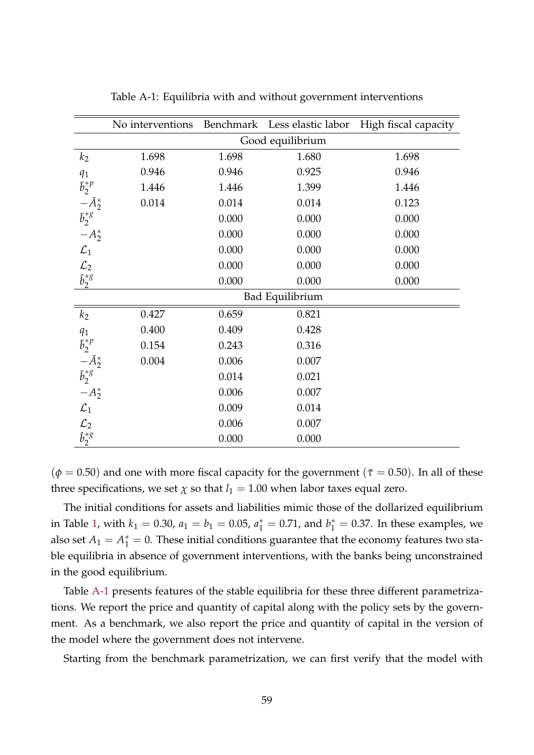|                                                                | No interventions |       | Benchmark Less elastic labor | High fiscal capacity |  |  |
|----------------------------------------------------------------|------------------|-------|------------------------------|----------------------|--|--|
|                                                                | Good equilibrium |       |                              |                      |  |  |
| k <sub>2</sub>                                                 | 1.698            | 1.698 | 1.680                        | 1.698                |  |  |
| $q_1$                                                          | 0.946            | 0.946 | 0.925                        | 0.946                |  |  |
| $\bar{b}_2^{*p}$                                               | 1.446            | 1.446 | 1.399                        | 1.446                |  |  |
|                                                                | 0.014            | 0.014 | 0.014                        | 0.123                |  |  |
| $-\bar{A}_2^*$<br>$\bar{b}_2^{*g}$                             |                  | 0.000 | 0.000                        | 0.000                |  |  |
| $-A_{2}^{*}$                                                   |                  | 0.000 | 0.000                        | 0.000                |  |  |
| $\mathcal{L}_1$                                                |                  | 0.000 | 0.000                        | 0.000                |  |  |
| $\mathcal{L}_2$                                                |                  | 0.000 | 0.000                        | 0.000                |  |  |
| $\hat{b}_2^{*g}$                                               |                  | 0.000 | 0.000                        | 0.000                |  |  |
|                                                                | Bad Equilibrium  |       |                              |                      |  |  |
| k <sub>2</sub>                                                 | 0.427            | 0.659 | 0.821                        |                      |  |  |
| $q_1$                                                          | 0.400            | 0.409 | 0.428                        |                      |  |  |
| $\bar{b}_2^{*p}$                                               | 0.154            | 0.243 | 0.316                        |                      |  |  |
| $-\bar{A}_2^*$<br>$\bar{b}_2^{*g}$                             | 0.004            | 0.006 | 0.007                        |                      |  |  |
|                                                                |                  | 0.014 | 0.021                        |                      |  |  |
| $-A_2^*$                                                       |                  | 0.006 | 0.007                        |                      |  |  |
| $\mathcal{L}_1$                                                |                  | 0.009 | 0.014                        |                      |  |  |
| $\begin{array}{c} \mathcal{L}_2 \\ \hat{b}_2^{*g} \end{array}$ |                  | 0.006 | 0.007                        |                      |  |  |
|                                                                |                  | 0.000 | 0.000                        |                      |  |  |

Table A-1: Equilibria with and without government interventions

 $(\phi = 0.50)$  and one with more fiscal capacity for the government ( $\bar{\tau} = 0.50$ ). In all of these three specifications, we set  $\chi$  so that  $l_1 = 1.00$  when labor taxes equal zero.

The initial conditions for assets and liabilities mimic those of the dollarized equilibrium in Table [1,](#page-24-0) with  $k_1 = 0.30$ ,  $a_1 = b_1 = 0.05$ ,  $a_1^* = 0.71$ , and  $b_1^* = 0.37$ . In these examples, we also set  $A_1 = A_1^* = 0$ . These initial conditions guarantee that the economy features two stable equilibria in absence of government interventions, with the banks being unconstrained in the good equilibrium.

Table [A-1](#page-24-0) presents features of the stable equilibria for these three different parametrizations. We report the price and quantity of capital along with the policy sets by the government. As a benchmark, we also report the price and quantity of capital in the version of the model where the government does not intervene.

Starting from the benchmark parametrization, we can first verify that the model with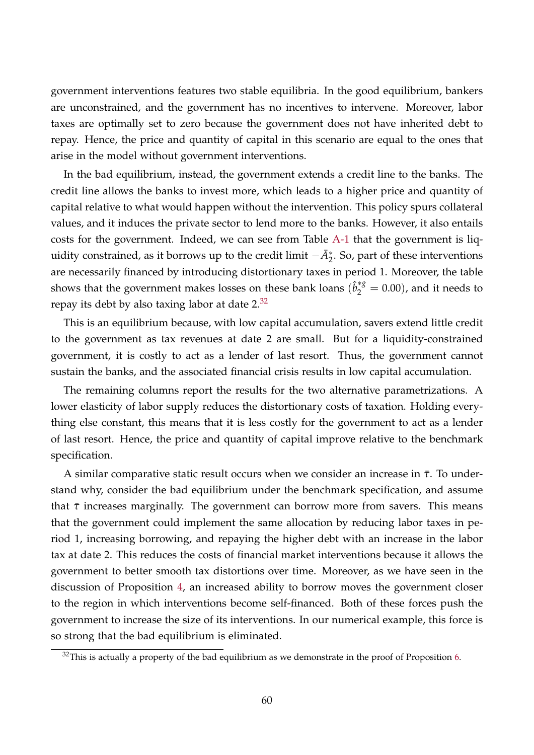government interventions features two stable equilibria. In the good equilibrium, bankers are unconstrained, and the government has no incentives to intervene. Moreover, labor taxes are optimally set to zero because the government does not have inherited debt to repay. Hence, the price and quantity of capital in this scenario are equal to the ones that arise in the model without government interventions.

In the bad equilibrium, instead, the government extends a credit line to the banks. The credit line allows the banks to invest more, which leads to a higher price and quantity of capital relative to what would happen without the intervention. This policy spurs collateral values, and it induces the private sector to lend more to the banks. However, it also entails costs for the government. Indeed, we can see from Table [A-1](#page-24-0) that the government is liquidity constrained, as it borrows up to the credit limit  $-\bar{A}_{2}^{*}$ . So, part of these interventions are necessarily financed by introducing distortionary taxes in period 1. Moreover, the table shows that the government makes losses on these bank loans  $(\hat{b}_{2}^{*g}=0.00)$ , and it needs to repay its debt by also taxing labor at date  $2^{32}$  $2^{32}$  $2^{32}$ 

This is an equilibrium because, with low capital accumulation, savers extend little credit to the government as tax revenues at date 2 are small. But for a liquidity-constrained government, it is costly to act as a lender of last resort. Thus, the government cannot sustain the banks, and the associated financial crisis results in low capital accumulation.

The remaining columns report the results for the two alternative parametrizations. A lower elasticity of labor supply reduces the distortionary costs of taxation. Holding everything else constant, this means that it is less costly for the government to act as a lender of last resort. Hence, the price and quantity of capital improve relative to the benchmark specification.

A similar comparative static result occurs when we consider an increase in  $\bar{\tau}$ . To understand why, consider the bad equilibrium under the benchmark specification, and assume that  $\bar{\tau}$  increases marginally. The government can borrow more from savers. This means that the government could implement the same allocation by reducing labor taxes in period 1, increasing borrowing, and repaying the higher debt with an increase in the labor tax at date 2. This reduces the costs of financial market interventions because it allows the government to better smooth tax distortions over time. Moreover, as we have seen in the discussion of Proposition [4,](#page-30-0) an increased ability to borrow moves the government closer to the region in which interventions become self-financed. Both of these forces push the government to increase the size of its interventions. In our numerical example, this force is so strong that the bad equilibrium is eliminated.

<span id="page-59-0"></span> $32$ This is actually a property of the bad equilibrium as we demonstrate in the proof of Proposition [6.](#page-33-1)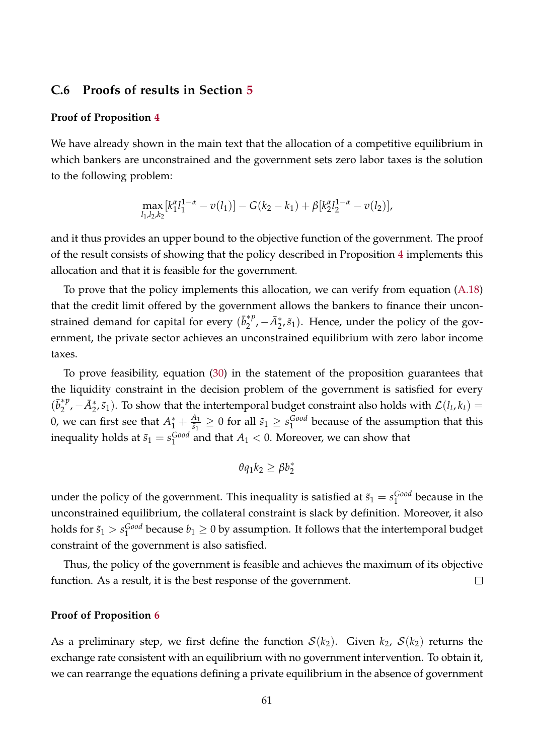## <span id="page-60-0"></span>**C.6 Proofs of results in Section [5](#page-26-0)**

#### **Proof of Proposition [4](#page-30-0)**

We have already shown in the main text that the allocation of a competitive equilibrium in which bankers are unconstrained and the government sets zero labor taxes is the solution to the following problem:

$$
\max_{l_1,l_2,k_2} [k_1^{\alpha} l_1^{1-\alpha} - v(l_1)] - G(k_2 - k_1) + \beta [k_2^{\alpha} l_2^{1-\alpha} - v(l_2)],
$$

and it thus provides an upper bound to the objective function of the government. The proof of the result consists of showing that the policy described in Proposition [4](#page-30-0) implements this allocation and that it is feasible for the government.

To prove that the policy implements this allocation, we can verify from equation [\(A.18\)](#page-53-2) that the credit limit offered by the government allows the bankers to finance their unconstrained demand for capital for every  $(\bar{b}_2^{*p})$  $\mathcal{A}_2^*$ ,  $-\bar{A}_2^*, \tilde{s}_1$ ). Hence, under the policy of the government, the private sector achieves an unconstrained equilibrium with zero labor income taxes.

To prove feasibility, equation [\(30\)](#page-30-0) in the statement of the proposition guarantees that the liquidity constraint in the decision problem of the government is satisfied for every  $(\bar{b}_2^{*p})$  $\sum_{2}^{*p}$ ,  $-\bar{A}_{2}^{*}$ , $\tilde{s}_{1}$ ). To show that the intertemporal budget constraint also holds with  $\mathcal{L}(l_t, k_t)$  = 0, we can first see that  $A_1^* + \frac{A_1}{\tilde{s}_1}$  $\frac{A_1}{\tilde{s}_1} \geq 0$  for all  $\tilde{s}_1 \geq s_1^{\text{Good}}$  $_1^{\text{Good}}$  because of the assumption that this inequality holds at  $\tilde{s}_1 = s_1^{\textit{Good}}$  $_1^{Good}$  and that  $A_1 < 0$ . Moreover, we can show that

$$
\theta q_1 k_2 \geq \beta b_2^*
$$

under the policy of the government. This inequality is satisfied at  $\tilde{s}_1 = s_1^{Good}$  $_1^{\text{GOO}}$  because in the unconstrained equilibrium, the collateral constraint is slack by definition. Moreover, it also holds for  $\tilde{s}_1 > s_1^{\text{Good}}$  $_1^{Good}$  because  $b_1 \geq 0$  by assumption. It follows that the intertemporal budget constraint of the government is also satisfied.

Thus, the policy of the government is feasible and achieves the maximum of its objective function. As a result, it is the best response of the government.  $\Box$ 

#### **Proof of Proposition [6](#page-33-1)**

As a preliminary step, we first define the function  $S(k_2)$ . Given  $k_2$ ,  $S(k_2)$  returns the exchange rate consistent with an equilibrium with no government intervention. To obtain it, we can rearrange the equations defining a private equilibrium in the absence of government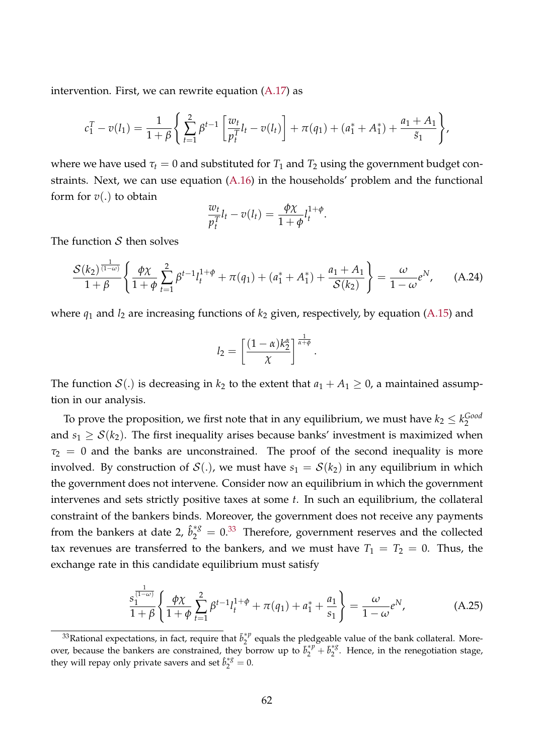intervention. First, we can rewrite equation [\(A.17\)](#page-52-1) as

$$
c_1^T - v(l_1) = \frac{1}{1+\beta} \left\{ \sum_{t=1}^2 \beta^{t-1} \left[ \frac{w_t}{p_t^T} l_t - v(l_t) \right] + \pi(q_1) + (a_1^* + A_1^*) + \frac{a_1 + A_1}{\tilde{s}_1} \right\},\,
$$

where we have used  $\tau_t = 0$  and substituted for  $T_1$  and  $T_2$  using the government budget constraints. Next, we can use equation [\(A.16\)](#page-52-1) in the households' problem and the functional form for *v*(.) to obtain

<span id="page-61-1"></span>
$$
\frac{w_t}{p_t^T}l_t - v(l_t) = \frac{\phi \chi}{1 + \phi}l_t^{1 + \phi}.
$$

The function  $S$  then solves

$$
\frac{\mathcal{S}(k_2)^{\frac{1}{(1-\omega)}}}{1+\beta} \left\{ \frac{\phi \chi}{1+\phi} \sum_{t=1}^2 \beta^{t-1} l_t^{1+\phi} + \pi(q_1) + (a_1^* + A_1^*) + \frac{a_1 + A_1}{\mathcal{S}(k_2)} \right\} = \frac{\omega}{1-\omega} e^N, \quad (A.24)
$$

where  $q_1$  and  $l_2$  are increasing functions of  $k_2$  given, respectively, by equation [\(A.15\)](#page-52-1) and

$$
l_2=\left[\frac{(1-\alpha)k_2^{\alpha}}{\chi}\right]^{\frac{1}{\alpha+\phi}}.
$$

The function  $S(.)$  is decreasing in  $k_2$  to the extent that  $a_1 + A_1 \geq 0$ , a maintained assumption in our analysis.

To prove the proposition, we first note that in any equilibrium, we must have  $k_2 \leq k_2^{Good}$ 2 and  $s_1 \geq S(k_2)$ . The first inequality arises because banks' investment is maximized when  $\tau_2$  = 0 and the banks are unconstrained. The proof of the second inequality is more involved. By construction of  $\mathcal{S}(.)$ , we must have  $s_1 = \mathcal{S}(k_2)$  in any equilibrium in which the government does not intervene. Consider now an equilibrium in which the government intervenes and sets strictly positive taxes at some *t*. In such an equilibrium, the collateral constraint of the bankers binds. Moreover, the government does not receive any payments from the bankers at date 2,  $\hat{b}_{2}^{*g} = 0.^{33}$  $\hat{b}_{2}^{*g} = 0.^{33}$  $\hat{b}_{2}^{*g} = 0.^{33}$  Therefore, government reserves and the collected tax revenues are transferred to the bankers, and we must have  $T_1 = T_2 = 0$ . Thus, the exchange rate in this candidate equilibrium must satisfy

<span id="page-61-2"></span>
$$
\frac{s_1^{\frac{1}{(1-\omega)}}}{1+\beta} \left\{ \frac{\phi \chi}{1+\phi} \sum_{t=1}^2 \beta^{t-1} l_t^{1+\phi} + \pi(q_1) + a_1^* + \frac{a_1}{s_1} \right\} = \frac{\omega}{1-\omega} e^N, \tag{A.25}
$$

<span id="page-61-0"></span><sup>&</sup>lt;sup>33</sup>Rational expectations, in fact, require that  $\bar{b}_2^*$ <sup>*p*</sup>  $\hat{c}_2^{\gamma}$  equals the pledgeable value of the bank collateral. Moreover, because the bankers are constrained, they borrow up to  $\vec{b}_2^* \vec{p}_1 + \vec{b}_2^*$  $\int_{2}^{x}$ . Hence, in the renegotiation stage, they will repay only private savers and set  $\hat{b}_2^{*g} = 0$ .